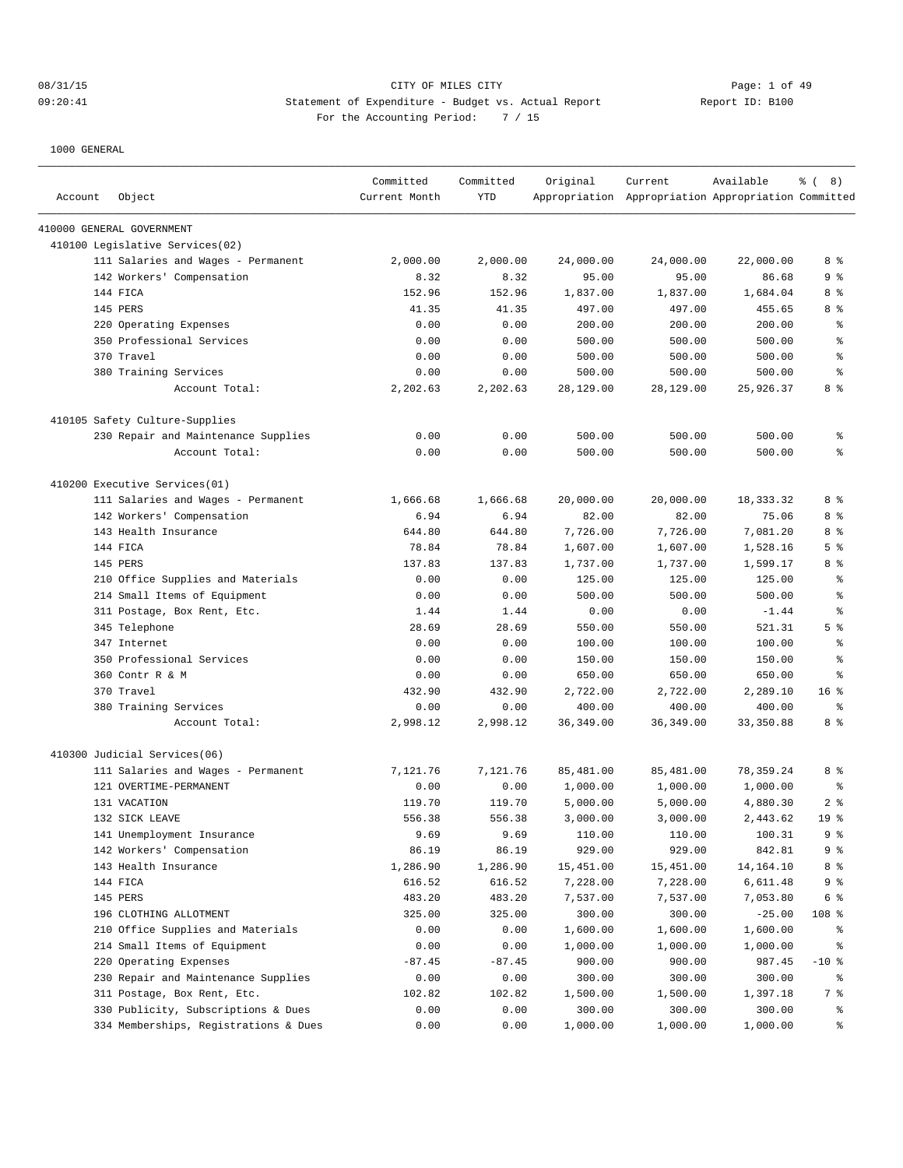## 08/31/15 Page: 1 of 49 09:20:41 Statement of Expenditure - Budget vs. Actual Report Report ID: B100 For the Accounting Period: 7 / 15

| Account | Object                                | Committed<br>Current Month | Committed<br><b>YTD</b> | Original   | Current<br>Appropriation Appropriation Appropriation Committed | Available | $\frac{6}{6}$ ( 8) |
|---------|---------------------------------------|----------------------------|-------------------------|------------|----------------------------------------------------------------|-----------|--------------------|
|         | 410000 GENERAL GOVERNMENT             |                            |                         |            |                                                                |           |                    |
|         | 410100 Legislative Services(02)       |                            |                         |            |                                                                |           |                    |
|         | 111 Salaries and Wages - Permanent    | 2,000.00                   | 2,000.00                | 24,000.00  | 24,000.00                                                      | 22,000.00 | 8%                 |
|         | 142 Workers' Compensation             | 8.32                       | 8.32                    | 95.00      | 95.00                                                          | 86.68     | 9 <sup>°</sup>     |
|         | 144 FICA                              | 152.96                     | 152.96                  | 1,837.00   | 1,837.00                                                       | 1,684.04  | 8 %                |
|         | 145 PERS                              | 41.35                      | 41.35                   | 497.00     | 497.00                                                         | 455.65    | 8 %                |
|         | 220 Operating Expenses                | 0.00                       | 0.00                    | 200.00     | 200.00                                                         | 200.00    | ್ಠಿ                |
|         | 350 Professional Services             | 0.00                       | 0.00                    | 500.00     | 500.00                                                         | 500.00    | နွ                 |
|         | 370 Travel                            | 0.00                       | 0.00                    | 500.00     | 500.00                                                         | 500.00    | နွ                 |
|         | 380 Training Services                 | 0.00                       | 0.00                    | 500.00     | 500.00                                                         | 500.00    | နွ                 |
|         | Account Total:                        | 2,202.63                   | 2,202.63                | 28,129.00  | 28,129.00                                                      | 25,926.37 | 8 %                |
|         | 410105 Safety Culture-Supplies        |                            |                         |            |                                                                |           |                    |
|         | 230 Repair and Maintenance Supplies   | 0.00                       | 0.00                    | 500.00     | 500.00                                                         | 500.00    | ್ಠಿ                |
|         | Account Total:                        | 0.00                       | 0.00                    | 500.00     | 500.00                                                         | 500.00    | နွ                 |
|         | 410200 Executive Services(01)         |                            |                         |            |                                                                |           |                    |
|         | 111 Salaries and Wages - Permanent    | 1,666.68                   | 1,666.68                | 20,000.00  | 20,000.00                                                      | 18,333.32 | 8 %                |
|         | 142 Workers' Compensation             | 6.94                       | 6.94                    | 82.00      | 82.00                                                          | 75.06     | 8 %                |
|         | 143 Health Insurance                  | 644.80                     | 644.80                  | 7,726.00   | 7,726.00                                                       | 7,081.20  | 8%                 |
|         | 144 FICA                              | 78.84                      | 78.84                   | 1,607.00   | 1,607.00                                                       | 1,528.16  | 5 <sup>°</sup>     |
|         | 145 PERS                              | 137.83                     | 137.83                  | 1,737.00   | 1,737.00                                                       | 1,599.17  | 8 %                |
|         | 210 Office Supplies and Materials     | 0.00                       | 0.00                    | 125.00     | 125.00                                                         | 125.00    | နွ                 |
|         | 214 Small Items of Equipment          | 0.00                       | 0.00                    | 500.00     | 500.00                                                         | 500.00    | နွ                 |
|         | 311 Postage, Box Rent, Etc.           | 1.44                       | 1.44                    | 0.00       | 0.00                                                           | $-1.44$   | နွ                 |
|         | 345 Telephone                         | 28.69                      | 28.69                   | 550.00     | 550.00                                                         | 521.31    | 5 <sup>8</sup>     |
|         | 347 Internet                          | 0.00                       | 0.00                    | 100.00     | 100.00                                                         | 100.00    | နွ                 |
|         | 350 Professional Services             | 0.00                       | 0.00                    | 150.00     | 150.00                                                         | 150.00    | g                  |
|         | 360 Contr R & M                       | 0.00                       | 0.00                    | 650.00     | 650.00                                                         | 650.00    | နွ                 |
|         | 370 Travel                            | 432.90                     | 432.90                  | 2,722.00   | 2,722.00                                                       | 2,289.10  | 16 <sup>8</sup>    |
|         | 380 Training Services                 | 0.00                       | 0.00                    | 400.00     | 400.00                                                         | 400.00    | ႜ                  |
|         | Account Total:                        | 2,998.12                   | 2,998.12                | 36, 349.00 | 36, 349.00                                                     | 33,350.88 | 8 %                |
|         | 410300 Judicial Services(06)          |                            |                         |            |                                                                |           |                    |
|         | 111 Salaries and Wages - Permanent    | 7,121.76                   | 7,121.76                | 85,481.00  | 85,481.00                                                      | 78,359.24 | 8 %                |
|         | 121 OVERTIME-PERMANENT                | 0.00                       | 0.00                    | 1,000.00   | 1,000.00                                                       | 1,000.00  | ႜ                  |
|         | 131 VACATION                          | 119.70                     | 119.70                  | 5,000.00   | 5,000.00                                                       | 4,880.30  | 2 <sup>°</sup>     |
|         | 132 SICK LEAVE                        | 556.38                     | 556.38                  | 3,000.00   | 3,000.00                                                       | 2,443.62  | 19 <sup>°</sup>    |
|         | 141 Unemployment Insurance            | 9.69                       | 9.69                    | 110.00     | 110.00                                                         | 100.31    | 9 <sub>8</sub>     |
|         | 142 Workers' Compensation             | 86.19                      | 86.19                   | 929.00     | 929.00                                                         | 842.81    | 9%                 |
|         | 143 Health Insurance                  | 1,286.90                   | 1,286.90                | 15,451.00  | 15,451.00                                                      | 14,164.10 | 8 %                |
|         | 144 FICA                              | 616.52                     | 616.52                  | 7,228.00   | 7,228.00                                                       | 6,611.48  | 9%                 |
|         | 145 PERS                              | 483.20                     | 483.20                  | 7,537.00   | 7,537.00                                                       | 7,053.80  | 6 <sup>°</sup>     |
|         | 196 CLOTHING ALLOTMENT                | 325.00                     | 325.00                  | 300.00     | 300.00                                                         | $-25.00$  | 108 %              |
|         | Office Supplies and Materials<br>210  | 0.00                       | 0.00                    | 1,600.00   | 1,600.00                                                       | 1,600.00  | ိစ                 |
|         | 214 Small Items of Equipment          | 0.00                       | 0.00                    | 1,000.00   | 1,000.00                                                       | 1,000.00  | နွ                 |
|         | 220 Operating Expenses                | $-87.45$                   | $-87.45$                | 900.00     | 900.00                                                         | 987.45    | $-10$ %            |
|         | 230 Repair and Maintenance Supplies   | 0.00                       | 0.00                    | 300.00     | 300.00                                                         | 300.00    | ႜ                  |
|         | 311 Postage, Box Rent, Etc.           | 102.82                     | 102.82                  | 1,500.00   | 1,500.00                                                       | 1,397.18  | 7 %                |
|         | 330 Publicity, Subscriptions & Dues   | 0.00                       | 0.00                    | 300.00     | 300.00                                                         | 300.00    | ိ                  |
|         | 334 Memberships, Registrations & Dues | 0.00                       | 0.00                    | 1,000.00   | 1,000.00                                                       | 1,000.00  | ွေ                 |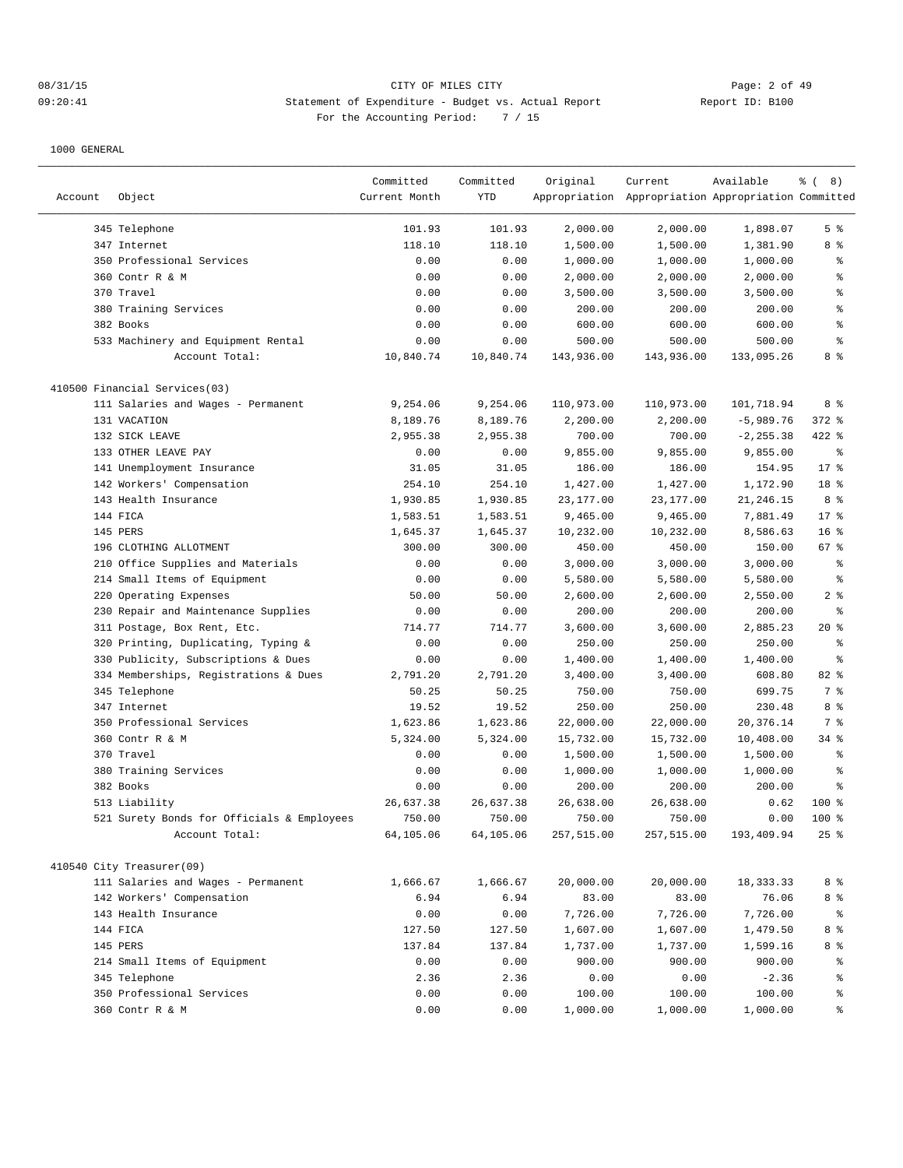# 08/31/15 CITY OF MILES CITY Page: 2 of 49 09:20:41 Statement of Expenditure - Budget vs. Actual Report Report ID: B100 For the Accounting Period: 7 / 15

|         |                                            | Committed     | Committed | Original   | Current                                             | Available    | $\frac{6}{6}$ ( 8) |
|---------|--------------------------------------------|---------------|-----------|------------|-----------------------------------------------------|--------------|--------------------|
| Account | Object                                     | Current Month | YTD       |            | Appropriation Appropriation Appropriation Committed |              |                    |
|         | 345 Telephone                              | 101.93        | 101.93    | 2,000.00   | 2,000.00                                            | 1,898.07     | 5 <sup>°</sup>     |
|         | 347 Internet                               | 118.10        | 118.10    | 1,500.00   | 1,500.00                                            | 1,381.90     | 8 %                |
|         | 350 Professional Services                  | 0.00          | 0.00      | 1,000.00   | 1,000.00                                            | 1,000.00     | နွ                 |
|         | 360 Contr R & M                            | 0.00          | 0.00      | 2,000.00   | 2,000.00                                            | 2,000.00     | $\,{}^{\circ}\!$   |
|         | 370 Travel                                 | 0.00          | 0.00      | 3,500.00   | 3,500.00                                            | 3,500.00     | $\,$ $\,$ $\,$     |
|         | 380 Training Services                      | 0.00          | 0.00      | 200.00     | 200.00                                              | 200.00       | ి                  |
|         | 382 Books                                  | 0.00          | 0.00      | 600.00     | 600.00                                              | 600.00       | ి                  |
|         | 533 Machinery and Equipment Rental         | 0.00          | 0.00      | 500.00     | 500.00                                              | 500.00       | ి                  |
|         | Account Total:                             | 10,840.74     | 10,840.74 | 143,936.00 | 143,936.00                                          | 133,095.26   | 8 %                |
|         | 410500 Financial Services(03)              |               |           |            |                                                     |              |                    |
|         | 111 Salaries and Wages - Permanent         | 9,254.06      | 9,254.06  | 110,973.00 | 110,973.00                                          | 101,718.94   | 8 %                |
|         | 131 VACATION                               | 8,189.76      | 8,189.76  | 2,200.00   | 2,200.00                                            | $-5,989.76$  | $372$ $%$          |
|         | 132 SICK LEAVE                             | 2,955.38      | 2,955.38  | 700.00     | 700.00                                              | $-2, 255.38$ | $422$ %            |
|         | 133 OTHER LEAVE PAY                        | 0.00          | 0.00      | 9,855.00   | 9,855.00                                            | 9,855.00     | နွ                 |
|         | 141 Unemployment Insurance                 | 31.05         | 31.05     | 186.00     | 186.00                                              | 154.95       | $17$ %             |
|         | 142 Workers' Compensation                  | 254.10        | 254.10    | 1,427.00   | 1,427.00                                            | 1,172.90     | 18 %               |
|         | 143 Health Insurance                       | 1,930.85      | 1,930.85  | 23,177.00  | 23,177.00                                           | 21,246.15    | 8 %                |
|         | 144 FICA                                   | 1,583.51      | 1,583.51  | 9,465.00   | 9,465.00                                            | 7,881.49     | $17$ %             |
|         | 145 PERS                                   | 1,645.37      | 1,645.37  | 10,232.00  | 10,232.00                                           | 8,586.63     | 16 <sup>°</sup>    |
|         | 196 CLOTHING ALLOTMENT                     | 300.00        | 300.00    | 450.00     | 450.00                                              | 150.00       | 67%                |
|         | 210 Office Supplies and Materials          | 0.00          | 0.00      | 3,000.00   | 3,000.00                                            | 3,000.00     | ి                  |
|         | 214 Small Items of Equipment               | 0.00          | 0.00      | 5,580.00   | 5,580.00                                            | 5,580.00     | $\,{}^{\circ}\!$   |
|         | 220 Operating Expenses                     | 50.00         | 50.00     | 2,600.00   | 2,600.00                                            | 2,550.00     | 2 <sup>8</sup>     |
|         | 230 Repair and Maintenance Supplies        | 0.00          | 0.00      | 200.00     | 200.00                                              | 200.00       | န္                 |
|         | 311 Postage, Box Rent, Etc.                | 714.77        | 714.77    | 3,600.00   | 3,600.00                                            | 2,885.23     | $20*$              |
|         | 320 Printing, Duplicating, Typing &        | 0.00          | 0.00      | 250.00     | 250.00                                              | 250.00       | ి                  |
|         | 330 Publicity, Subscriptions & Dues        | 0.00          | 0.00      | 1,400.00   | 1,400.00                                            | 1,400.00     | $\,{}^{\circ}\!$   |
|         | 334 Memberships, Registrations & Dues      | 2,791.20      | 2,791.20  | 3,400.00   | 3,400.00                                            | 608.80       | 82 %               |
|         | 345 Telephone                              | 50.25         | 50.25     | 750.00     | 750.00                                              | 699.75       | 7 %                |
|         | 347 Internet                               | 19.52         | 19.52     | 250.00     | 250.00                                              | 230.48       | 8 %                |
|         | 350 Professional Services                  | 1,623.86      | 1,623.86  | 22,000.00  | 22,000.00                                           | 20,376.14    | 7 %                |
|         | 360 Contr R & M                            | 5,324.00      | 5,324.00  | 15,732.00  | 15,732.00                                           | 10,408.00    | $34$ $%$           |
|         | 370 Travel                                 | 0.00          | 0.00      | 1,500.00   | 1,500.00                                            | 1,500.00     | ి                  |
|         | 380 Training Services                      | 0.00          | 0.00      | 1,000.00   | 1,000.00                                            | 1,000.00     | န္                 |
|         | 382 Books                                  | 0.00          | 0.00      | 200.00     | 200.00                                              | 200.00       | ి                  |
|         | 513 Liability                              | 26,637.38     | 26,637.38 | 26,638.00  | 26,638.00                                           | 0.62         | $100$ %            |
|         | 521 Surety Bonds for Officials & Employees | 750.00        | 750.00    | 750.00     | 750.00                                              | 0.00         | $100$ %            |
|         | Account Total:                             | 64,105.06     | 64,105.06 | 257,515.00 | 257,515.00                                          | 193,409.94   | $25$ $%$           |
|         | 410540 City Treasurer(09)                  |               |           |            |                                                     |              |                    |
|         | 111 Salaries and Wages - Permanent         | 1,666.67      | 1,666.67  | 20,000.00  | 20,000.00                                           | 18, 333. 33  | 8 %                |
|         | 142 Workers' Compensation                  | 6.94          | 6.94      | 83.00      | 83.00                                               | 76.06        | 8 %                |
|         | 143 Health Insurance                       | 0.00          | 0.00      | 7,726.00   | 7,726.00                                            | 7,726.00     | ್ಠಿ                |
|         | 144 FICA                                   | 127.50        | 127.50    | 1,607.00   | 1,607.00                                            | 1,479.50     | 8 %                |
|         | 145 PERS                                   | 137.84        | 137.84    | 1,737.00   | 1,737.00                                            | 1,599.16     | 8 %                |
|         | 214 Small Items of Equipment               | 0.00          | 0.00      | 900.00     | 900.00                                              | 900.00       | ွေ                 |
|         | 345 Telephone                              | 2.36          | 2.36      | 0.00       | 0.00                                                | $-2.36$      | နွ                 |
|         | 350 Professional Services                  | 0.00          | 0.00      | 100.00     | 100.00                                              | 100.00       | ್ಠಿ                |
|         | 360 Contr R & M                            | 0.00          | 0.00      | 1,000.00   | 1,000.00                                            | 1,000.00     | $\epsilon$         |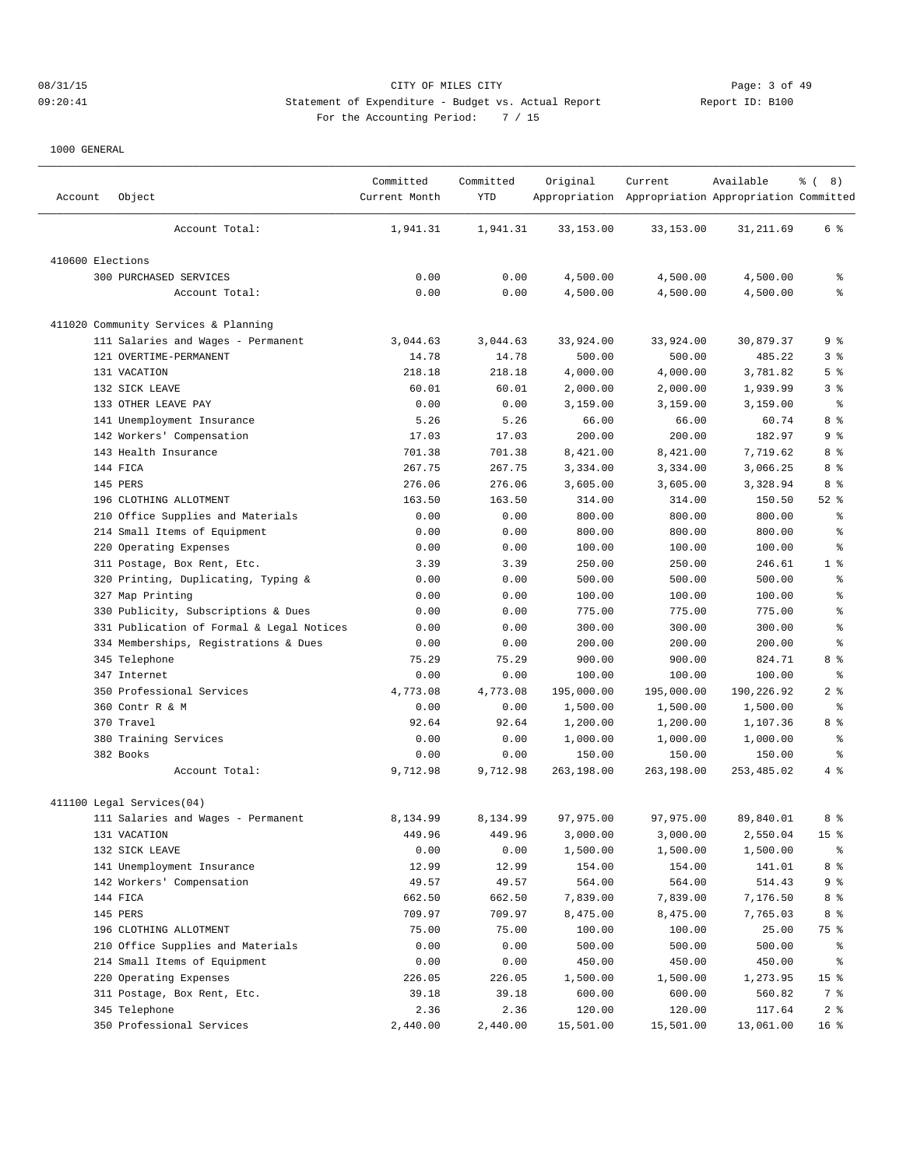# 08/31/15 CITY OF MILES CITY Page: 3 of 49 09:20:41 Statement of Expenditure - Budget vs. Actual Report Report ID: B100 For the Accounting Period: 7 / 15

| Account          | Object                                    | Committed<br>Current Month | Committed<br>YTD | Original   | Current<br>Appropriation Appropriation Appropriation Committed | Available  | <sub>ර</sub> ි (8) |
|------------------|-------------------------------------------|----------------------------|------------------|------------|----------------------------------------------------------------|------------|--------------------|
|                  | Account Total:                            | 1,941.31                   | 1,941.31         | 33,153.00  | 33,153.00                                                      | 31,211.69  | 6 %                |
| 410600 Elections |                                           |                            |                  |            |                                                                |            |                    |
|                  | 300 PURCHASED SERVICES                    | 0.00                       | 0.00             | 4,500.00   | 4,500.00                                                       | 4,500.00   | န္                 |
|                  | Account Total:                            | 0.00                       | 0.00             | 4,500.00   | 4,500.00                                                       | 4,500.00   | ి                  |
|                  | 411020 Community Services & Planning      |                            |                  |            |                                                                |            |                    |
|                  | 111 Salaries and Wages - Permanent        | 3,044.63                   | 3,044.63         | 33,924.00  | 33,924.00                                                      | 30,879.37  | 9 %                |
|                  | 121 OVERTIME-PERMANENT                    | 14.78                      | 14.78            | 500.00     | 500.00                                                         | 485.22     | 3%                 |
|                  | 131 VACATION                              | 218.18                     | 218.18           | 4,000.00   | 4,000.00                                                       | 3,781.82   | 5 <sup>°</sup>     |
|                  | 132 SICK LEAVE                            | 60.01                      | 60.01            | 2,000.00   | 2,000.00                                                       | 1,939.99   | 3%                 |
|                  | 133 OTHER LEAVE PAY                       | 0.00                       | 0.00             | 3,159.00   | 3,159.00                                                       | 3,159.00   | $\epsilon$         |
|                  | 141 Unemployment Insurance                | 5.26                       | 5.26             | 66.00      | 66.00                                                          | 60.74      | 8 %                |
|                  | 142 Workers' Compensation                 | 17.03                      | 17.03            | 200.00     | 200.00                                                         | 182.97     | 9 %                |
|                  | 143 Health Insurance                      | 701.38                     | 701.38           | 8,421.00   | 8,421.00                                                       | 7,719.62   | 8 %                |
|                  | 144 FICA                                  | 267.75                     | 267.75           | 3,334.00   | 3,334.00                                                       | 3,066.25   | 8 %                |
|                  | 145 PERS                                  | 276.06                     | 276.06           | 3,605.00   | 3,605.00                                                       | 3,328.94   | 8 %                |
|                  | 196 CLOTHING ALLOTMENT                    | 163.50                     | 163.50           | 314.00     | 314.00                                                         | 150.50     | $52$ $%$           |
|                  | 210 Office Supplies and Materials         | 0.00                       | 0.00             | 800.00     | 800.00                                                         | 800.00     | န္                 |
| 214              | Small Items of Equipment                  | 0.00                       | 0.00             | 800.00     | 800.00                                                         | 800.00     | $\,{}^{\circ}\!$   |
|                  | 220 Operating Expenses                    | 0.00                       | 0.00             | 100.00     | 100.00                                                         | 100.00     | ి                  |
|                  | 311 Postage, Box Rent, Etc.               | 3.39                       | 3.39             | 250.00     | 250.00                                                         | 246.61     | 1 <sup>8</sup>     |
|                  | 320 Printing, Duplicating, Typing &       | 0.00                       | 0.00             | 500.00     | 500.00                                                         | 500.00     | ႜ                  |
|                  | 327 Map Printing                          | 0.00                       | 0.00             | 100.00     | 100.00                                                         | 100.00     | န္                 |
| 330              | Publicity, Subscriptions & Dues           | 0.00                       | 0.00             | 775.00     | 775.00                                                         | 775.00     | ి                  |
|                  | 331 Publication of Formal & Legal Notices | 0.00                       | 0.00             | 300.00     | 300.00                                                         | 300.00     | ి                  |
|                  | 334 Memberships, Registrations & Dues     | 0.00                       | 0.00             | 200.00     | 200.00                                                         | 200.00     | ి                  |
|                  | 345 Telephone                             | 75.29                      | 75.29            | 900.00     | 900.00                                                         | 824.71     | 8 %                |
|                  | 347 Internet                              | 0.00                       | 0.00             | 100.00     | 100.00                                                         | 100.00     | နွ                 |
|                  | 350 Professional Services                 | 4,773.08                   | 4,773.08         | 195,000.00 | 195,000.00                                                     | 190,226.92 | 2 <sup>8</sup>     |
|                  | 360 Contr R & M                           | 0.00                       | 0.00             | 1,500.00   | 1,500.00                                                       | 1,500.00   | န္                 |
|                  | 370 Travel                                | 92.64                      | 92.64            | 1,200.00   | 1,200.00                                                       | 1,107.36   | 8 %                |
|                  | 380 Training Services                     | 0.00                       | 0.00             | 1,000.00   | 1,000.00                                                       | 1,000.00   | ႜ                  |
|                  | 382 Books                                 | 0.00                       | 0.00             | 150.00     | 150.00                                                         | 150.00     | န္                 |
|                  | Account Total:                            | 9,712.98                   | 9,712.98         | 263,198.00 | 263,198.00                                                     | 253,485.02 | 4%                 |
|                  | 411100 Legal Services(04)                 |                            |                  |            |                                                                |            |                    |
|                  | 111 Salaries and Wages - Permanent        | 8,134.99                   | 8,134.99         | 97,975.00  | 97,975.00                                                      | 89,840.01  | 8 %                |
|                  | 131 VACATION                              | 449.96                     | 449.96           | 3,000.00   | 3,000.00                                                       | 2,550.04   | 15 <sup>°</sup>    |
|                  | 132 SICK LEAVE                            | 0.00                       | 0.00             | 1,500.00   | 1,500.00                                                       | 1,500.00   | ွေ                 |
|                  | 141 Unemployment Insurance                | 12.99                      | 12.99            | 154.00     | 154.00                                                         | 141.01     | $8\degree$         |
|                  | 142 Workers' Compensation                 | 49.57                      | 49.57            | 564.00     | 564.00                                                         | 514.43     | 9 %                |
|                  | 144 FICA                                  | 662.50                     | 662.50           | 7,839.00   | 7,839.00                                                       | 7,176.50   | 8 %                |
|                  | 145 PERS                                  | 709.97                     | 709.97           | 8,475.00   | 8,475.00                                                       | 7,765.03   | 8 %                |
|                  | 196 CLOTHING ALLOTMENT                    | 75.00                      | 75.00            | 100.00     | 100.00                                                         | 25.00      | 75 %               |
|                  | 210 Office Supplies and Materials         | 0.00                       | 0.00             | 500.00     | 500.00                                                         | 500.00     | ి                  |
|                  | 214 Small Items of Equipment              | 0.00                       | 0.00             | 450.00     | 450.00                                                         | 450.00     | ွေ                 |
|                  | 220 Operating Expenses                    | 226.05                     | 226.05           | 1,500.00   | 1,500.00                                                       | 1,273.95   | 15 <sub>8</sub>    |
|                  | 311 Postage, Box Rent, Etc.               | 39.18                      | 39.18            | 600.00     | 600.00                                                         | 560.82     | 7 %                |
|                  | 345 Telephone                             | 2.36                       | 2.36             | 120.00     | 120.00                                                         | 117.64     | 2 <sup>8</sup>     |
|                  | 350 Professional Services                 | 2,440.00                   | 2,440.00         | 15,501.00  | 15,501.00                                                      | 13,061.00  | 16 <sup>°</sup>    |
|                  |                                           |                            |                  |            |                                                                |            |                    |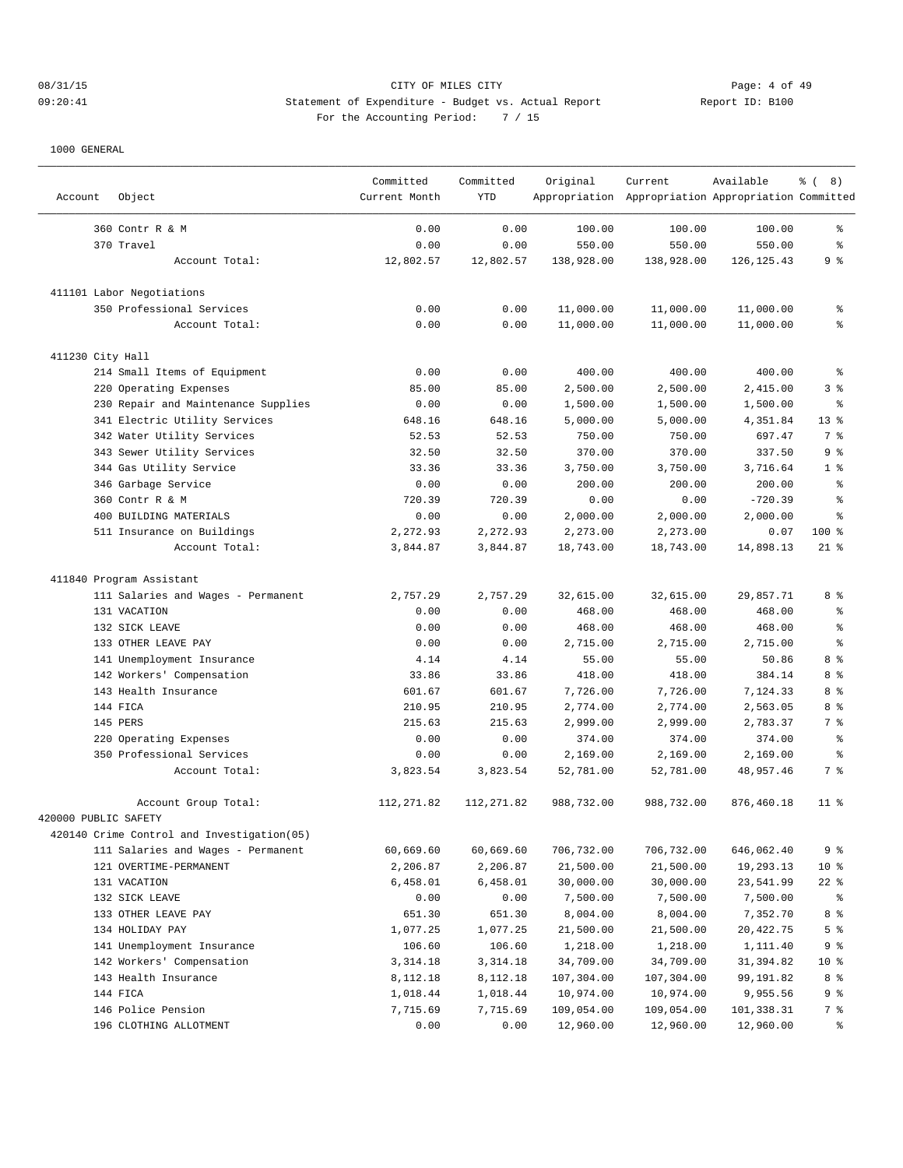# 08/31/15 CITY OF MILES CITY Page: 4 of 49 09:20:41 Statement of Expenditure - Budget vs. Actual Report Changer Report ID: B100 For the Accounting Period: 7 / 15

| Account              | Object                                     | Committed<br>Current Month | Committed<br><b>YTD</b> | Original   | Current<br>Appropriation Appropriation Appropriation Committed | Available   | <sub>ර</sub> ි (8) |
|----------------------|--------------------------------------------|----------------------------|-------------------------|------------|----------------------------------------------------------------|-------------|--------------------|
|                      | 360 Contr R & M                            | 0.00                       | 0.00                    | 100.00     | 100.00                                                         | 100.00      | ి                  |
|                      | 370 Travel                                 | 0.00                       | 0.00                    | 550.00     | 550.00                                                         | 550.00      | ి                  |
|                      | Account Total:                             | 12,802.57                  | 12,802.57               | 138,928.00 | 138,928.00                                                     | 126, 125.43 | 9 %                |
|                      | 411101 Labor Negotiations                  |                            |                         |            |                                                                |             |                    |
|                      | 350 Professional Services                  | 0.00                       | 0.00                    | 11,000.00  | 11,000.00                                                      | 11,000.00   | ႜ                  |
|                      | Account Total:                             | 0.00                       | 0.00                    | 11,000.00  | 11,000.00                                                      | 11,000.00   | $\approx$          |
| 411230 City Hall     |                                            |                            |                         |            |                                                                |             |                    |
|                      | 214 Small Items of Equipment               | 0.00                       | 0.00                    | 400.00     | 400.00                                                         | 400.00      | ి                  |
|                      | 220 Operating Expenses                     | 85.00                      | 85.00                   | 2,500.00   | 2,500.00                                                       | 2,415.00    | 3%                 |
|                      | 230 Repair and Maintenance Supplies        | 0.00                       | 0.00                    | 1,500.00   | 1,500.00                                                       | 1,500.00    | န္                 |
|                      | 341 Electric Utility Services              | 648.16                     | 648.16                  | 5,000.00   | 5,000.00                                                       | 4,351.84    | $13*$              |
|                      | 342 Water Utility Services                 | 52.53                      | 52.53                   | 750.00     | 750.00                                                         | 697.47      | 7 %                |
|                      | 343 Sewer Utility Services                 | 32.50                      | 32.50                   | 370.00     | 370.00                                                         | 337.50      | 9 <sup>°</sup>     |
|                      | 344 Gas Utility Service                    | 33.36                      | 33.36                   | 3,750.00   | 3,750.00                                                       | 3,716.64    | 1 <sup>8</sup>     |
|                      | 346 Garbage Service                        | 0.00                       | 0.00                    | 200.00     | 200.00                                                         | 200.00      | ి                  |
|                      | 360 Contr R & M                            | 720.39                     | 720.39                  | 0.00       | 0.00                                                           | $-720.39$   | ిక                 |
|                      | 400 BUILDING MATERIALS                     | 0.00                       | 0.00                    | 2,000.00   | 2,000.00                                                       | 2,000.00    | ిక                 |
|                      | 511 Insurance on Buildings                 | 2,272.93                   | 2,272.93                | 2,273.00   | 2,273.00                                                       | 0.07        | $100$ %            |
|                      | Account Total:                             | 3,844.87                   | 3,844.87                | 18,743.00  | 18,743.00                                                      | 14,898.13   | $21$ %             |
|                      | 411840 Program Assistant                   |                            |                         |            |                                                                |             |                    |
|                      | 111 Salaries and Wages - Permanent         | 2,757.29                   | 2,757.29                | 32,615.00  | 32,615.00                                                      | 29,857.71   | 8 %                |
|                      | 131 VACATION                               | 0.00                       | 0.00                    | 468.00     | 468.00                                                         | 468.00      | ి                  |
|                      | 132 SICK LEAVE                             | 0.00                       | 0.00                    | 468.00     | 468.00                                                         | 468.00      | န္                 |
|                      | 133 OTHER LEAVE PAY                        | 0.00                       | 0.00                    | 2,715.00   | 2,715.00                                                       | 2,715.00    | ిక                 |
|                      | 141 Unemployment Insurance                 | 4.14                       | 4.14                    | 55.00      | 55.00                                                          | 50.86       | 8 %                |
|                      | 142 Workers' Compensation                  | 33.86                      | 33.86                   | 418.00     | 418.00                                                         | 384.14      | 8 %                |
|                      | 143 Health Insurance                       | 601.67                     | 601.67                  | 7,726.00   | 7,726.00                                                       | 7,124.33    | 8 %                |
|                      | 144 FICA                                   | 210.95                     | 210.95                  | 2,774.00   | 2,774.00                                                       | 2,563.05    | 8 %                |
|                      | 145 PERS                                   | 215.63                     | 215.63                  | 2,999.00   | 2,999.00                                                       | 2,783.37    | 7 %                |
|                      | 220 Operating Expenses                     | 0.00                       | 0.00                    | 374.00     | 374.00                                                         | 374.00      | ႜ                  |
|                      | 350 Professional Services                  | 0.00                       | 0.00                    | 2,169.00   | 2,169.00                                                       | 2,169.00    | နွ                 |
|                      | Account Total:                             | 3,823.54                   | 3,823.54                | 52,781.00  | 52,781.00                                                      | 48,957.46   | 7 %                |
|                      | Account Group Total:                       | 112, 271.82                | 112, 271.82             | 988,732.00 | 988,732.00                                                     | 876,460.18  | $11$ %             |
| 420000 PUBLIC SAFETY |                                            |                            |                         |            |                                                                |             |                    |
|                      | 420140 Crime Control and Investigation(05) |                            |                         |            |                                                                |             |                    |
|                      | 111 Salaries and Wages - Permanent         | 60,669.60                  | 60,669.60               | 706,732.00 | 706,732.00                                                     | 646,062.40  | 9 %                |
|                      | 121 OVERTIME-PERMANENT                     | 2,206.87                   | 2,206.87                | 21,500.00  | 21,500.00                                                      | 19,293.13   | 10 <sup>°</sup>    |
|                      | 131 VACATION                               | 6,458.01                   | 6,458.01                | 30,000.00  | 30,000.00                                                      | 23,541.99   | $22$ %             |
|                      | 132 SICK LEAVE                             | 0.00                       | 0.00                    | 7,500.00   | 7,500.00                                                       | 7,500.00    | ွေ                 |
|                      | 133 OTHER LEAVE PAY                        | 651.30                     | 651.30                  | 8,004.00   | 8,004.00                                                       | 7,352.70    | 8 %                |
|                      | 134 HOLIDAY PAY                            | 1,077.25                   | 1,077.25                | 21,500.00  | 21,500.00                                                      | 20,422.75   | 5 %                |
|                      | 141 Unemployment Insurance                 | 106.60                     | 106.60                  | 1,218.00   | 1,218.00                                                       | 1,111.40    | 9%                 |
|                      | 142 Workers' Compensation                  | 3, 314.18                  | 3,314.18                | 34,709.00  | 34,709.00                                                      | 31,394.82   | 10 <sup>°</sup>    |
|                      | 143 Health Insurance                       | 8,112.18                   | 8,112.18                | 107,304.00 | 107,304.00                                                     | 99,191.82   | 8 %                |
|                      | 144 FICA                                   | 1,018.44                   | 1,018.44                | 10,974.00  | 10,974.00                                                      | 9,955.56    | 9%                 |
|                      | 146 Police Pension                         | 7,715.69                   | 7,715.69                | 109,054.00 | 109,054.00                                                     | 101,338.31  | 7 %                |
|                      | 196 CLOTHING ALLOTMENT                     | 0.00                       | 0.00                    | 12,960.00  | 12,960.00                                                      | 12,960.00   | ್ಠಿ                |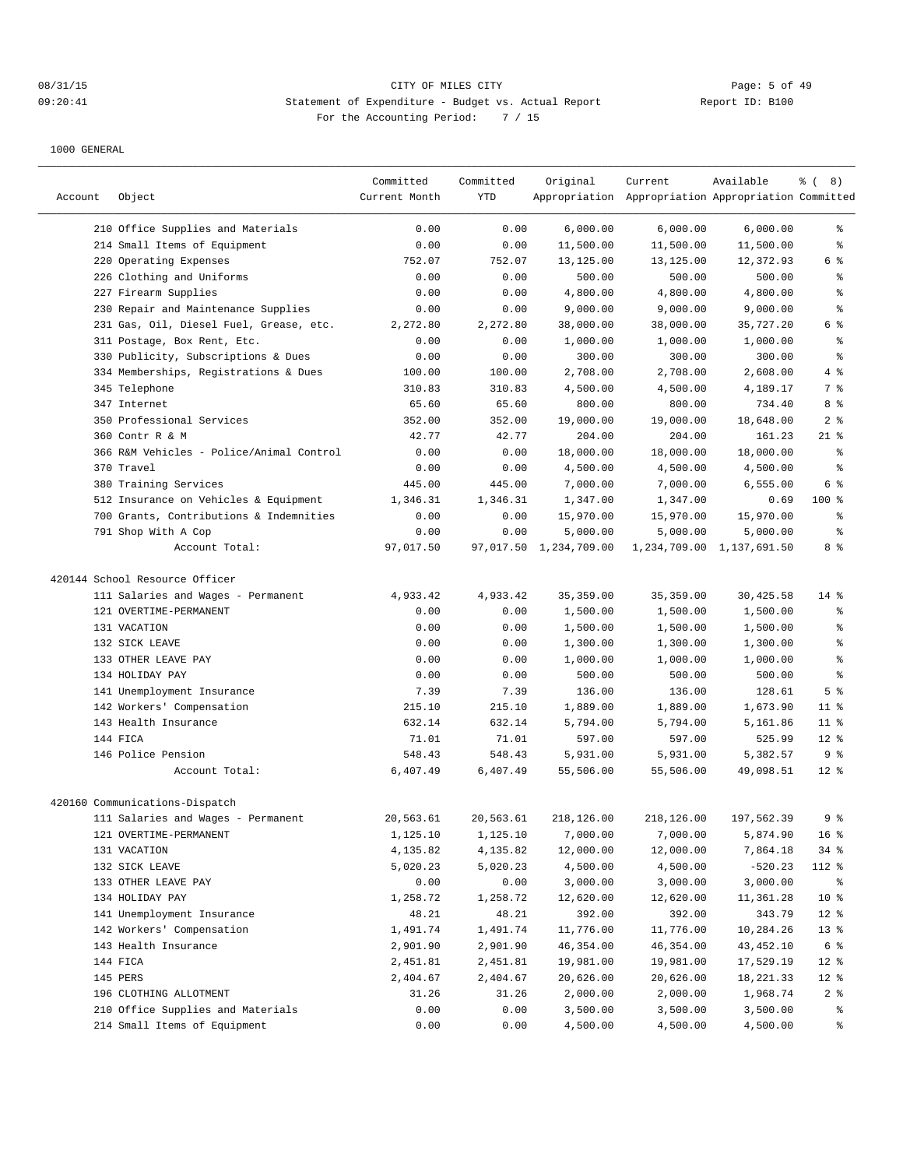## 08/31/15 Page: 5 of 49 09:20:41 Statement of Expenditure - Budget vs. Actual Report Changer Report ID: B100 For the Accounting Period: 7 / 15

| Account | Object                                   | Committed<br>Current Month | Committed<br><b>YTD</b> | Original               | Current<br>Appropriation Appropriation Appropriation Committed | Available                 | <sub>ර</sub> ි (8) |
|---------|------------------------------------------|----------------------------|-------------------------|------------------------|----------------------------------------------------------------|---------------------------|--------------------|
|         |                                          |                            |                         |                        |                                                                |                           |                    |
|         | 210 Office Supplies and Materials        | 0.00                       | 0.00                    | 6,000.00               | 6,000.00                                                       | 6,000.00                  | ႜ                  |
|         | 214 Small Items of Equipment             | 0.00                       | 0.00                    | 11,500.00              | 11,500.00                                                      | 11,500.00                 | ి                  |
|         | 220 Operating Expenses                   | 752.07                     | 752.07                  | 13,125.00              | 13,125.00                                                      | 12,372.93                 | 6 %                |
|         | 226 Clothing and Uniforms                | 0.00                       | 0.00                    | 500.00                 | 500.00                                                         | 500.00                    | န္                 |
|         | 227 Firearm Supplies                     | 0.00                       | 0.00                    | 4,800.00               | 4,800.00                                                       | 4,800.00                  | န္                 |
|         | 230 Repair and Maintenance Supplies      | 0.00                       | 0.00                    | 9,000.00               | 9,000.00                                                       | 9,000.00                  | ి                  |
|         | 231 Gas, Oil, Diesel Fuel, Grease, etc.  | 2,272.80                   | 2,272.80                | 38,000.00              | 38,000.00                                                      | 35,727.20                 | 6 %                |
|         | 311 Postage, Box Rent, Etc.              | 0.00                       | 0.00                    | 1,000.00               | 1,000.00                                                       | 1,000.00                  | ႜ                  |
|         | 330 Publicity, Subscriptions & Dues      | 0.00                       | 0.00                    | 300.00                 | 300.00                                                         | 300.00                    | နွ                 |
|         | 334 Memberships, Registrations & Dues    | 100.00                     | 100.00                  | 2,708.00               | 2,708.00                                                       | 2,608.00                  | 4%                 |
|         | 345 Telephone                            | 310.83                     | 310.83                  | 4,500.00               | 4,500.00                                                       | 4,189.17                  | 7 %                |
|         | 347 Internet                             | 65.60                      | 65.60                   | 800.00                 | 800.00                                                         | 734.40                    | 8 %                |
|         | 350 Professional Services                | 352.00                     | 352.00                  | 19,000.00              | 19,000.00                                                      | 18,648.00                 | 2 <sup>°</sup>     |
|         | 360 Contr R & M                          | 42.77                      | 42.77                   | 204.00                 | 204.00                                                         | 161.23                    | $21$ %             |
|         | 366 R&M Vehicles - Police/Animal Control | 0.00                       | 0.00                    | 18,000.00              | 18,000.00                                                      | 18,000.00                 | ి                  |
|         | 370 Travel                               | 0.00                       | 0.00                    | 4,500.00               | 4,500.00                                                       | 4,500.00                  | ి                  |
|         | 380 Training Services                    | 445.00                     | 445.00                  | 7,000.00               | 7,000.00                                                       | 6, 555.00                 | 6 %                |
|         | 512 Insurance on Vehicles & Equipment    | 1,346.31                   | 1,346.31                | 1,347.00               | 1,347.00                                                       | 0.69                      | 100 %              |
|         | 700 Grants, Contributions & Indemnities  | 0.00                       | 0.00                    | 15,970.00              | 15,970.00                                                      | 15,970.00                 | $\,{}^{\circ}\!$   |
|         | 791 Shop With A Cop                      | 0.00                       | 0.00                    | 5,000.00               | 5,000.00                                                       | 5,000.00                  | ి                  |
|         | Account Total:                           | 97,017.50                  |                         | 97,017.50 1,234,709.00 |                                                                | 1,234,709.00 1,137,691.50 | 8 %                |
|         | 420144 School Resource Officer           |                            |                         |                        |                                                                |                           |                    |
|         | 111 Salaries and Wages - Permanent       | 4,933.42                   | 4,933.42                | 35, 359.00             | 35, 359.00                                                     | 30,425.58                 | $14*$              |
|         | 121 OVERTIME-PERMANENT                   | 0.00                       | 0.00                    | 1,500.00               | 1,500.00                                                       | 1,500.00                  | န္                 |
|         | 131 VACATION                             | 0.00                       | 0.00                    | 1,500.00               | 1,500.00                                                       | 1,500.00                  | ి                  |
|         | 132 SICK LEAVE                           | 0.00                       | 0.00                    | 1,300.00               | 1,300.00                                                       | 1,300.00                  | ిక                 |
|         | 133 OTHER LEAVE PAY                      | 0.00                       | 0.00                    | 1,000.00               | 1,000.00                                                       | 1,000.00                  | $\,{}^{\circ}\!$   |
|         | 134 HOLIDAY PAY                          | 0.00                       | 0.00                    | 500.00                 | 500.00                                                         | 500.00                    | $\,{}^{\circ}\!$   |
|         | 141 Unemployment Insurance               | 7.39                       | 7.39                    | 136.00                 | 136.00                                                         | 128.61                    | 5 <sup>8</sup>     |
|         | 142 Workers' Compensation                | 215.10                     | 215.10                  | 1,889.00               | 1,889.00                                                       | 1,673.90                  | $11$ %             |
|         | 143 Health Insurance                     | 632.14                     | 632.14                  | 5,794.00               | 5,794.00                                                       | 5,161.86                  | $11$ %             |
|         | 144 FICA                                 | 71.01                      | 71.01                   | 597.00                 | 597.00                                                         | 525.99                    | $12*$              |
|         | 146 Police Pension                       | 548.43                     | 548.43                  | 5,931.00               | 5,931.00                                                       | 5,382.57                  | 9 <sup>°</sup>     |
|         | Account Total:                           | 6,407.49                   | 6,407.49                | 55,506.00              | 55,506.00                                                      | 49,098.51                 | $12*$              |
|         | 420160 Communications-Dispatch           |                            |                         |                        |                                                                |                           |                    |
|         | 111 Salaries and Wages - Permanent       | 20,563.61                  | 20,563.61               | 218,126.00             | 218,126.00                                                     | 197,562.39                | 9%                 |
|         | 121 OVERTIME-PERMANENT                   | 1,125.10                   | 1,125.10                | 7,000.00               | 7,000.00                                                       | 5,874.90                  | 16 <sup>°</sup>    |
|         | 131 VACATION                             | 4,135.82                   | 4,135.82                | 12,000.00              | 12,000.00                                                      | 7,864.18                  | $34$ $%$           |
|         | 132 SICK LEAVE                           | 5,020.23                   | 5,020.23                | 4,500.00               | 4,500.00                                                       | $-520.23$                 | 112 %              |
|         | 133 OTHER LEAVE PAY                      | 0.00                       | 0.00                    | 3,000.00               | 3,000.00                                                       | 3,000.00                  | ွေ                 |
|         | 134 HOLIDAY PAY                          | 1,258.72                   | 1,258.72                | 12,620.00              | 12,620.00                                                      | 11,361.28                 | 10 <sup>°</sup>    |
|         | 141 Unemployment Insurance               | 48.21                      | 48.21                   | 392.00                 | 392.00                                                         | 343.79                    | $12$ %             |
|         | 142 Workers' Compensation                | 1,491.74                   | 1,491.74                | 11,776.00              | 11,776.00                                                      | 10,284.26                 | 13 <sup>°</sup>    |
|         | 143 Health Insurance                     | 2,901.90                   | 2,901.90                | 46,354.00              | 46,354.00                                                      | 43,452.10                 | 6 %                |
|         | 144 FICA                                 | 2,451.81                   | 2,451.81                | 19,981.00              | 19,981.00                                                      | 17,529.19                 | $12$ %             |
|         | 145 PERS                                 | 2,404.67                   | 2,404.67                | 20,626.00              | 20,626.00                                                      | 18,221.33                 | 12 %               |
|         | 196 CLOTHING ALLOTMENT                   | 31.26                      | 31.26                   | 2,000.00               | 2,000.00                                                       | 1,968.74                  | 2 <sup>8</sup>     |
|         | 210 Office Supplies and Materials        | 0.00                       | 0.00                    | 3,500.00               | 3,500.00                                                       | 3,500.00                  | ွေ                 |
|         | 214 Small Items of Equipment             | 0.00                       | 0.00                    | 4,500.00               | 4,500.00                                                       | 4,500.00                  | ွေ                 |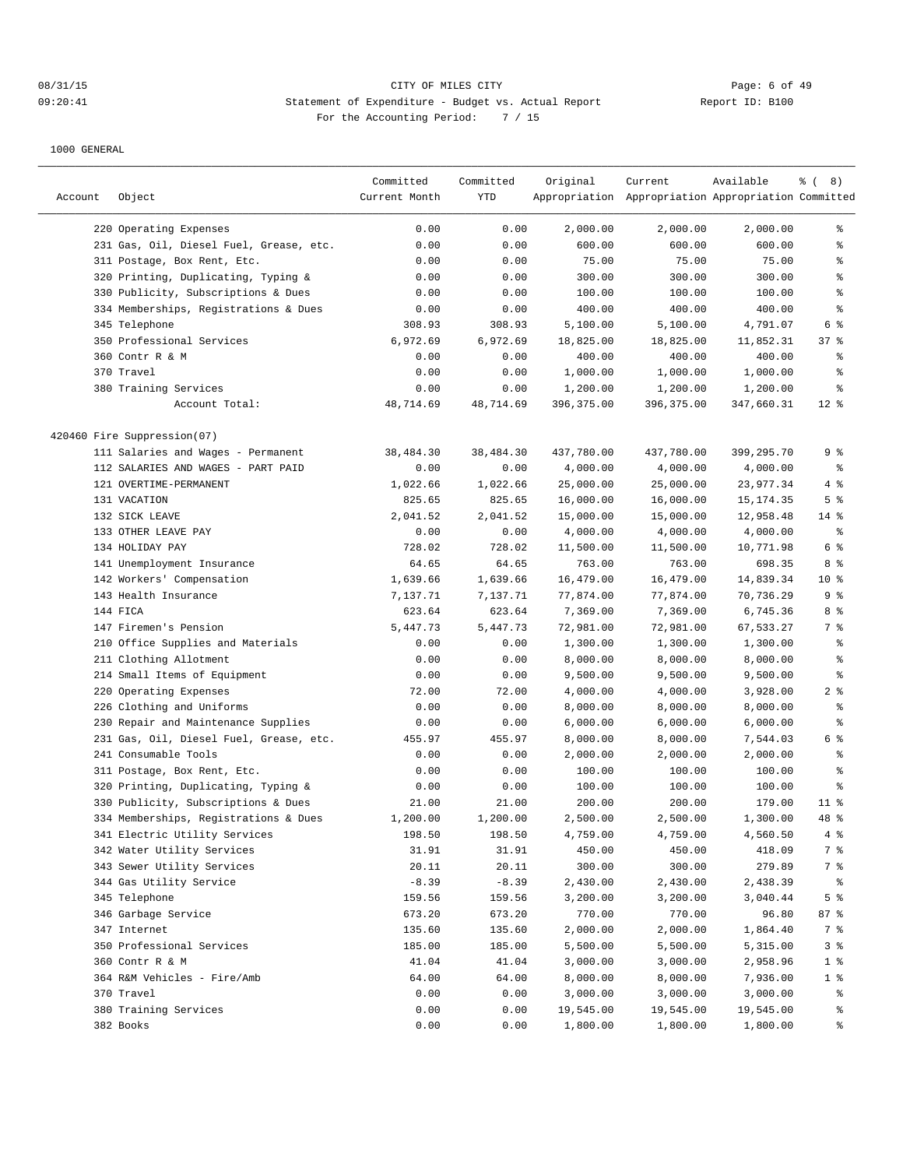## 08/31/15 CITY OF MILES CITY Page: 6 of 49 09:20:41 Statement of Expenditure - Budget vs. Actual Report Changer Report ID: B100 For the Accounting Period: 7 / 15

| Account | Object                                  | Committed<br>Current Month | Committed<br>YTD | Original    | Current<br>Appropriation Appropriation Appropriation Committed | Available  | % (8)           |
|---------|-----------------------------------------|----------------------------|------------------|-------------|----------------------------------------------------------------|------------|-----------------|
|         | 220 Operating Expenses                  | 0.00                       | 0.00             | 2,000.00    | 2,000.00                                                       | 2,000.00   | ွေ              |
|         | 231 Gas, Oil, Diesel Fuel, Grease, etc. | 0.00                       | 0.00             | 600.00      | 600.00                                                         | 600.00     | ి               |
|         | 311 Postage, Box Rent, Etc.             | 0.00                       | 0.00             | 75.00       | 75.00                                                          | 75.00      | နွ              |
|         | 320 Printing, Duplicating, Typing &     | 0.00                       | 0.00             | 300.00      | 300.00                                                         | 300.00     | န္              |
|         | 330 Publicity, Subscriptions & Dues     | 0.00                       | 0.00             | 100.00      | 100.00                                                         | 100.00     | $\epsilon$      |
|         | 334 Memberships, Registrations & Dues   |                            |                  | 400.00      | 400.00                                                         | 400.00     | န္              |
|         | 345 Telephone                           | 0.00<br>308.93             | 0.00<br>308.93   | 5,100.00    | 5,100.00                                                       | 4,791.07   | 6 %             |
|         | 350 Professional Services               | 6,972.69                   | 6,972.69         | 18,825.00   | 18,825.00                                                      | 11,852.31  | 37%             |
|         | 360 Contr R & M                         | 0.00                       | 0.00             | 400.00      | 400.00                                                         | 400.00     | ႜ               |
|         | 370 Travel                              | 0.00                       | 0.00             | 1,000.00    | 1,000.00                                                       | 1,000.00   | န္              |
|         | 380 Training Services                   | 0.00                       | 0.00             | 1,200.00    | 1,200.00                                                       | 1,200.00   | န္              |
|         | Account Total:                          | 48,714.69                  | 48,714.69        | 396, 375.00 | 396,375.00                                                     | 347,660.31 | $12*$           |
|         | 420460 Fire Suppression(07)             |                            |                  |             |                                                                |            |                 |
|         | 111 Salaries and Wages - Permanent      | 38,484.30                  | 38,484.30        | 437,780.00  | 437,780.00                                                     | 399,295.70 | 9 %             |
|         | 112 SALARIES AND WAGES - PART PAID      | 0.00                       | 0.00             | 4,000.00    | 4,000.00                                                       | 4,000.00   | ್ಠಿ             |
|         | 121 OVERTIME-PERMANENT                  | 1,022.66                   | 1,022.66         | 25,000.00   | 25,000.00                                                      | 23, 977.34 | 4 %             |
|         | 131 VACATION                            | 825.65                     | 825.65           | 16,000.00   | 16,000.00                                                      | 15, 174.35 | 5 <sup>°</sup>  |
|         | 132 SICK LEAVE                          | 2,041.52                   | 2,041.52         | 15,000.00   | 15,000.00                                                      | 12,958.48  | $14*$           |
|         | 133 OTHER LEAVE PAY                     | 0.00                       | 0.00             | 4,000.00    | 4,000.00                                                       | 4,000.00   | နွ              |
|         | 134 HOLIDAY PAY                         | 728.02                     | 728.02           | 11,500.00   | 11,500.00                                                      | 10,771.98  | 6 %             |
|         | 141 Unemployment Insurance              | 64.65                      | 64.65            | 763.00      | 763.00                                                         | 698.35     | 8 %             |
|         | 142 Workers' Compensation               | 1,639.66                   | 1,639.66         | 16,479.00   | 16,479.00                                                      | 14,839.34  | 10 <sup>8</sup> |
|         | 143 Health Insurance                    | 7,137.71                   | 7,137.71         | 77,874.00   | 77,874.00                                                      | 70,736.29  | 9 %             |
|         | 144 FICA                                | 623.64                     | 623.64           | 7,369.00    | 7,369.00                                                       | 6,745.36   | 8 %             |
|         | 147 Firemen's Pension                   | 5,447.73                   | 5,447.73         | 72,981.00   | 72,981.00                                                      | 67,533.27  | 7 %             |
|         | 210 Office Supplies and Materials       | 0.00                       | 0.00             | 1,300.00    | 1,300.00                                                       | 1,300.00   | န္              |
|         | 211 Clothing Allotment                  | 0.00                       | 0.00             | 8,000.00    | 8,000.00                                                       | 8,000.00   | န္              |
|         | 214 Small Items of Equipment            | 0.00                       | 0.00             | 9,500.00    | 9,500.00                                                       | 9,500.00   | နွ              |
| 220     | Operating Expenses                      | 72.00                      | 72.00            | 4,000.00    | 4,000.00                                                       | 3,928.00   | 2 <sub>8</sub>  |
|         | 226 Clothing and Uniforms               | 0.00                       | 0.00             | 8,000.00    | 8,000.00                                                       | 8,000.00   | ್ಠಿ             |
|         | 230 Repair and Maintenance Supplies     | 0.00                       | 0.00             | 6,000.00    | 6,000.00                                                       | 6,000.00   | န္              |
|         | 231 Gas, Oil, Diesel Fuel, Grease, etc. | 455.97                     | 455.97           | 8,000.00    | 8,000.00                                                       | 7,544.03   | 6 %             |
|         | 241 Consumable Tools                    | 0.00                       | 0.00             | 2,000.00    | 2,000.00                                                       | 2,000.00   | န္              |
|         | 311 Postage, Box Rent, Etc.             | 0.00                       | 0.00             | 100.00      | 100.00                                                         | 100.00     | န္              |
|         | 320 Printing, Duplicating, Typing &     | 0.00                       | 0.00             | 100.00      | 100.00                                                         | 100.00     | ి               |
|         | 330 Publicity, Subscriptions & Dues     | 21.00                      | 21.00            | 200.00      | 200.00                                                         | 179.00     | $11$ %          |
|         | 334 Memberships, Registrations & Dues   | 1,200.00                   | 1,200.00         | 2,500.00    | 2,500.00                                                       | 1,300.00   | 48 %            |
|         | 341 Electric Utility Services           | 198.50                     | 198.50           | 4,759.00    | 4,759.00                                                       | 4,560.50   | $4\degree$      |
|         | 342 Water Utility Services              | 31.91                      | 31.91            | 450.00      | 450.00                                                         | 418.09     | 7 %             |
|         | 343 Sewer Utility Services              | 20.11                      | 20.11            | 300.00      | 300.00                                                         | 279.89     | 7 %             |
|         | 344 Gas Utility Service                 | $-8.39$                    | $-8.39$          | 2,430.00    | 2,430.00                                                       | 2,438.39   | နွ              |
|         | 345 Telephone                           | 159.56                     | 159.56           | 3,200.00    | 3,200.00                                                       | 3,040.44   | 5 %             |
|         | 346 Garbage Service                     | 673.20                     | 673.20           | 770.00      | 770.00                                                         | 96.80      | 87 %            |
|         | 347 Internet                            | 135.60                     | 135.60           | 2,000.00    | 2,000.00                                                       | 1,864.40   | 7 %             |
|         | 350 Professional Services               | 185.00                     | 185.00           | 5,500.00    | 5,500.00                                                       | 5,315.00   | 3%              |
|         | 360 Contr R & M                         | 41.04                      | 41.04            | 3,000.00    | 3,000.00                                                       | 2,958.96   | 1 <sup>8</sup>  |
|         | 364 R&M Vehicles - Fire/Amb             | 64.00                      | 64.00            | 8,000.00    | 8,000.00                                                       | 7,936.00   | 1 <sup>8</sup>  |
|         | 370 Travel                              | 0.00                       | 0.00             | 3,000.00    | 3,000.00                                                       | 3,000.00   | ွေ              |
|         | 380 Training Services                   | 0.00                       | 0.00             | 19,545.00   | 19,545.00                                                      | 19,545.00  | ွေ              |
|         | 382 Books                               | 0.00                       | 0.00             | 1,800.00    | 1,800.00                                                       | 1,800.00   | နွ              |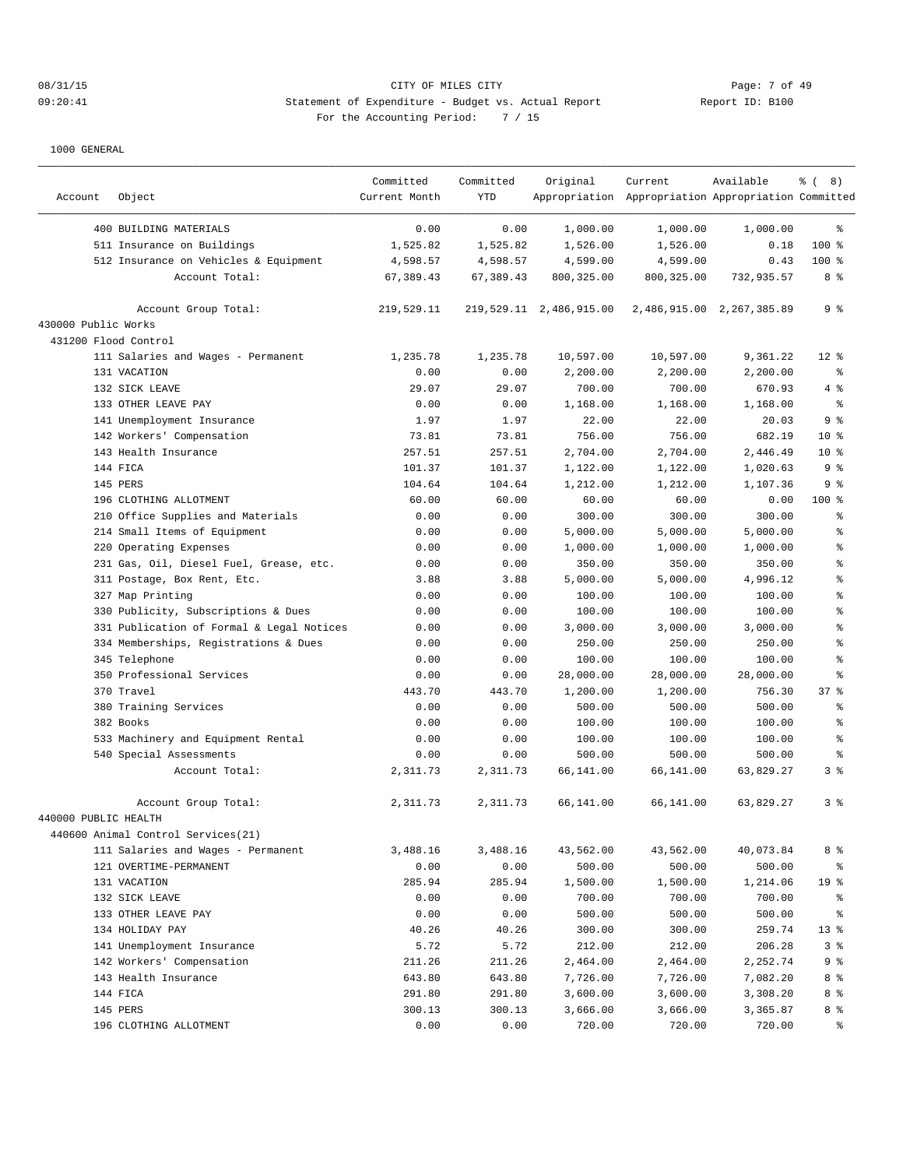| Account              | Object                                    | Committed<br>Current Month | Committed<br>YTD | Original                | Current<br>Appropriation Appropriation Appropriation Committed | Available                 | $\frac{6}{6}$ ( 8) |
|----------------------|-------------------------------------------|----------------------------|------------------|-------------------------|----------------------------------------------------------------|---------------------------|--------------------|
|                      | 400 BUILDING MATERIALS                    | 0.00                       | 0.00             | 1,000.00                | 1,000.00                                                       | 1,000.00                  | ႜ                  |
|                      | 511 Insurance on Buildings                | 1,525.82                   | 1,525.82         | 1,526.00                | 1,526.00                                                       | 0.18                      | 100 %              |
|                      | 512 Insurance on Vehicles & Equipment     | 4,598.57                   | 4,598.57         | 4,599.00                | 4,599.00                                                       | 0.43                      | $100$ %            |
|                      | Account Total:                            | 67,389.43                  | 67,389.43        | 800, 325.00             | 800, 325.00                                                    | 732,935.57                | 8 %                |
|                      | Account Group Total:                      | 219,529.11                 |                  | 219,529.11 2,486,915.00 |                                                                | 2,486,915.00 2,267,385.89 | 9 <sup>8</sup>     |
| 430000 Public Works  |                                           |                            |                  |                         |                                                                |                           |                    |
| 431200 Flood Control |                                           |                            |                  |                         |                                                                |                           |                    |
|                      | 111 Salaries and Wages - Permanent        | 1,235.78                   | 1,235.78         | 10,597.00               | 10,597.00                                                      | 9,361.22                  | $12*$              |
|                      | 131 VACATION                              | 0.00                       | 0.00             | 2,200.00                | 2,200.00                                                       | 2,200.00                  | နွ                 |
|                      | 132 SICK LEAVE                            | 29.07                      | 29.07            | 700.00                  | 700.00                                                         | 670.93                    | 4%                 |
|                      | 133 OTHER LEAVE PAY                       | 0.00                       | 0.00             | 1,168.00                | 1,168.00                                                       | 1,168.00                  | နွ                 |
|                      | 141 Unemployment Insurance                | 1.97                       | 1.97             | 22.00                   | 22.00                                                          | 20.03                     | 9 <sub>8</sub>     |
|                      | 142 Workers' Compensation                 | 73.81                      | 73.81            | 756.00                  | 756.00                                                         | 682.19                    | $10*$              |
|                      | 143 Health Insurance                      | 257.51                     | 257.51           | 2,704.00                | 2,704.00                                                       | 2,446.49                  | $10*$              |
|                      | 144 FICA                                  | 101.37                     | 101.37           | 1,122.00                | 1,122.00                                                       | 1,020.63                  | 9%                 |
|                      | 145 PERS                                  | 104.64                     | 104.64           | 1,212.00                | 1,212.00                                                       | 1,107.36                  | 9%                 |
|                      | 196 CLOTHING ALLOTMENT                    | 60.00                      | 60.00            | 60.00                   | 60.00                                                          | 0.00                      | $100$ %            |
|                      | 210 Office Supplies and Materials         | 0.00                       | 0.00             | 300.00                  | 300.00                                                         | 300.00                    | န္                 |
|                      | 214 Small Items of Equipment              | 0.00                       | 0.00             | 5,000.00                | 5,000.00                                                       | 5,000.00                  | န္                 |
|                      | 220 Operating Expenses                    | 0.00                       | 0.00             | 1,000.00                | 1,000.00                                                       | 1,000.00                  | န္                 |
|                      | 231 Gas, Oil, Diesel Fuel, Grease, etc.   | 0.00                       | 0.00             | 350.00                  | 350.00                                                         | 350.00                    | ిక                 |
|                      | 311 Postage, Box Rent, Etc.               | 3.88                       | 3.88             | 5,000.00                | 5,000.00                                                       | 4,996.12                  | န္                 |
|                      | 327 Map Printing                          | 0.00                       | 0.00             | 100.00                  | 100.00                                                         | 100.00                    | န္                 |
|                      | 330 Publicity, Subscriptions & Dues       | 0.00                       | 0.00             | 100.00                  | 100.00                                                         | 100.00                    | န္                 |
|                      | 331 Publication of Formal & Legal Notices | 0.00                       | 0.00             | 3,000.00                | 3,000.00                                                       | 3,000.00                  | န္                 |
|                      | 334 Memberships, Registrations & Dues     | 0.00                       | 0.00             | 250.00                  | 250.00                                                         | 250.00                    | န္                 |
|                      | 345 Telephone                             | 0.00                       | 0.00             | 100.00                  | 100.00                                                         | 100.00                    | န္                 |
|                      | 350 Professional Services                 | 0.00                       | 0.00             | 28,000.00               | 28,000.00                                                      | 28,000.00                 | န္                 |
|                      | 370 Travel                                | 443.70                     | 443.70           | 1,200.00                | 1,200.00                                                       | 756.30                    | 37%                |
|                      | 380 Training Services                     | 0.00                       | 0.00             | 500.00                  | 500.00                                                         | 500.00                    | ిక                 |
|                      | 382 Books                                 | 0.00                       | 0.00             |                         |                                                                |                           | ిక                 |
|                      |                                           | 0.00                       | 0.00             | 100.00<br>100.00        | 100.00<br>100.00                                               | 100.00<br>100.00          | န္                 |
|                      | 533 Machinery and Equipment Rental        |                            |                  |                         |                                                                |                           | နွ                 |
|                      | 540 Special Assessments                   | 0.00                       | 0.00             | 500.00                  | 500.00                                                         | 500.00                    |                    |
|                      | Account Total:                            | 2,311.73                   | 2,311.73         | 66,141.00               | 66,141.00                                                      | 63,829.27                 | 3 <sup>8</sup>     |
|                      | Account Group Total:                      | 2,311.73                   | 2,311.73         | 66,141.00               | 66,141.00                                                      | 63,829.27                 | 3 <sup>8</sup>     |
| 440000 PUBLIC HEALTH |                                           |                            |                  |                         |                                                                |                           |                    |
|                      | 440600 Animal Control Services (21)       |                            |                  |                         |                                                                |                           |                    |
|                      | 111 Salaries and Wages - Permanent        | 3,488.16                   | 3,488.16         | 43,562.00               | 43,562.00                                                      | 40,073.84                 | 8 %                |
|                      | 121 OVERTIME-PERMANENT                    | 0.00                       | 0.00             | 500.00                  | 500.00                                                         | 500.00                    | နွ                 |
|                      | 131 VACATION                              | 285.94                     | 285.94           | 1,500.00                | 1,500.00                                                       | 1,214.06                  | 19 <sup>°</sup>    |
|                      | 132 SICK LEAVE                            | 0.00                       | 0.00             | 700.00                  | 700.00                                                         | 700.00                    | ႜ                  |
|                      | 133 OTHER LEAVE PAY                       | 0.00                       | 0.00             | 500.00                  | 500.00                                                         | 500.00                    | နွ                 |
|                      | 134 HOLIDAY PAY                           | 40.26                      | 40.26            | 300.00                  | 300.00                                                         | 259.74                    | $13*$              |
|                      | 141 Unemployment Insurance                | 5.72                       | 5.72             | 212.00                  | 212.00                                                         | 206.28                    | 3%                 |
|                      | 142 Workers' Compensation                 | 211.26                     | 211.26           | 2,464.00                | 2,464.00                                                       | 2,252.74                  | 9%                 |
|                      | 143 Health Insurance                      | 643.80                     | 643.80           | 7,726.00                | 7,726.00                                                       | 7,082.20                  | 8 %                |
|                      | 144 FICA                                  | 291.80                     | 291.80           | 3,600.00                | 3,600.00                                                       | 3,308.20                  | 8 %                |
|                      | 145 PERS                                  | 300.13                     | 300.13           | 3,666.00                | 3,666.00                                                       | 3,365.87                  | 8 %                |
|                      | 196 CLOTHING ALLOTMENT                    | 0.00                       | 0.00             | 720.00                  | 720.00                                                         | 720.00                    | ್ಠಿ                |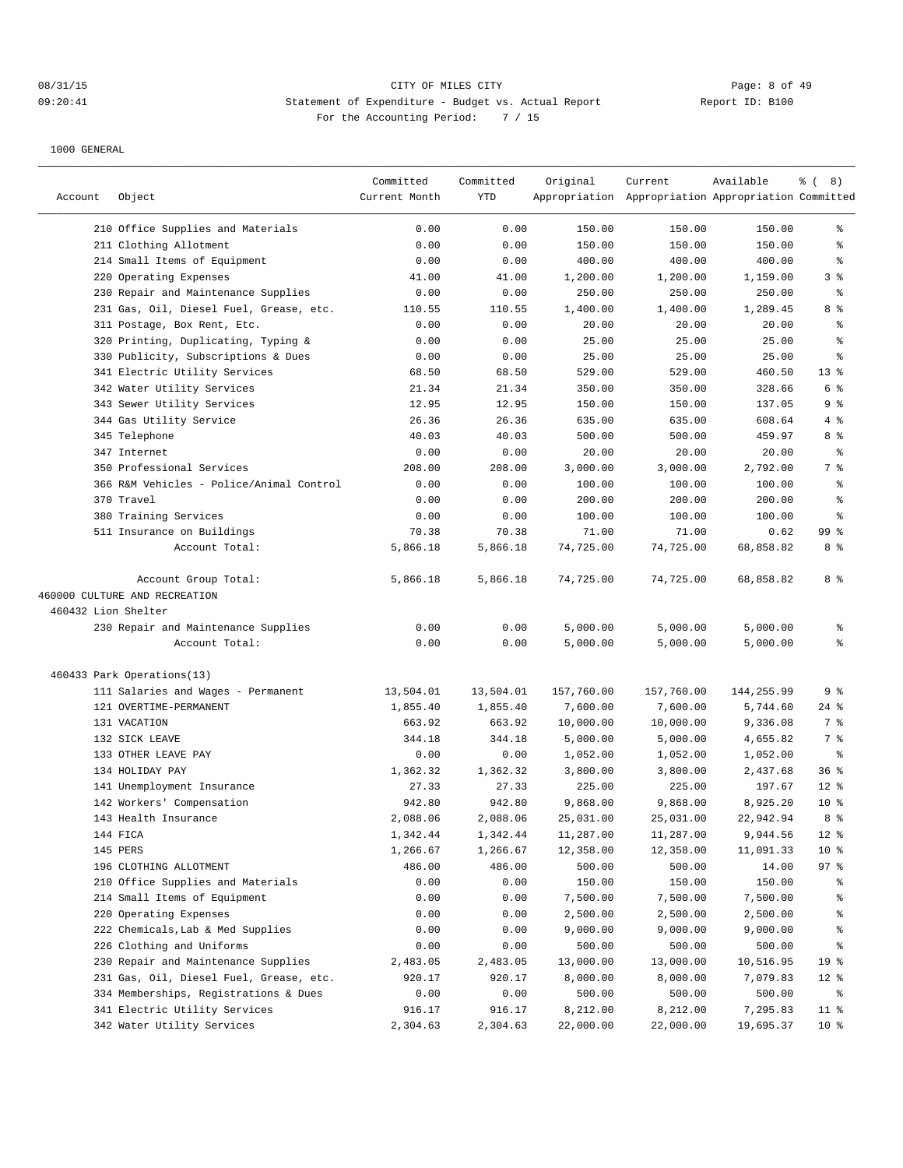## 08/31/15 CITY OF MILES CITY Page: 8 of 49 09:20:41 Statement of Expenditure - Budget vs. Actual Report Changer Report ID: B100 For the Accounting Period: 7 / 15

|                     |                                          | Committed     | Committed | Original   | Current                                             | Available  | $\frac{6}{6}$ ( 8) |
|---------------------|------------------------------------------|---------------|-----------|------------|-----------------------------------------------------|------------|--------------------|
| Account             | Object                                   | Current Month | YTD       |            | Appropriation Appropriation Appropriation Committed |            |                    |
|                     | 210 Office Supplies and Materials        | 0.00          | 0.00      | 150.00     | 150.00                                              | 150.00     | ွေ                 |
|                     | 211 Clothing Allotment                   | 0.00          | 0.00      | 150.00     | 150.00                                              | 150.00     | ి                  |
|                     | 214 Small Items of Equipment             | 0.00          | 0.00      | 400.00     | 400.00                                              | 400.00     | ႜ                  |
|                     | 220 Operating Expenses                   | 41.00         | 41.00     | 1,200.00   | 1,200.00                                            | 1,159.00   | 3 <sup>°</sup>     |
|                     | 230 Repair and Maintenance Supplies      | 0.00          | 0.00      | 250.00     | 250.00                                              | 250.00     | နွ                 |
|                     | 231 Gas, Oil, Diesel Fuel, Grease, etc.  | 110.55        | 110.55    | 1,400.00   | 1,400.00                                            | 1,289.45   | 8 %                |
|                     | 311 Postage, Box Rent, Etc.              | 0.00          | 0.00      | 20.00      | 20.00                                               | 20.00      | ి                  |
|                     | 320 Printing, Duplicating, Typing &      | 0.00          | 0.00      | 25.00      | 25.00                                               | 25.00      | ి                  |
|                     | 330 Publicity, Subscriptions & Dues      | 0.00          | 0.00      | 25.00      | 25.00                                               | 25.00      | ిక                 |
|                     | 341 Electric Utility Services            | 68.50         | 68.50     | 529.00     | 529.00                                              | 460.50     | $13*$              |
|                     | 342 Water Utility Services               | 21.34         | 21.34     | 350.00     | 350.00                                              | 328.66     | 6 %                |
|                     | 343 Sewer Utility Services               | 12.95         | 12.95     | 150.00     | 150.00                                              | 137.05     | 9 %                |
|                     | 344 Gas Utility Service                  | 26.36         | 26.36     | 635.00     | 635.00                                              | 608.64     | 4 %                |
|                     | 345 Telephone                            | 40.03         | 40.03     | 500.00     | 500.00                                              | 459.97     | 8 %                |
|                     | 347 Internet                             | 0.00          | 0.00      | 20.00      | 20.00                                               | 20.00      | နွ                 |
|                     | 350 Professional Services                | 208.00        | 208.00    | 3,000.00   | 3,000.00                                            | 2,792.00   | 7 %                |
|                     | 366 R&M Vehicles - Police/Animal Control | 0.00          | 0.00      | 100.00     | 100.00                                              | 100.00     | ి                  |
|                     | 370 Travel                               | 0.00          | 0.00      | 200.00     | 200.00                                              | 200.00     | ిక                 |
|                     | 380 Training Services                    | 0.00          | 0.00      | 100.00     | 100.00                                              | 100.00     | $\,{}^{\circ}\!$   |
|                     | 511 Insurance on Buildings               | 70.38         | 70.38     | 71.00      | 71.00                                               | 0.62       | 99 <sub>8</sub>    |
|                     | Account Total:                           | 5,866.18      | 5,866.18  | 74,725.00  | 74,725.00                                           | 68,858.82  | 8 %                |
|                     | Account Group Total:                     | 5,866.18      | 5,866.18  | 74,725.00  | 74,725.00                                           | 68,858.82  | 8 %                |
|                     | 460000 CULTURE AND RECREATION            |               |           |            |                                                     |            |                    |
| 460432 Lion Shelter |                                          |               |           |            |                                                     |            |                    |
|                     | 230 Repair and Maintenance Supplies      | 0.00          | 0.00      | 5,000.00   | 5,000.00                                            | 5,000.00   | ႜ                  |
|                     | Account Total:                           | 0.00          | 0.00      | 5,000.00   | 5,000.00                                            | 5,000.00   | ÷                  |
|                     | 460433 Park Operations(13)               |               |           |            |                                                     |            |                    |
|                     | 111 Salaries and Wages - Permanent       | 13,504.01     | 13,504.01 | 157,760.00 | 157,760.00                                          | 144,255.99 | 9 %                |
|                     | 121 OVERTIME-PERMANENT                   | 1,855.40      | 1,855.40  | 7,600.00   | 7,600.00                                            | 5,744.60   | $24$ %             |
|                     | 131 VACATION                             | 663.92        | 663.92    | 10,000.00  | 10,000.00                                           | 9,336.08   | 7 %                |
|                     | 132 SICK LEAVE                           | 344.18        | 344.18    | 5,000.00   | 5,000.00                                            | 4,655.82   | 7 %                |
|                     | 133 OTHER LEAVE PAY                      | 0.00          | 0.00      | 1,052.00   | 1,052.00                                            | 1,052.00   | နွ                 |
|                     | 134 HOLIDAY PAY                          | 1,362.32      | 1,362.32  | 3,800.00   | 3,800.00                                            | 2,437.68   | 36%                |
|                     | 141 Unemployment Insurance               | 27.33         | 27.33     | 225.00     | 225.00                                              | 197.67     | $12*$              |
|                     | 142 Workers' Compensation                | 942.80        | 942.80    | 9,868.00   | 9,868.00                                            | 8,925.20   | $10*$              |
|                     | 143 Health Insurance                     | 2,088.06      | 2,088.06  | 25,031.00  | 25,031.00                                           | 22,942.94  | 8 %                |
|                     | 144 FICA                                 | 1,342.44      | 1,342.44  | 11,287.00  | 11,287.00                                           | 9,944.56   | 12 <sup>°</sup>    |
|                     | 145 PERS                                 | 1,266.67      | 1,266.67  | 12,358.00  | 12,358.00                                           | 11,091.33  | 10 <sup>°</sup>    |
|                     | 196 CLOTHING ALLOTMENT                   | 486.00        | 486.00    | 500.00     | 500.00                                              | 14.00      | 97%                |
|                     | 210 Office Supplies and Materials        | 0.00          | 0.00      | 150.00     | 150.00                                              | 150.00     | ိင                 |
|                     | 214 Small Items of Equipment             | 0.00          | 0.00      | 7,500.00   | 7,500.00                                            | 7,500.00   | ိင                 |
|                     | 220 Operating Expenses                   | 0.00          | 0.00      | 2,500.00   | 2,500.00                                            | 2,500.00   | ိန                 |
|                     | 222 Chemicals, Lab & Med Supplies        | 0.00          | 0.00      | 9,000.00   | 9,000.00                                            | 9,000.00   | ៖                  |
|                     | 226 Clothing and Uniforms                | 0.00          | 0.00      | 500.00     | 500.00                                              | 500.00     | ိင                 |
|                     | 230 Repair and Maintenance Supplies      | 2,483.05      | 2,483.05  | 13,000.00  | 13,000.00                                           | 10,516.95  | 19 <sup>°</sup>    |
|                     | 231 Gas, Oil, Diesel Fuel, Grease, etc.  | 920.17        | 920.17    | 8,000.00   | 8,000.00                                            | 7,079.83   | 12 <sup>°</sup>    |
|                     | 334 Memberships, Registrations & Dues    | 0.00          | 0.00      | 500.00     | 500.00                                              | 500.00     | နွ                 |
|                     | 341 Electric Utility Services            | 916.17        | 916.17    | 8,212.00   | 8,212.00                                            | 7,295.83   | $11$ %             |
|                     | 342 Water Utility Services               | 2,304.63      | 2,304.63  | 22,000.00  | 22,000.00                                           | 19,695.37  | 10 <sup>°</sup>    |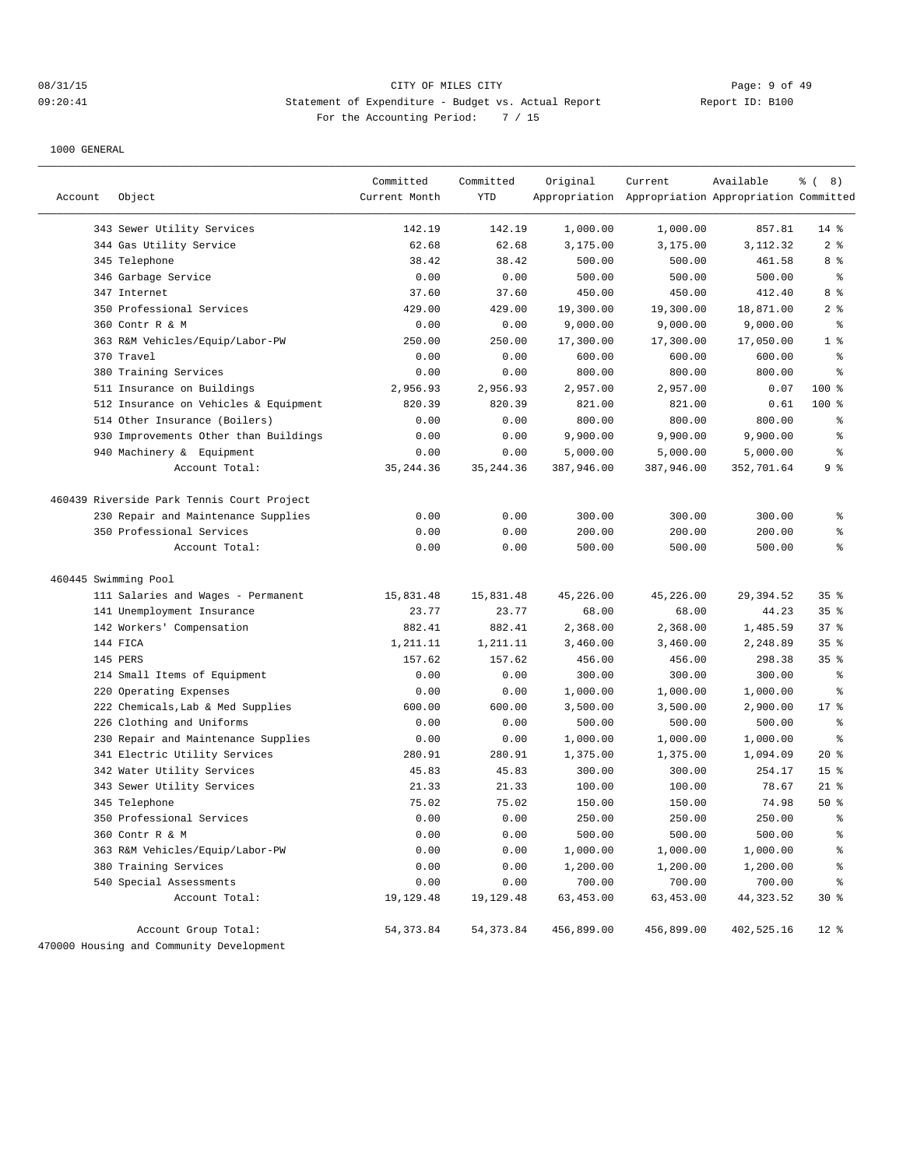## 08/31/15 Page: 9 of 49 09:20:41 Statement of Expenditure - Budget vs. Actual Report Changer (Report ID: B100 For the Accounting Period: 7 / 15

| Account              | Object                                                           | Committed<br>Current Month | Committed<br><b>YTD</b> | Original           | Current<br>Appropriation Appropriation Appropriation Committed | Available          | $\frac{6}{6}$ ( 8)       |
|----------------------|------------------------------------------------------------------|----------------------------|-------------------------|--------------------|----------------------------------------------------------------|--------------------|--------------------------|
|                      |                                                                  |                            |                         |                    |                                                                |                    |                          |
|                      | 343 Sewer Utility Services<br>344 Gas Utility Service            | 142.19<br>62.68            | 142.19                  | 1,000.00           | 1,000.00<br>3,175.00                                           | 857.81             | $14$ %<br>2 <sup>°</sup> |
|                      | 345 Telephone                                                    | 38.42                      | 62.68<br>38.42          | 3,175.00<br>500.00 |                                                                | 3,112.32<br>461.58 | 8 %                      |
|                      | 346 Garbage Service                                              | 0.00                       | 0.00                    | 500.00             | 500.00<br>500.00                                               | 500.00             | $\epsilon$               |
|                      | 347 Internet                                                     | 37.60                      | 37.60                   | 450.00             | 450.00                                                         | 412.40             | 8 %                      |
|                      | 350 Professional Services                                        | 429.00                     | 429.00                  | 19,300.00          | 19,300.00                                                      | 18,871.00          | 2 <sup>°</sup>           |
|                      | 360 Contr R & M                                                  | 0.00                       | 0.00                    | 9,000.00           | 9,000.00                                                       | 9,000.00           | $\epsilon$               |
|                      | 363 R&M Vehicles/Equip/Labor-PW                                  | 250.00                     | 250.00                  | 17,300.00          | 17,300.00                                                      | 17,050.00          | 1 <sup>°</sup>           |
|                      | 370 Travel                                                       | 0.00                       | 0.00                    | 600.00             | 600.00                                                         | 600.00             | $\epsilon$               |
|                      | 380 Training Services                                            | 0.00                       | 0.00                    | 800.00             | 800.00                                                         | 800.00             | $\epsilon$               |
|                      | 511 Insurance on Buildings                                       | 2,956.93                   | 2,956.93                | 2,957.00           | 2,957.00                                                       | 0.07               | 100 %                    |
|                      | 512 Insurance on Vehicles & Equipment                            | 820.39                     | 820.39                  | 821.00             | 821.00                                                         | 0.61               | 100 %                    |
|                      | 514 Other Insurance (Boilers)                                    | 0.00                       | 0.00                    | 800.00             | 800.00                                                         | 800.00             | နွ                       |
|                      | 930 Improvements Other than Buildings                            | 0.00                       | 0.00                    | 9,900.00           | 9,900.00                                                       | 9,900.00           | $\,{}^{\circ}\!$         |
|                      | 940 Machinery & Equipment                                        | 0.00                       | 0.00                    | 5,000.00           | 5,000.00                                                       | 5,000.00           | $\epsilon$               |
|                      | Account Total:                                                   | 35, 244.36                 | 35, 244.36              | 387,946.00         | 387,946.00                                                     | 352,701.64         | 9 <sup>°</sup>           |
|                      | 460439 Riverside Park Tennis Court Project                       |                            |                         |                    |                                                                |                    |                          |
|                      | 230 Repair and Maintenance Supplies                              | 0.00                       | 0.00                    | 300.00             | 300.00                                                         | 300.00             | န္                       |
|                      | 350 Professional Services                                        | 0.00                       | 0.00                    | 200.00             | 200.00                                                         | 200.00             | $\,$ $\,$ $\,$           |
|                      | Account Total:                                                   | 0.00                       | 0.00                    | 500.00             | 500.00                                                         | 500.00             | န္                       |
| 460445 Swimming Pool |                                                                  |                            |                         |                    |                                                                |                    |                          |
|                      | 111 Salaries and Wages - Permanent                               | 15,831.48                  | 15,831.48               | 45,226.00          | 45,226.00                                                      | 29,394.52          | 35%                      |
|                      | 141 Unemployment Insurance                                       | 23.77                      | 23.77                   | 68.00              | 68.00                                                          | 44.23              | 35%                      |
|                      | 142 Workers' Compensation                                        | 882.41                     | 882.41                  | 2,368.00           | 2,368.00                                                       | 1,485.59           | 37%                      |
|                      | 144 FICA                                                         | 1,211.11                   | 1,211.11                | 3,460.00           | 3,460.00                                                       | 2,248.89           | 35%                      |
|                      | 145 PERS                                                         | 157.62                     | 157.62                  | 456.00             | 456.00                                                         | 298.38             | 35%                      |
|                      | 214 Small Items of Equipment                                     | 0.00                       | 0.00                    | 300.00             | 300.00                                                         | 300.00             | $\epsilon$               |
|                      | 220 Operating Expenses                                           | 0.00                       | 0.00                    | 1,000.00           | 1,000.00                                                       | 1,000.00           | နွ                       |
|                      | 222 Chemicals, Lab & Med Supplies                                | 600.00                     | 600.00                  | 3,500.00           | 3,500.00                                                       | 2,900.00           | $17*$                    |
|                      | 226 Clothing and Uniforms                                        | 0.00                       | 0.00                    | 500.00             | 500.00                                                         | 500.00             | နွ                       |
|                      | 230 Repair and Maintenance Supplies                              | 0.00                       | 0.00                    | 1,000.00           | 1,000.00                                                       | 1,000.00           | နွ                       |
|                      | 341 Electric Utility Services                                    | 280.91                     | 280.91                  | 1,375.00           | 1,375.00                                                       | 1,094.09           | $20*$                    |
|                      | 342 Water Utility Services                                       | 45.83                      | 45.83                   | 300.00             | 300.00                                                         | 254.17             | 15 <sup>°</sup>          |
|                      | 343 Sewer Utility Services                                       | 21.33                      | 21.33                   | 100.00             | 100.00                                                         | 78.67              | $21$ %                   |
|                      | 345 Telephone                                                    | 75.02                      | 75.02                   | 150.00             | 150.00                                                         | 74.98              | 50%                      |
|                      | 350 Professional Services                                        | 0.00                       | 0.00                    | 250.00             | 250.00                                                         | 250.00             | $\approx$                |
|                      | 360 Contr R & M                                                  | 0.00                       | 0.00                    | 500.00             | 500.00                                                         | 500.00             | ್ಠಿ                      |
|                      | 363 R&M Vehicles/Equip/Labor-PW                                  | 0.00                       | 0.00                    | 1,000.00           | 1,000.00                                                       | 1,000.00           | န့                       |
|                      | 380 Training Services                                            | 0.00                       | 0.00                    | 1,200.00           | 1,200.00                                                       | 1,200.00           | ៖                        |
|                      | 540 Special Assessments                                          | 0.00                       | 0.00                    | 700.00             | 700.00                                                         | 700.00             | ៖                        |
|                      | Account Total:                                                   | 19,129.48                  | 19,129.48               | 63,453.00          | 63,453.00                                                      | 44,323.52          | $30*$                    |
|                      | Account Group Total:<br>470000 Housing and Community Development | 54, 373.84                 | 54, 373.84              | 456,899.00         | 456,899.00                                                     | 402,525.16         | $12*$                    |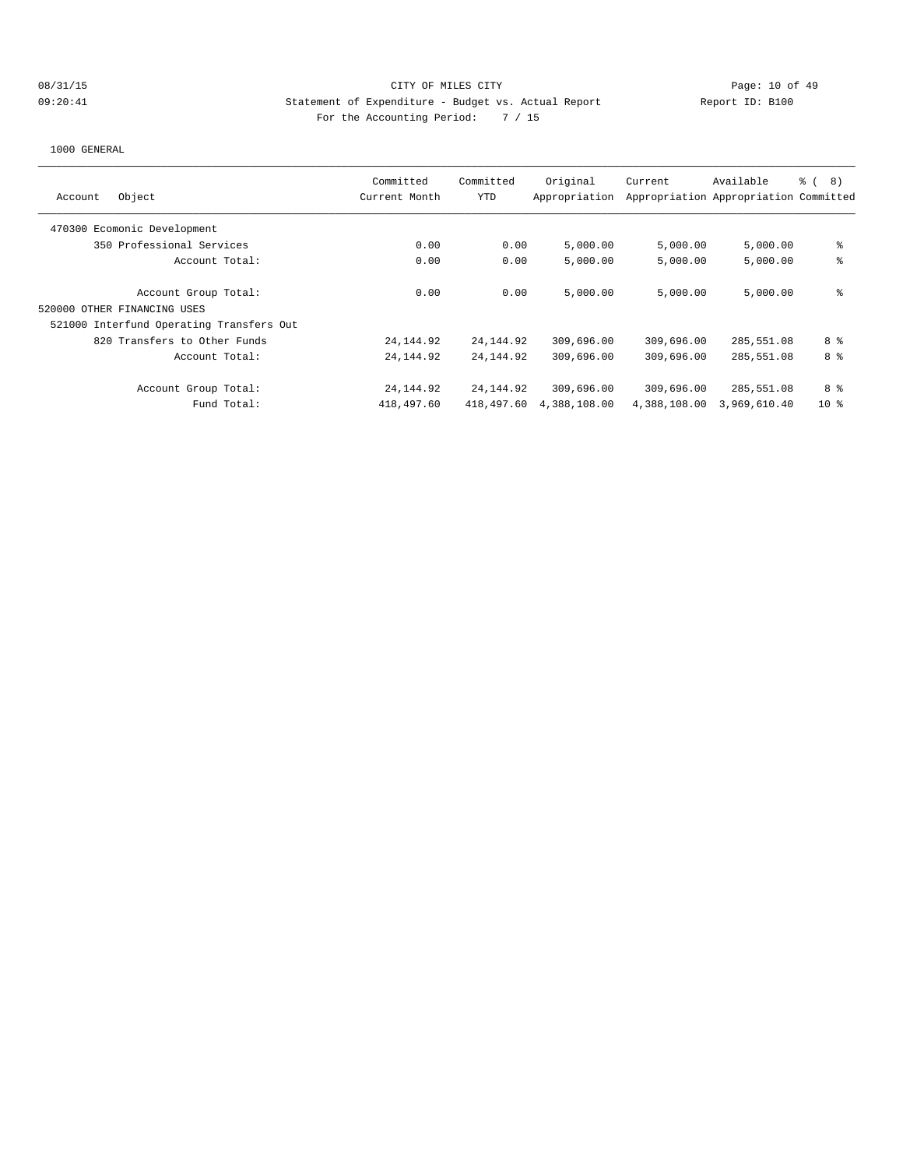## 08/31/15 CITY OF MILES CITY CHANNEL CONTROL Page: 10 of 49 09:20:41 Statement of Expenditure - Budget vs. Actual Report Changer Report ID: B100 For the Accounting Period: 7 / 15

| Account | Object                                   | Committed<br>Current Month | Committed<br>YTD | Original<br>Appropriation | Current      | Available<br>Appropriation Appropriation Committed | <u>ေ</u> (<br>8) |
|---------|------------------------------------------|----------------------------|------------------|---------------------------|--------------|----------------------------------------------------|------------------|
|         | 470300 Ecomonic Development              |                            |                  |                           |              |                                                    |                  |
|         | 350 Professional Services                | 0.00                       | 0.00             | 5,000.00                  | 5,000.00     | 5,000.00                                           | နွ               |
|         | Account Total:                           | 0.00                       | 0.00             | 5.000.00                  | 5.000.00     | 5,000.00                                           | နွ               |
|         | Account Group Total:                     | 0.00                       | 0.00             | 5,000.00                  | 5.000.00     | 5,000.00                                           | နွ               |
|         | 520000 OTHER FINANCING USES              |                            |                  |                           |              |                                                    |                  |
|         | 521000 Interfund Operating Transfers Out |                            |                  |                           |              |                                                    |                  |
|         | 820 Transfers to Other Funds             | 24, 144.92                 | 24, 144. 92      | 309,696.00                | 309,696.00   | 285,551.08                                         | 8 %              |
|         | Account Total:                           | 24, 144.92                 | 24, 144.92       | 309,696.00                | 309,696.00   | 285,551.08                                         | 8 <sup>8</sup>   |
|         | Account Group Total:                     | 24, 144. 92                | 24,144.92        | 309,696.00                | 309,696.00   | 285,551.08                                         | 8 %              |
|         | Fund Total:                              | 418,497.60                 | 418,497.60       | 4,388,108.00              | 4,388,108.00 | 3,969,610.40                                       | $10*$            |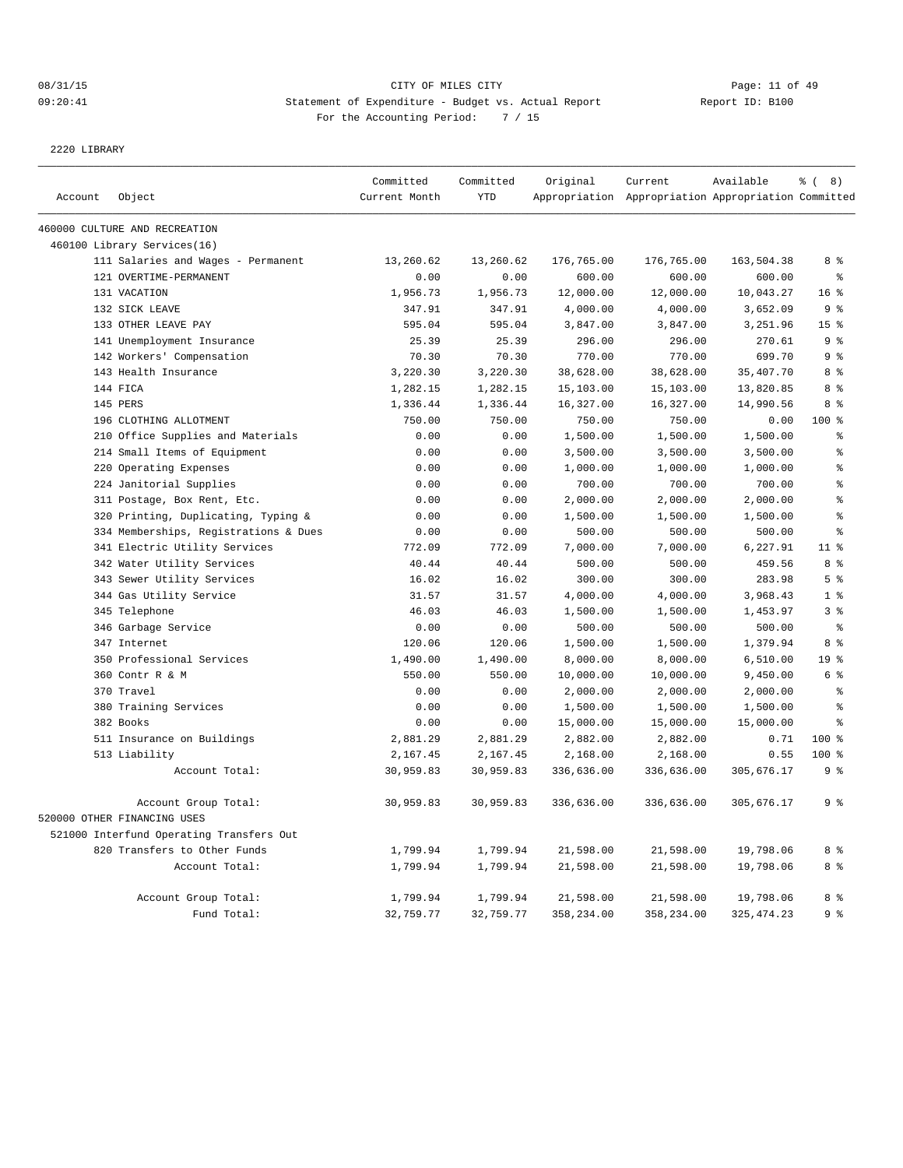## 08/31/15 CITY OF MILES CITY CHANNEL CONTROL Page: 11 of 49 09:20:41 Statement of Expenditure - Budget vs. Actual Report Changer Report ID: B100 For the Accounting Period: 7 / 15

2220 LIBRARY

|         |                                                     | Committed     | Committed  | Original   | Current                                             | Available   | % (8)           |
|---------|-----------------------------------------------------|---------------|------------|------------|-----------------------------------------------------|-------------|-----------------|
| Account | Object                                              | Current Month | <b>YTD</b> |            | Appropriation Appropriation Appropriation Committed |             |                 |
|         | 460000 CULTURE AND RECREATION                       |               |            |            |                                                     |             |                 |
|         | 460100 Library Services(16)                         |               |            |            |                                                     |             |                 |
|         | 111 Salaries and Wages - Permanent                  | 13,260.62     | 13,260.62  | 176,765.00 | 176,765.00                                          | 163,504.38  | 8 %             |
|         | 121 OVERTIME-PERMANENT                              | 0.00          | 0.00       | 600.00     | 600.00                                              | 600.00      | ៖               |
|         | 131 VACATION                                        | 1,956.73      | 1,956.73   | 12,000.00  | 12,000.00                                           | 10,043.27   | 16 <sup>°</sup> |
|         | 132 SICK LEAVE                                      | 347.91        | 347.91     | 4,000.00   | 4,000.00                                            | 3,652.09    | 9 <sup>°</sup>  |
|         | 133 OTHER LEAVE PAY                                 | 595.04        | 595.04     | 3,847.00   | 3,847.00                                            | 3,251.96    | 15 <sup>°</sup> |
|         | 141 Unemployment Insurance                          | 25.39         | 25.39      | 296.00     | 296.00                                              | 270.61      | 9 <sup>°</sup>  |
|         | 142 Workers' Compensation                           | 70.30         | 70.30      | 770.00     | 770.00                                              | 699.70      | 9 <sup>°</sup>  |
|         | 143 Health Insurance                                | 3,220.30      | 3,220.30   | 38,628.00  | 38,628.00                                           | 35,407.70   | 8 <sup>8</sup>  |
|         | 144 FICA                                            | 1,282.15      | 1,282.15   | 15,103.00  | 15,103.00                                           | 13,820.85   | 8%              |
|         | 145 PERS                                            | 1,336.44      | 1,336.44   | 16,327.00  | 16,327.00                                           | 14,990.56   | 8%              |
|         | 196 CLOTHING ALLOTMENT                              | 750.00        | 750.00     | 750.00     | 750.00                                              | 0.00        | 100 %           |
|         | 210 Office Supplies and Materials                   | 0.00          | 0.00       | 1,500.00   | 1,500.00                                            | 1,500.00    | န္              |
|         | 214 Small Items of Equipment                        | 0.00          | 0.00       | 3,500.00   | 3,500.00                                            | 3,500.00    | ٥Ŗ              |
|         | 220 Operating Expenses                              | 0.00          | 0.00       | 1,000.00   | 1,000.00                                            | 1,000.00    | ę               |
|         | 224 Janitorial Supplies                             | 0.00          | 0.00       | 700.00     | 700.00                                              | 700.00      | ę               |
|         | 311 Postage, Box Rent, Etc.                         | 0.00          | 0.00       | 2,000.00   | 2,000.00                                            | 2,000.00    | ę               |
|         | 320 Printing, Duplicating, Typing &                 | 0.00          | 0.00       | 1,500.00   | 1,500.00                                            | 1,500.00    | န္              |
|         | 334 Memberships, Registrations & Dues               | 0.00          | 0.00       | 500.00     | 500.00                                              | 500.00      | န္              |
|         | 341 Electric Utility Services                       | 772.09        | 772.09     | 7,000.00   | 7,000.00                                            | 6,227.91    | 11 <sup>8</sup> |
|         | 342 Water Utility Services                          | 40.44         | 40.44      | 500.00     | 500.00                                              | 459.56      | 8 %             |
|         | 343 Sewer Utility Services                          | 16.02         | 16.02      | 300.00     | 300.00                                              | 283.98      | 5 <sup>8</sup>  |
|         | 344 Gas Utility Service                             | 31.57         | 31.57      | 4,000.00   | 4,000.00                                            | 3,968.43    | 1 <sup>8</sup>  |
|         | 345 Telephone                                       | 46.03         | 46.03      | 1,500.00   | 1,500.00                                            | 1,453.97    | 3 <sup>8</sup>  |
|         | 346 Garbage Service                                 | 0.00          | 0.00       | 500.00     | 500.00                                              | 500.00      | $\epsilon$      |
|         | 347 Internet                                        | 120.06        | 120.06     | 1,500.00   | 1,500.00                                            | 1,379.94    | 8%              |
|         | 350 Professional Services                           | 1,490.00      | 1,490.00   | 8,000.00   | 8,000.00                                            | 6, 510.00   | 19 <sup>°</sup> |
|         | 360 Contr R & M                                     | 550.00        | 550.00     | 10,000.00  | 10,000.00                                           | 9,450.00    | 6 <sup>°</sup>  |
|         | 370 Travel                                          | 0.00          | 0.00       | 2,000.00   | 2,000.00                                            | 2,000.00    | ÷               |
|         | 380 Training Services                               | 0.00          | 0.00       | 1,500.00   | 1,500.00                                            | 1,500.00    | $\epsilon$      |
|         | 382 Books                                           | 0.00          | 0.00       | 15,000.00  | 15,000.00                                           | 15,000.00   | နွ              |
|         | 511 Insurance on Buildings                          | 2,881.29      | 2,881.29   | 2,882.00   | 2,882.00                                            | 0.71        | $100*$          |
|         | 513 Liability                                       | 2,167.45      | 2,167.45   | 2,168.00   | 2,168.00                                            | 0.55        | 100 %           |
|         | Account Total:                                      | 30,959.83     | 30,959.83  | 336,636.00 | 336,636.00                                          | 305,676.17  | 9%              |
|         | Account Group Total:<br>520000 OTHER FINANCING USES | 30,959.83     | 30,959.83  | 336,636.00 | 336,636.00                                          | 305,676.17  | 9 <sup>°</sup>  |
|         | 521000 Interfund Operating Transfers Out            |               |            |            |                                                     |             |                 |
|         | 820 Transfers to Other Funds                        | 1,799.94      | 1,799.94   | 21,598.00  | 21,598.00                                           | 19,798.06   | 8 %             |
|         | Account Total:                                      | 1,799.94      | 1,799.94   | 21,598.00  | 21,598.00                                           | 19,798.06   | 8 %             |
|         | Account Group Total:                                | 1,799.94      | 1,799.94   | 21,598.00  | 21,598.00                                           | 19,798.06   | 8 %             |
|         | Fund Total:                                         | 32,759.77     | 32,759.77  | 358,234.00 | 358,234.00                                          | 325, 474.23 | 9 <sup>°</sup>  |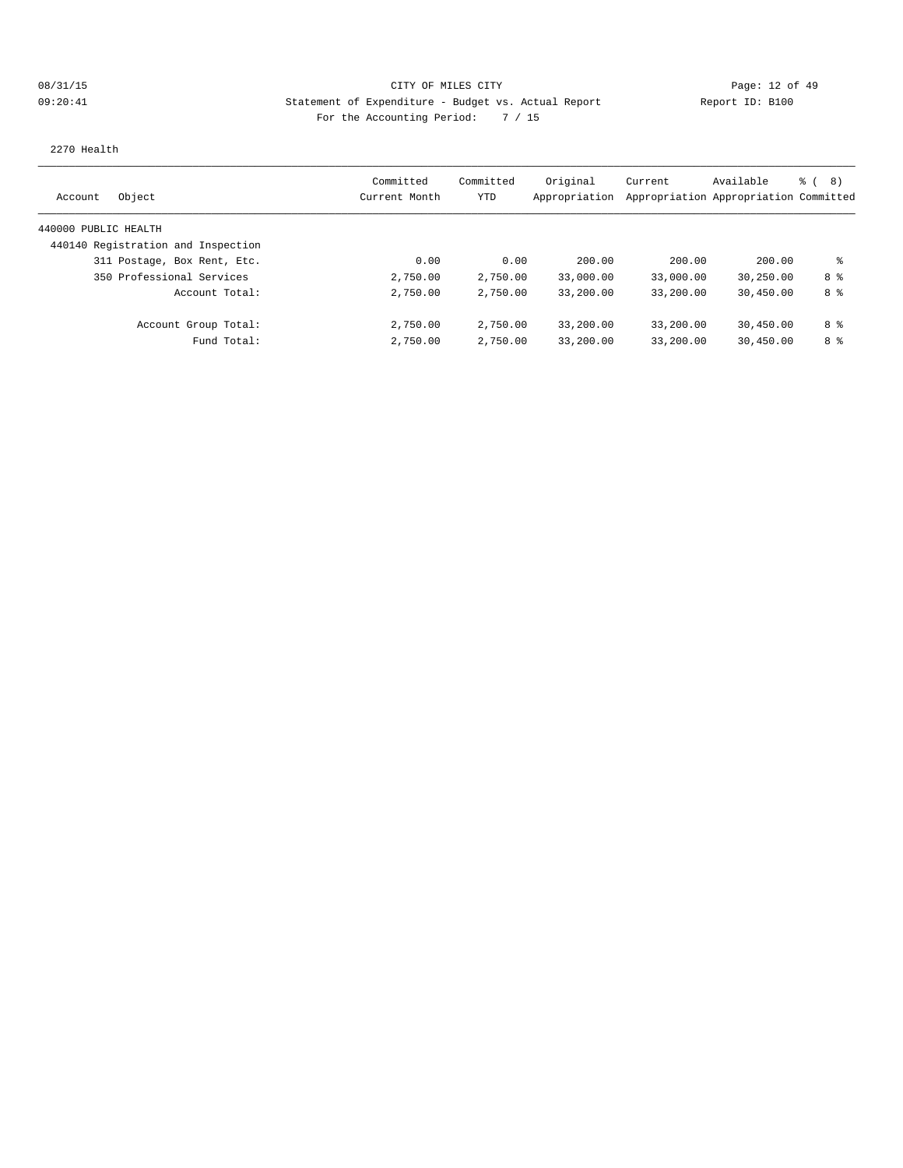# 08/31/15 CITY OF MILES CITY CHANNEL CONTROL Page: 12 of 49 09:20:41 Statement of Expenditure - Budget vs. Actual Report Report ID: B100 For the Accounting Period: 7 / 15

2270 Health

| Object<br>Account                  | Committed<br>Current Month | Committed<br>YTD | Original<br>Appropriation | Current   | Available<br>Appropriation Appropriation Committed | る (<br>8) |
|------------------------------------|----------------------------|------------------|---------------------------|-----------|----------------------------------------------------|-----------|
| 440000 PUBLIC HEALTH               |                            |                  |                           |           |                                                    |           |
| 440140 Registration and Inspection |                            |                  |                           |           |                                                    |           |
| 311 Postage, Box Rent, Etc.        | 0.00                       | 0.00             | 200.00                    | 200.00    | 200.00                                             | နွ        |
| 350 Professional Services          | 2,750.00                   | 2,750.00         | 33,000.00                 | 33,000.00 | 30,250.00                                          | 8 %       |
| Account Total:                     | 2,750.00                   | 2,750.00         | 33,200.00                 | 33,200.00 | 30,450.00                                          | 8 %       |
| Account Group Total:               | 2,750.00                   | 2,750.00         | 33,200.00                 | 33,200.00 | 30,450.00                                          | 8 %       |
| Fund Total:                        | 2,750.00                   | 2,750.00         | 33,200.00                 | 33,200.00 | 30,450.00                                          | 8 %       |
|                                    |                            |                  |                           |           |                                                    |           |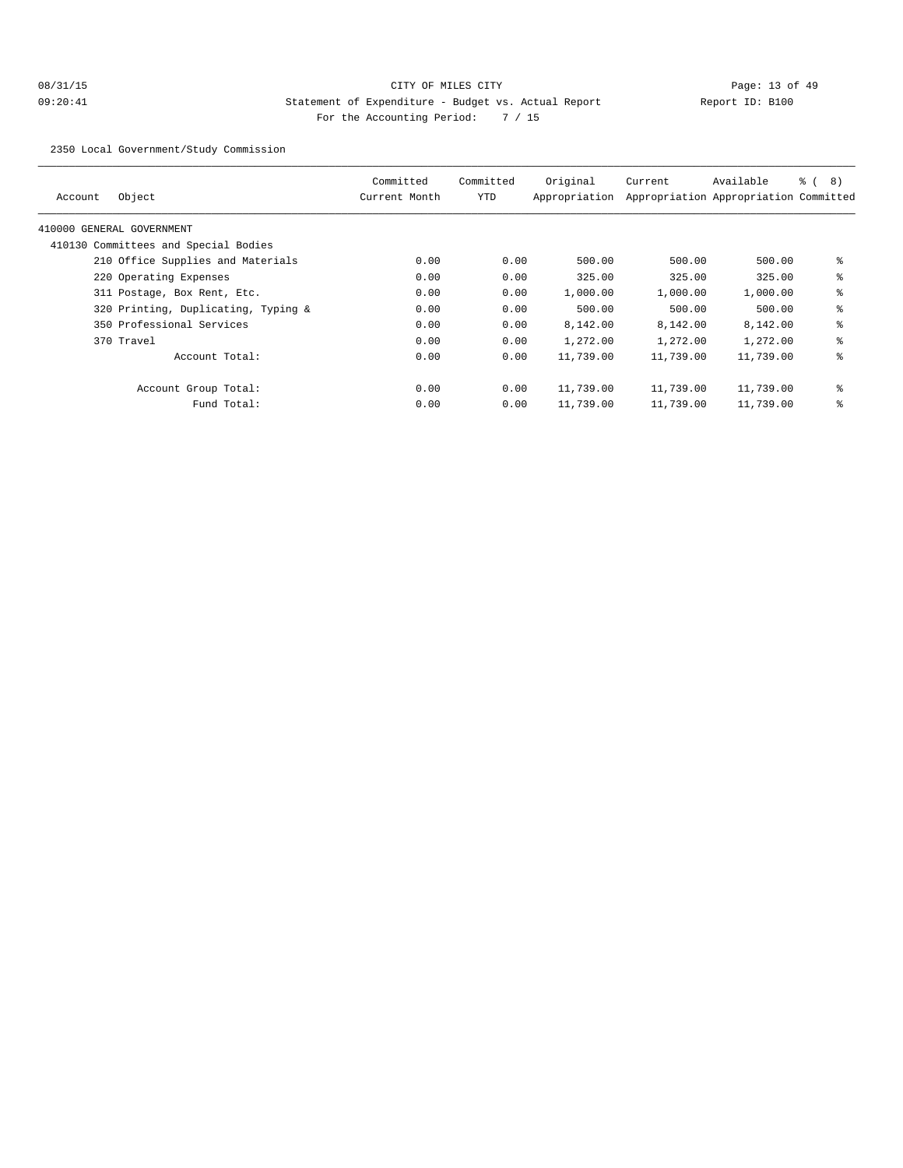2350 Local Government/Study Commission

| Account | Object                               | Committed<br>Current Month | Committed<br>YTD | Original<br>Appropriation | Current   | Available<br>Appropriation Appropriation Committed | ී (<br>8) |
|---------|--------------------------------------|----------------------------|------------------|---------------------------|-----------|----------------------------------------------------|-----------|
|         | 410000 GENERAL GOVERNMENT            |                            |                  |                           |           |                                                    |           |
|         | 410130 Committees and Special Bodies |                            |                  |                           |           |                                                    |           |
|         | 210 Office Supplies and Materials    | 0.00                       | 0.00             | 500.00                    | 500.00    | 500.00                                             | နွ        |
|         | 220 Operating Expenses               | 0.00                       | 0.00             | 325.00                    | 325.00    | 325.00                                             | နွ        |
|         | 311 Postage, Box Rent, Etc.          | 0.00                       | 0.00             | 1,000.00                  | 1,000.00  | 1,000.00                                           | နွ        |
|         | 320 Printing, Duplicating, Typing &  | 0.00                       | 0.00             | 500.00                    | 500.00    | 500.00                                             | နွ        |
|         | 350 Professional Services            | 0.00                       | 0.00             | 8,142.00                  | 8,142.00  | 8,142.00                                           | နွ        |
|         | 370 Travel                           | 0.00                       | 0.00             | 1,272.00                  | 1,272.00  | 1,272.00                                           | နွ        |
|         | Account Total:                       | 0.00                       | 0.00             | 11,739.00                 | 11,739.00 | 11,739.00                                          | နွ        |
|         | Account Group Total:                 | 0.00                       | 0.00             | 11,739.00                 | 11,739.00 | 11,739.00                                          | နွ        |
|         | Fund Total:                          | 0.00                       | 0.00             | 11,739.00                 | 11,739.00 | 11,739.00                                          | နွ        |
|         |                                      |                            |                  |                           |           |                                                    |           |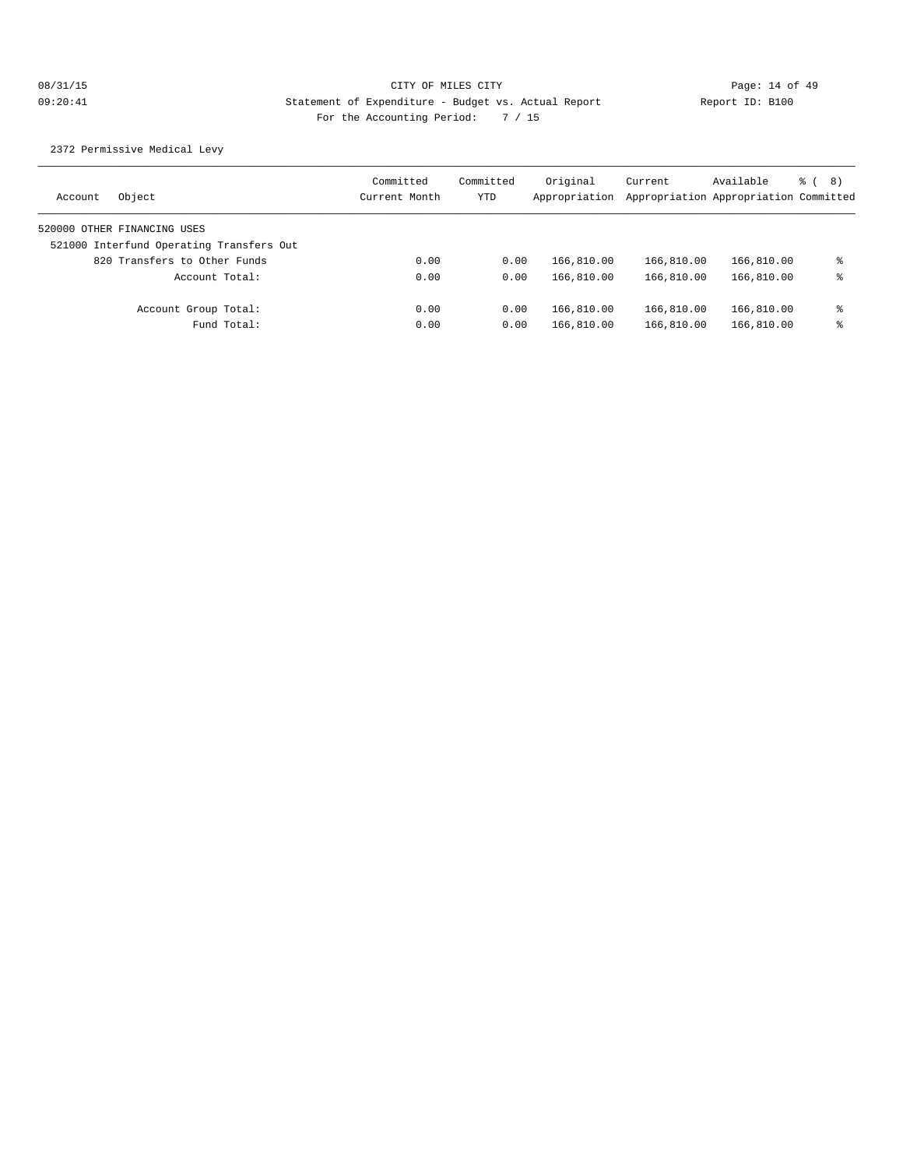2372 Permissive Medical Levy

| Object<br>Account                        | Committed<br>Current Month | Committed<br>YTD | Original<br>Appropriation | Current    | Available<br>Appropriation Appropriation Committed | ී (8) |
|------------------------------------------|----------------------------|------------------|---------------------------|------------|----------------------------------------------------|-------|
| 520000 OTHER FINANCING USES              |                            |                  |                           |            |                                                    |       |
| 521000 Interfund Operating Transfers Out |                            |                  |                           |            |                                                    |       |
| 820 Transfers to Other Funds             | 0.00                       | 0.00             | 166,810.00                | 166,810.00 | 166,810.00                                         | ႜ     |
| Account Total:                           | 0.00                       | 0.00             | 166,810.00                | 166,810.00 | 166,810.00                                         | ႜ     |
| Account Group Total:                     | 0.00                       | 0.00             | 166,810.00                | 166,810.00 | 166,810.00                                         | ႜ     |
| Fund Total:                              | 0.00                       | 0.00             | 166,810.00                | 166,810.00 | 166,810.00                                         | ႜ     |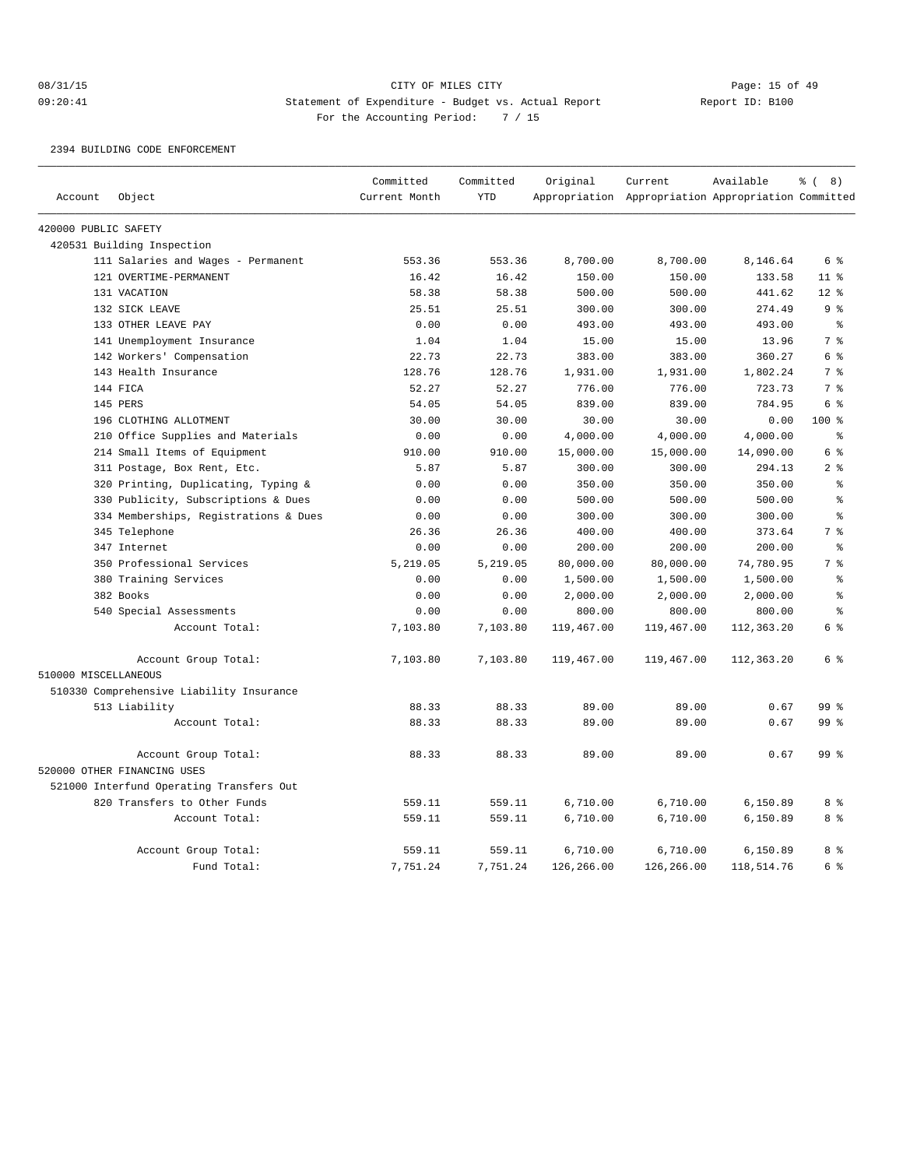## 08/31/15 CITY OF MILES CITY CHANNEL CONTROL Page: 15 of 49 09:20:41 Statement of Expenditure - Budget vs. Actual Report Report ID: B100 For the Accounting Period: 7 / 15

### 2394 BUILDING CODE ENFORCEMENT

|                      |                                          | Committed     | Committed  | Original   | Current                                             | Available  | <sub>රි</sub> ( 8 ) |
|----------------------|------------------------------------------|---------------|------------|------------|-----------------------------------------------------|------------|---------------------|
| Account              | Object                                   | Current Month | <b>YTD</b> |            | Appropriation Appropriation Appropriation Committed |            |                     |
| 420000 PUBLIC SAFETY |                                          |               |            |            |                                                     |            |                     |
|                      | 420531 Building Inspection               |               |            |            |                                                     |            |                     |
|                      | 111 Salaries and Wages - Permanent       | 553.36        | 553.36     | 8,700.00   | 8,700.00                                            | 8,146.64   | 6 %                 |
|                      | 121 OVERTIME-PERMANENT                   | 16.42         | 16.42      | 150.00     | 150.00                                              | 133.58     | 11 <sup>8</sup>     |
|                      | 131 VACATION                             | 58.38         | 58.38      | 500.00     | 500.00                                              | 441.62     | $12*$               |
|                      | 132 SICK LEAVE                           | 25.51         | 25.51      | 300.00     | 300.00                                              | 274.49     | 9 <sup>8</sup>      |
|                      | 133 OTHER LEAVE PAY                      | 0.00          | 0.00       | 493.00     | 493.00                                              | 493.00     | ి                   |
|                      | 141 Unemployment Insurance               | 1.04          | 1.04       | 15.00      | 15.00                                               | 13.96      | 7%                  |
|                      | 142 Workers' Compensation                | 22.73         | 22.73      | 383.00     | 383.00                                              | 360.27     | 6 %                 |
|                      | 143 Health Insurance                     | 128.76        | 128.76     | 1,931.00   | 1,931.00                                            | 1,802.24   | 7%                  |
|                      | 144 FICA                                 | 52.27         | 52.27      | 776.00     | 776.00                                              | 723.73     | 7 <sup>°</sup>      |
|                      | 145 PERS                                 | 54.05         | 54.05      | 839.00     | 839.00                                              | 784.95     | 6 %                 |
|                      | 196 CLOTHING ALLOTMENT                   | 30.00         | 30.00      | 30.00      | 30.00                                               | 0.00       | 100 <sub>8</sub>    |
|                      | 210 Office Supplies and Materials        | 0.00          | 0.00       | 4,000.00   | 4,000.00                                            | 4,000.00   | $\,$ $\,$ $\,$      |
|                      | 214 Small Items of Equipment             | 910.00        | 910.00     | 15,000.00  | 15,000.00                                           | 14,090.00  | 6 %                 |
|                      | 311 Postage, Box Rent, Etc.              | 5.87          | 5.87       | 300.00     | 300.00                                              | 294.13     | 2 <sup>8</sup>      |
|                      | 320 Printing, Duplicating, Typing &      | 0.00          | 0.00       | 350.00     | 350.00                                              | 350.00     | $\,$ $\,$ $\,$      |
|                      | 330 Publicity, Subscriptions & Dues      | 0.00          | 0.00       | 500.00     | 500.00                                              | 500.00     | န္                  |
|                      | 334 Memberships, Registrations & Dues    | 0.00          | 0.00       | 300.00     | 300.00                                              | 300.00     | $\approx$           |
|                      | 345 Telephone                            | 26.36         | 26.36      | 400.00     | 400.00                                              | 373.64     | 7 <sup>°</sup>      |
|                      | 347 Internet                             | 0.00          | 0.00       | 200.00     | 200.00                                              | 200.00     | $\,$ $\,$ $\,$      |
|                      | 350 Professional Services                | 5,219.05      | 5,219.05   | 80,000.00  | 80,000.00                                           | 74,780.95  | 7%                  |
|                      | 380 Training Services                    | 0.00          | 0.00       | 1,500.00   | 1,500.00                                            | 1,500.00   | $\,$ $\,$ $\,$      |
|                      | 382 Books                                | 0.00          | 0.00       | 2,000.00   | 2,000.00                                            | 2,000.00   | $\,$ $\,$ $\,$      |
|                      | 540 Special Assessments                  | 0.00          | 0.00       | 800.00     | 800.00                                              | 800.00     | န္                  |
|                      | Account Total:                           | 7,103.80      | 7,103.80   | 119,467.00 | 119,467.00                                          | 112,363.20 | 6 %                 |
|                      | Account Group Total:                     | 7,103.80      | 7,103.80   | 119,467.00 | 119,467.00                                          | 112,363.20 | 6 %                 |
| 510000 MISCELLANEOUS |                                          |               |            |            |                                                     |            |                     |
|                      | 510330 Comprehensive Liability Insurance |               |            |            |                                                     |            |                     |
|                      | 513 Liability                            | 88.33         | 88.33      | 89.00      | 89.00                                               | 0.67       | 99 <sup>8</sup>     |
|                      | Account Total:                           | 88.33         | 88.33      | 89.00      | 89.00                                               | 0.67       | 99 <sup>°</sup>     |
|                      | Account Group Total:                     | 88.33         | 88.33      | 89.00      | 89.00                                               | 0.67       | 99 <sup>8</sup>     |
|                      | 520000 OTHER FINANCING USES              |               |            |            |                                                     |            |                     |
|                      | 521000 Interfund Operating Transfers Out |               |            |            |                                                     |            |                     |
|                      | 820 Transfers to Other Funds             | 559.11        | 559.11     | 6,710.00   | 6,710.00                                            | 6,150.89   | 8 %                 |
|                      | Account Total:                           | 559.11        | 559.11     | 6,710.00   | 6,710.00                                            | 6,150.89   | 8 %                 |
|                      | Account Group Total:                     | 559.11        | 559.11     | 6,710.00   | 6,710.00                                            | 6,150.89   | 8 %                 |
|                      | Fund Total:                              | 7,751.24      | 7,751.24   | 126,266.00 | 126,266.00                                          | 118,514.76 | 6 %                 |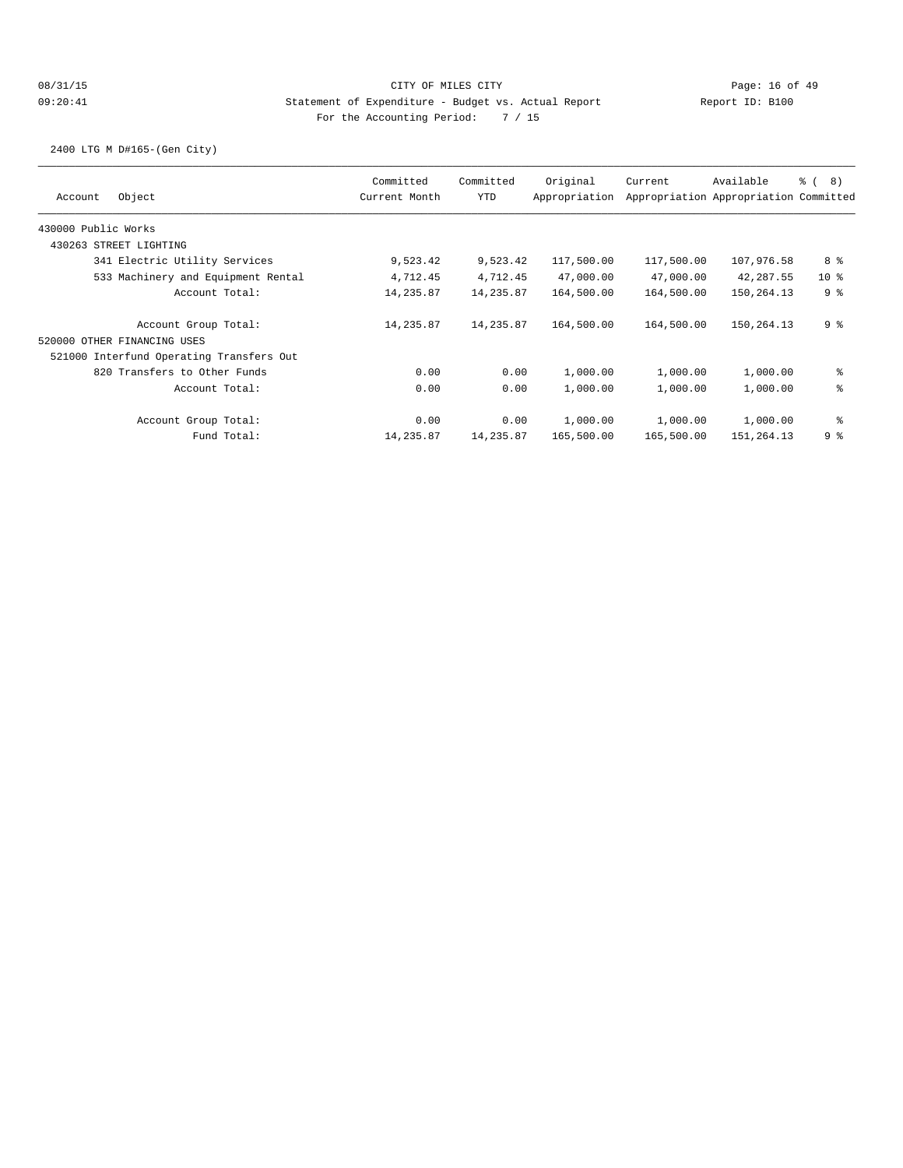2400 LTG M D#165-(Gen City)

| Committed     | Committed  | Original      | Current                                                                             | Available  | <sub>රි</sub> ( 8 )                                                                                        |
|---------------|------------|---------------|-------------------------------------------------------------------------------------|------------|------------------------------------------------------------------------------------------------------------|
| Current Month | <b>YTD</b> | Appropriation |                                                                                     |            |                                                                                                            |
|               |            |               |                                                                                     |            |                                                                                                            |
|               |            |               |                                                                                     |            |                                                                                                            |
| 9,523.42      |            | 117,500.00    |                                                                                     | 107,976.58 | 8 %                                                                                                        |
| 4,712.45      |            | 47,000.00     |                                                                                     | 42,287.55  | 10 <sub>8</sub>                                                                                            |
| 14,235.87     |            | 164,500.00    |                                                                                     | 150,264.13 | 9 <sup>8</sup>                                                                                             |
| 14,235.87     |            | 164,500.00    |                                                                                     | 150,264.13 | 9 <sup>°</sup>                                                                                             |
|               |            |               |                                                                                     |            |                                                                                                            |
|               |            |               |                                                                                     |            |                                                                                                            |
| 0.00          |            | 1,000.00      | 1,000.00                                                                            | 1,000.00   | နွ                                                                                                         |
| 0.00          |            | 1,000.00      | 1,000.00                                                                            | 1,000.00   | နွ                                                                                                         |
| 0.00          |            | 1,000.00      | 1,000.00                                                                            | 1,000.00   | ႜ                                                                                                          |
| 14,235.87     |            | 165,500.00    |                                                                                     | 151,264.13 | 98                                                                                                         |
|               |            |               | 9,523.42<br>4,712.45<br>14,235.87<br>14,235.87<br>0.00<br>0.00<br>0.00<br>14,235.87 |            | Appropriation Appropriation Committed<br>117,500.00<br>47,000.00<br>164,500.00<br>164,500.00<br>165,500.00 |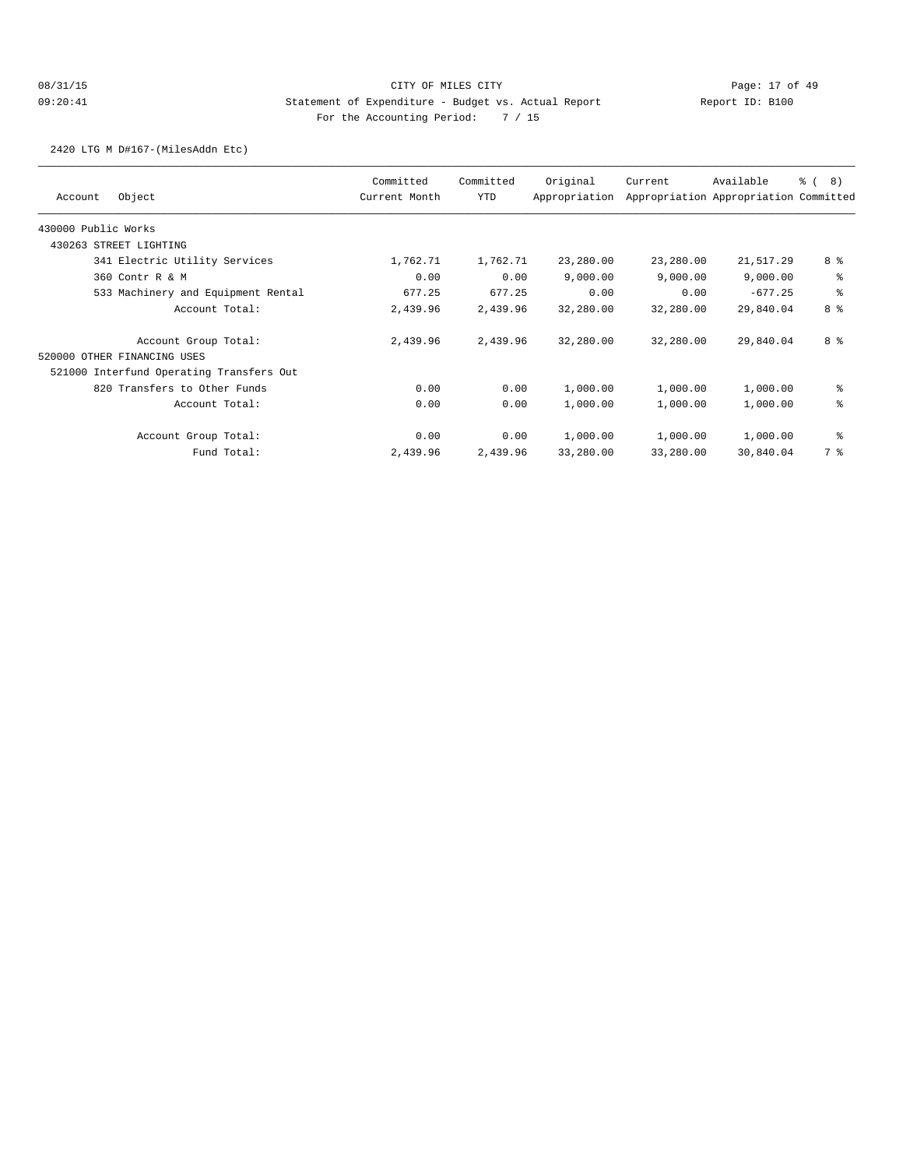2420 LTG M D#167-(MilesAddn Etc)

|                                          | Committed     | Committed | Original      | Current   | Available                             | 8)<br>$\frac{6}{6}$ ( |
|------------------------------------------|---------------|-----------|---------------|-----------|---------------------------------------|-----------------------|
| Object<br>Account                        | Current Month | YTD       | Appropriation |           | Appropriation Appropriation Committed |                       |
| 430000 Public Works                      |               |           |               |           |                                       |                       |
| 430263 STREET LIGHTING                   |               |           |               |           |                                       |                       |
| 341 Electric Utility Services            | 1,762.71      | 1,762.71  | 23,280.00     | 23,280.00 | 21,517.29                             | 8 %                   |
| 360 Contr R & M                          | 0.00          | 0.00      | 9,000.00      | 9,000.00  | 9,000.00                              | ి                     |
| 533 Machinery and Equipment Rental       | 677.25        | 677.25    | 0.00          | 0.00      | $-677.25$                             | ి                     |
| Account Total:                           | 2,439.96      | 2,439.96  | 32,280.00     | 32,280.00 | 29,840.04                             | 8 <sup>8</sup>        |
| Account Group Total:                     | 2,439.96      | 2,439.96  | 32,280.00     | 32,280.00 | 29,840.04                             | 8 <sup>8</sup>        |
| 520000 OTHER FINANCING USES              |               |           |               |           |                                       |                       |
| 521000 Interfund Operating Transfers Out |               |           |               |           |                                       |                       |
| 820 Transfers to Other Funds             | 0.00          | 0.00      | 1,000.00      | 1,000.00  | 1,000.00                              | နွ                    |
| Account Total:                           | 0.00          | 0.00      | 1,000.00      | 1,000.00  | 1,000.00                              | နွ                    |
| Account Group Total:                     | 0.00          | 0.00      | 1,000.00      | 1,000.00  | 1,000.00                              | နွ                    |
| Fund Total:                              | 2,439.96      | 2,439.96  | 33,280.00     | 33,280.00 | 30,840.04                             | 7 %                   |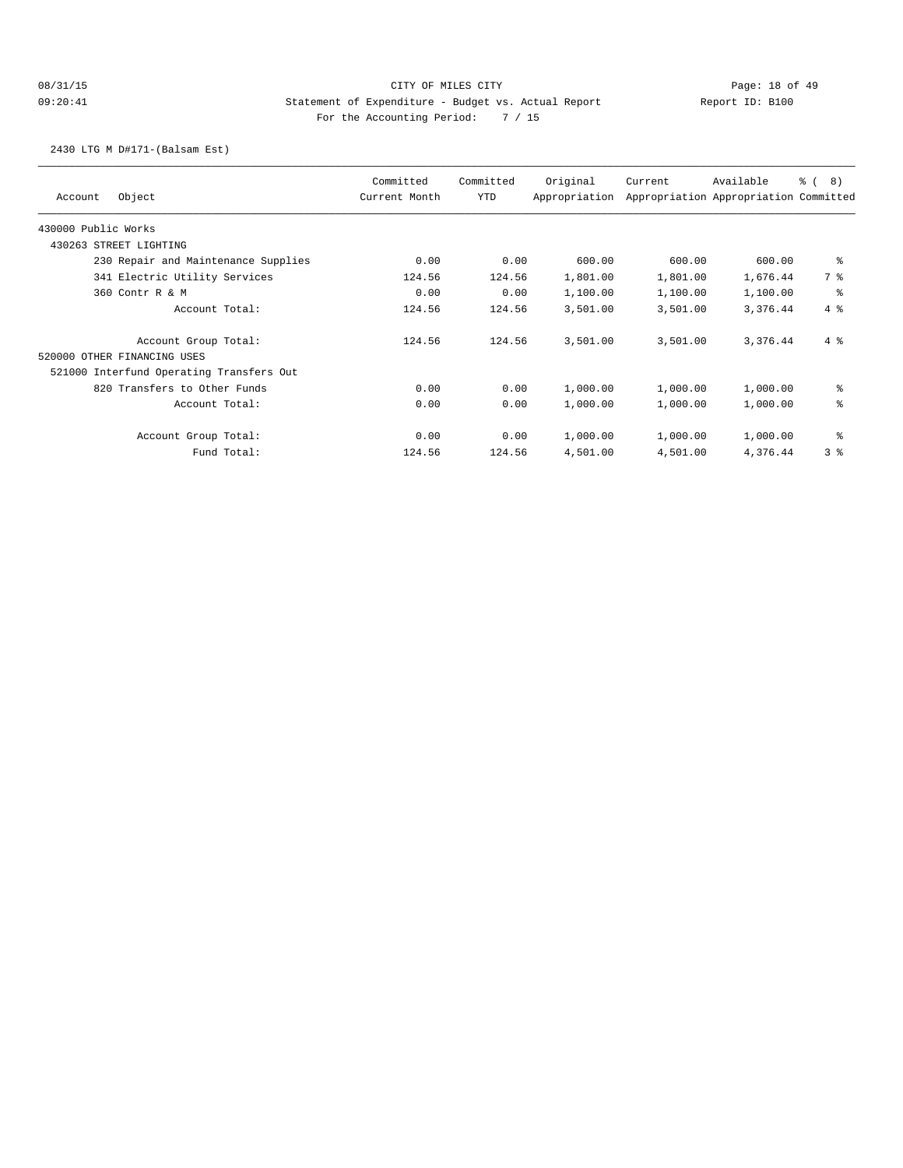2430 LTG M D#171-(Balsam Est)

| Object<br>Account                        | Committed<br>Current Month | Committed<br>YTD | Original<br>Appropriation | Current  | Available<br>Appropriation Appropriation Committed | $\frac{6}{6}$ (<br>8) |
|------------------------------------------|----------------------------|------------------|---------------------------|----------|----------------------------------------------------|-----------------------|
| 430000 Public Works                      |                            |                  |                           |          |                                                    |                       |
| 430263 STREET LIGHTING                   |                            |                  |                           |          |                                                    |                       |
| 230 Repair and Maintenance Supplies      | 0.00                       | 0.00             | 600.00                    | 600.00   | 600.00                                             | နွ                    |
| 341 Electric Utility Services            | 124.56                     | 124.56           | 1,801.00                  | 1,801.00 | 1,676.44                                           | 7 %                   |
| 360 Contr R & M                          | 0.00                       | 0.00             | 1,100.00                  | 1,100.00 | 1,100.00                                           | နွ                    |
| Account Total:                           | 124.56                     | 124.56           | 3,501.00                  | 3,501.00 | 3,376.44                                           | $4\degree$            |
| Account Group Total:                     | 124.56                     | 124.56           | 3,501.00                  | 3,501.00 | 3,376.44                                           | $4\degree$            |
| 520000 OTHER FINANCING USES              |                            |                  |                           |          |                                                    |                       |
| 521000 Interfund Operating Transfers Out |                            |                  |                           |          |                                                    |                       |
| 820 Transfers to Other Funds             | 0.00                       | 0.00             | 1,000.00                  | 1,000.00 | 1,000.00                                           | နွ                    |
| Account Total:                           | 0.00                       | 0.00             | 1,000.00                  | 1,000.00 | 1,000.00                                           | နွ                    |
| Account Group Total:                     | 0.00                       | 0.00             | 1,000.00                  | 1,000.00 | 1,000.00                                           | နွ                    |
| Fund Total:                              | 124.56                     | 124.56           | 4,501.00                  | 4,501.00 | 4,376.44                                           | 38                    |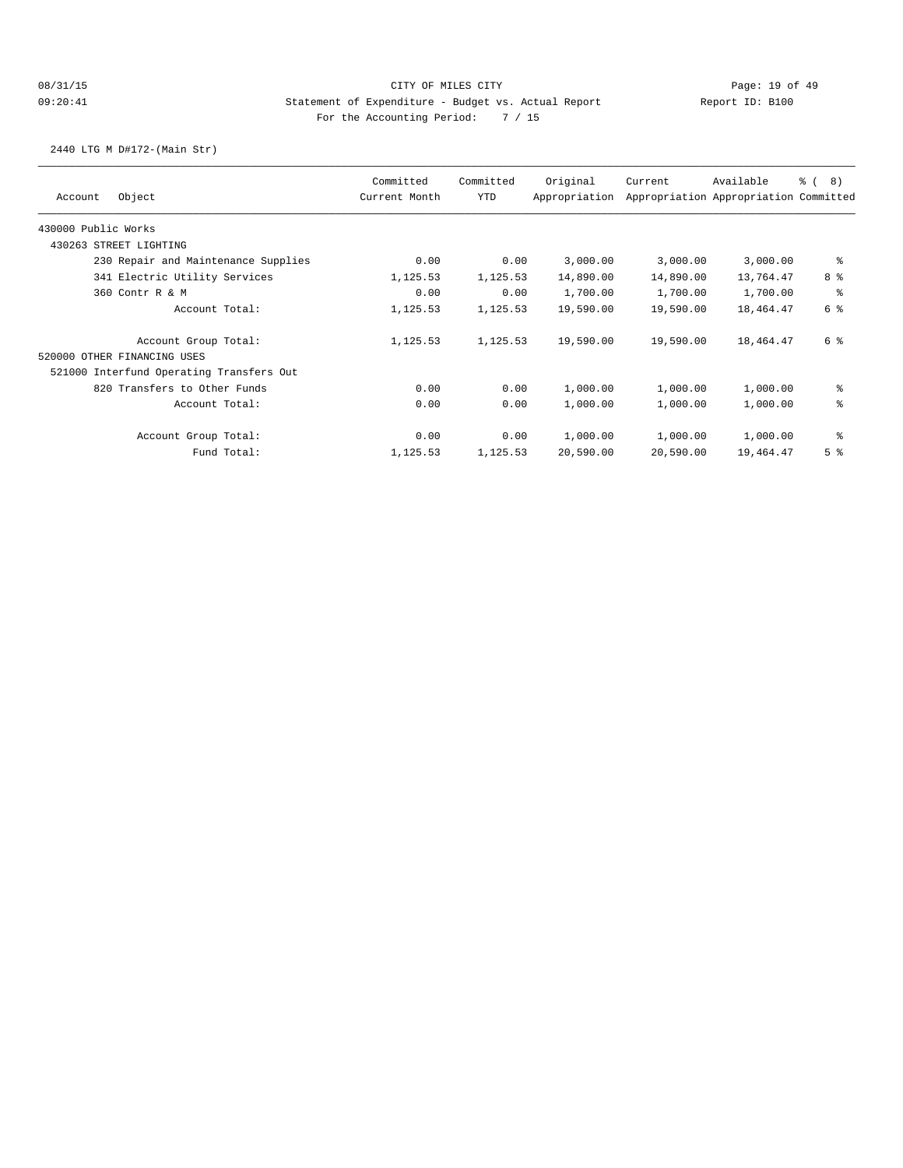2440 LTG M D#172-(Main Str)

| Object<br>Account                        | Committed<br>Current Month | Committed<br>YTD | Original<br>Appropriation | Current   | Available<br>Appropriation Appropriation Committed | 8)<br>$\frac{6}{6}$ ( |
|------------------------------------------|----------------------------|------------------|---------------------------|-----------|----------------------------------------------------|-----------------------|
| 430000 Public Works                      |                            |                  |                           |           |                                                    |                       |
| 430263 STREET LIGHTING                   |                            |                  |                           |           |                                                    |                       |
| 230 Repair and Maintenance Supplies      | 0.00                       | 0.00             | 3,000.00                  | 3,000.00  | 3,000.00                                           | နွ                    |
| 341 Electric Utility Services            | 1,125.53                   | 1,125.53         | 14,890.00                 | 14,890.00 | 13,764.47                                          | 8 %                   |
| 360 Contr R & M                          | 0.00                       | 0.00             | 1,700.00                  | 1,700.00  | 1,700.00                                           | နွ                    |
| Account Total:                           | 1,125.53                   | 1,125.53         | 19,590.00                 | 19,590.00 | 18,464.47                                          | 6 %                   |
| Account Group Total:                     | 1,125.53                   | 1,125.53         | 19,590.00                 | 19,590.00 | 18,464.47                                          | 6 %                   |
| 520000 OTHER FINANCING USES              |                            |                  |                           |           |                                                    |                       |
| 521000 Interfund Operating Transfers Out |                            |                  |                           |           |                                                    |                       |
| 820 Transfers to Other Funds             | 0.00                       | 0.00             | 1,000.00                  | 1,000.00  | 1,000.00                                           | နွ                    |
| Account Total:                           | 0.00                       | 0.00             | 1,000.00                  | 1,000.00  | 1,000.00                                           | နွ                    |
| Account Group Total:                     | 0.00                       | 0.00             | 1,000.00                  | 1,000.00  | 1,000.00                                           | ి                     |
| Fund Total:                              | 1,125.53                   | 1,125.53         | 20,590.00                 | 20,590.00 | 19,464.47                                          | 5 <sup>8</sup>        |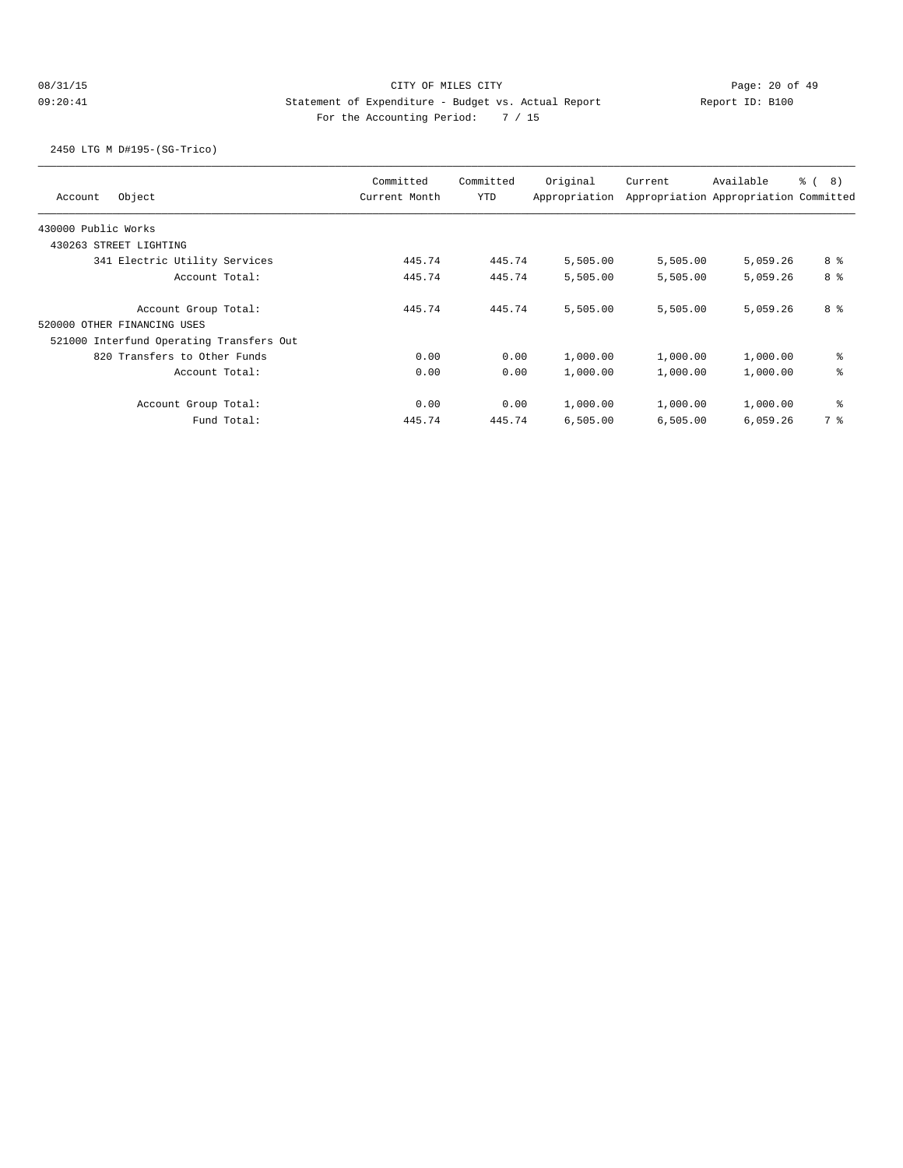## 08/31/15 CITY OF MILES CITY CHANNEL CONTROL Page: 20 of 49 09:20:41 Statement of Expenditure - Budget vs. Actual Report Changer Report ID: B100 For the Accounting Period: 7 / 15

2450 LTG M D#195-(SG-Trico)

| Object<br>Account                        | Committed<br>Current Month | Committed<br>YTD | Original<br>Appropriation | Current  | Available<br>Appropriation Appropriation Committed | <sub>රි</sub> ( 8 ) |
|------------------------------------------|----------------------------|------------------|---------------------------|----------|----------------------------------------------------|---------------------|
| 430000 Public Works                      |                            |                  |                           |          |                                                    |                     |
| 430263 STREET LIGHTING                   |                            |                  |                           |          |                                                    |                     |
| 341 Electric Utility Services            | 445.74                     | 445.74           | 5,505.00                  | 5,505.00 | 5,059.26                                           | 8 %                 |
| Account Total:                           | 445.74                     | 445.74           | 5,505.00                  | 5,505.00 | 5,059.26                                           | 8 <sup>8</sup>      |
| Account Group Total:                     | 445.74                     | 445.74           | 5,505.00                  | 5,505.00 | 5,059.26                                           | 8 %                 |
| 520000 OTHER FINANCING USES              |                            |                  |                           |          |                                                    |                     |
| 521000 Interfund Operating Transfers Out |                            |                  |                           |          |                                                    |                     |
| 820 Transfers to Other Funds             | 0.00                       | 0.00             | 1,000.00                  | 1,000.00 | 1,000.00                                           | နွ                  |
| Account Total:                           | 0.00                       | 0.00             | 1,000.00                  | 1,000.00 | 1,000.00                                           | နွ                  |
| Account Group Total:                     | 0.00                       | 0.00             | 1,000.00                  | 1,000.00 | 1,000.00                                           | နွ                  |
| Fund Total:                              | 445.74                     | 445.74           | 6,505.00                  | 6,505.00 | 6,059.26                                           | 7 %                 |
|                                          |                            |                  |                           |          |                                                    |                     |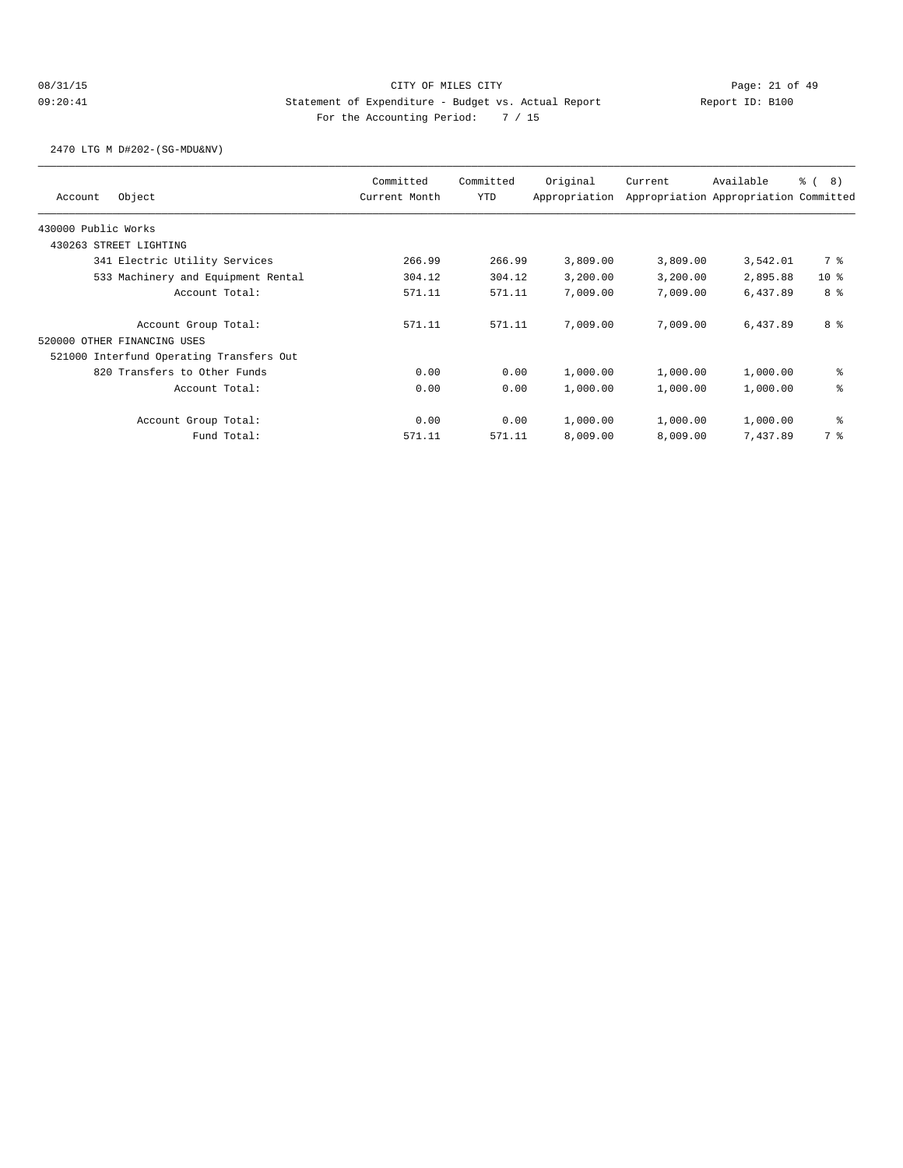2470 LTG M D#202-(SG-MDU&NV)

| Object<br>Account                                   | Committed<br>Current Month | Committed<br><b>YTD</b> | Original<br>Appropriation | Current  | Available<br>Appropriation Appropriation Committed | $\frac{6}{6}$ ( 8) |
|-----------------------------------------------------|----------------------------|-------------------------|---------------------------|----------|----------------------------------------------------|--------------------|
| 430000 Public Works                                 |                            |                         |                           |          |                                                    |                    |
| 430263 STREET LIGHTING                              |                            |                         |                           |          |                                                    |                    |
| 341 Electric Utility Services                       | 266.99                     | 266.99                  | 3,809.00                  | 3,809.00 | 3,542.01                                           | 7 %                |
| 533 Machinery and Equipment Rental                  | 304.12                     | 304.12                  | 3,200.00                  | 3,200.00 | 2,895.88                                           | 10 <sub>8</sub>    |
| Account Total:                                      | 571.11                     | 571.11                  | 7,009.00                  | 7,009.00 | 6,437.89                                           | 8 %                |
| Account Group Total:<br>520000 OTHER FINANCING USES | 571.11                     | 571.11                  | 7,009.00                  | 7,009,00 | 6,437.89                                           | 8 %                |
| 521000 Interfund Operating Transfers Out            |                            |                         |                           |          |                                                    |                    |
| 820 Transfers to Other Funds                        | 0.00                       | 0.00                    | 1,000.00                  | 1,000.00 | 1,000.00                                           | နွ                 |
| Account Total:                                      | 0.00                       | 0.00                    | 1,000.00                  | 1,000.00 | 1,000.00                                           | နွ                 |
| Account Group Total:                                | 0.00                       | 0.00                    | 1,000.00                  | 1,000.00 | 1,000.00                                           | နွ                 |
| Fund Total:                                         | 571.11                     | 571.11                  | 8,009.00                  | 8,009.00 | 7.437.89                                           | 7 %                |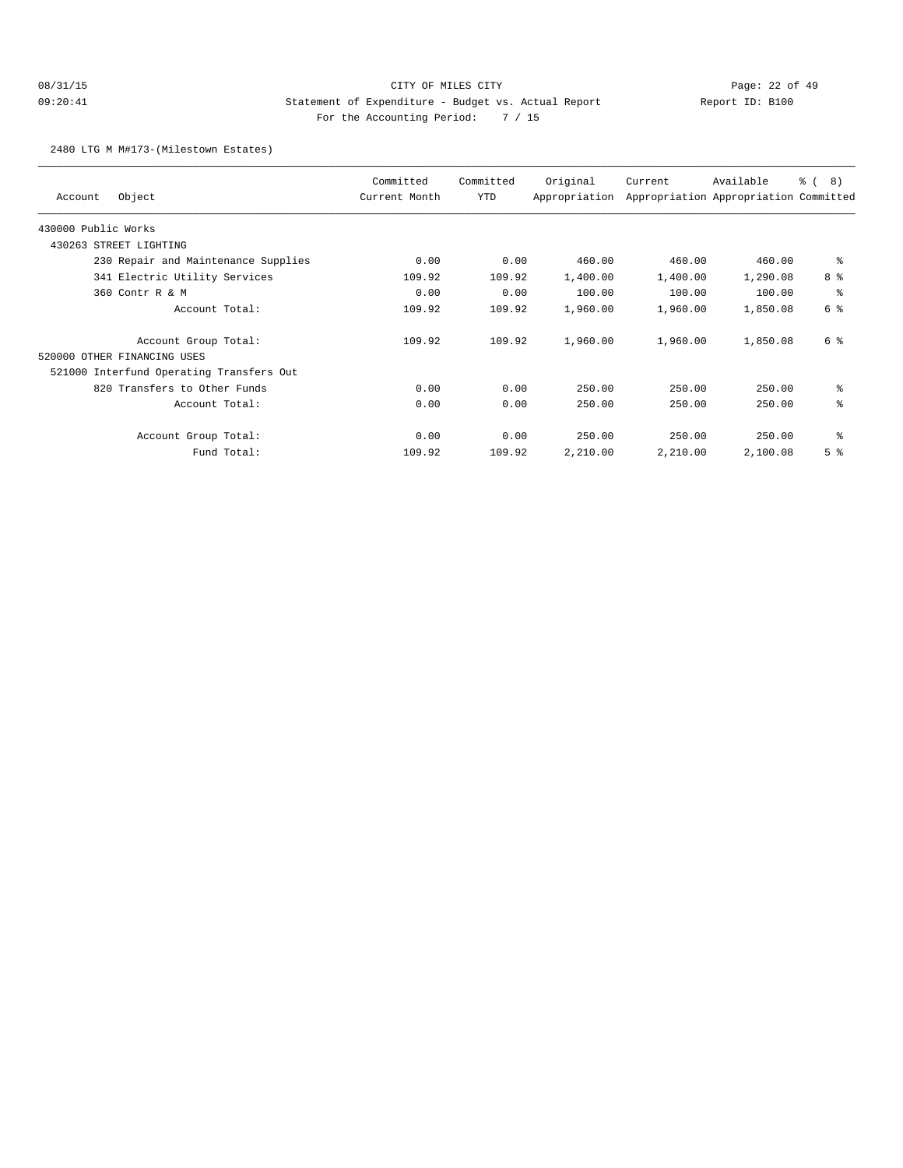2480 LTG M M#173-(Milestown Estates)

| Object<br>Account                        | Committed<br>Current Month | Committed<br>YTD | Original<br>Appropriation | Current  | Available<br>Appropriation Appropriation Committed | <u>ေ</u> (<br>8) |
|------------------------------------------|----------------------------|------------------|---------------------------|----------|----------------------------------------------------|------------------|
| 430000 Public Works                      |                            |                  |                           |          |                                                    |                  |
| 430263 STREET LIGHTING                   |                            |                  |                           |          |                                                    |                  |
| 230 Repair and Maintenance Supplies      | 0.00                       | 0.00             | 460.00                    | 460.00   | 460.00                                             | နွ               |
| 341 Electric Utility Services            | 109.92                     | 109.92           | 1,400.00                  | 1,400.00 | 1,290.08                                           | 8 %              |
| 360 Contr R & M                          | 0.00                       | 0.00             | 100.00                    | 100.00   | 100.00                                             | နွ               |
| Account Total:                           | 109.92                     | 109.92           | 1,960.00                  | 1,960.00 | 1,850.08                                           | 6 %              |
| Account Group Total:                     | 109.92                     | 109.92           | 1,960.00                  | 1,960.00 | 1,850.08                                           | 6 %              |
| 520000 OTHER FINANCING USES              |                            |                  |                           |          |                                                    |                  |
| 521000 Interfund Operating Transfers Out |                            |                  |                           |          |                                                    |                  |
| 820 Transfers to Other Funds             | 0.00                       | 0.00             | 250.00                    | 250.00   | 250.00                                             | နွ               |
| Account Total:                           | 0.00                       | 0.00             | 250.00                    | 250.00   | 250.00                                             | နွ               |
| Account Group Total:                     | 0.00                       | 0.00             | 250.00                    | 250.00   | 250.00                                             | နွ               |
| Fund Total:                              | 109.92                     | 109.92           | 2,210.00                  | 2,210.00 | 2,100.08                                           | 5 <sup>8</sup>   |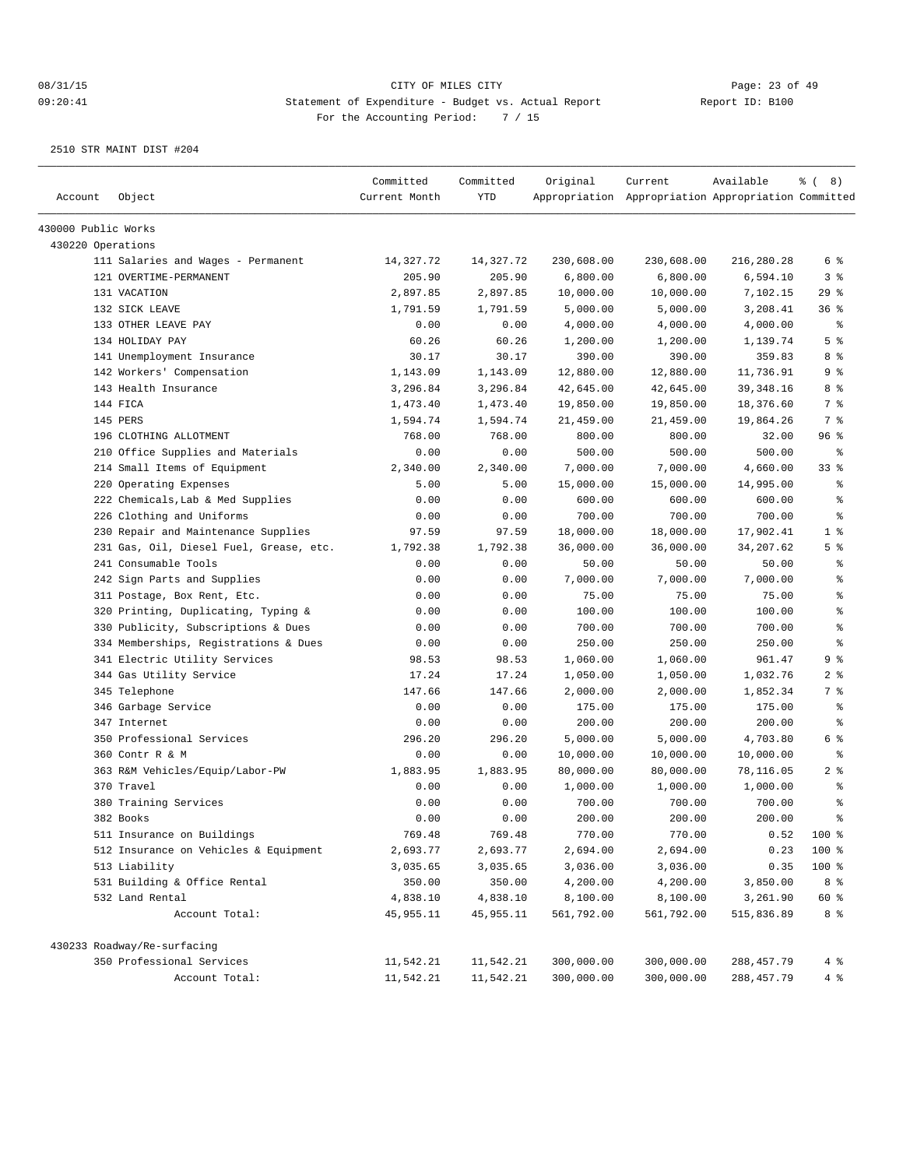| Account             | Object                                  | Committed<br>Current Month | Committed<br><b>YTD</b> | Original   | Current<br>Appropriation Appropriation Appropriation Committed | Available   | $\frac{6}{6}$ ( 8) |
|---------------------|-----------------------------------------|----------------------------|-------------------------|------------|----------------------------------------------------------------|-------------|--------------------|
| 430000 Public Works |                                         |                            |                         |            |                                                                |             |                    |
| 430220 Operations   |                                         |                            |                         |            |                                                                |             |                    |
|                     | 111 Salaries and Wages - Permanent      | 14,327.72                  | 14,327.72               | 230,608.00 | 230,608.00                                                     | 216,280.28  | 6 %                |
|                     | 121 OVERTIME-PERMANENT                  | 205.90                     | 205.90                  | 6,800.00   | 6,800.00                                                       | 6,594.10    | 3%                 |
|                     | 131 VACATION                            | 2,897.85                   | 2,897.85                | 10,000.00  | 10,000.00                                                      | 7,102.15    | 29%                |
|                     | 132 SICK LEAVE                          | 1,791.59                   | 1,791.59                | 5,000.00   | 5,000.00                                                       | 3,208.41    | 36%                |
|                     | 133 OTHER LEAVE PAY                     | 0.00                       | 0.00                    | 4,000.00   | 4,000.00                                                       | 4,000.00    | နွ                 |
|                     | 134 HOLIDAY PAY                         | 60.26                      | 60.26                   | 1,200.00   | 1,200.00                                                       | 1,139.74    | 5 <sup>°</sup>     |
|                     | 141 Unemployment Insurance              | 30.17                      | 30.17                   | 390.00     | 390.00                                                         | 359.83      | 8%                 |
|                     | 142 Workers' Compensation               | 1,143.09                   | 1,143.09                | 12,880.00  | 12,880.00                                                      | 11,736.91   | 9%                 |
|                     | 143 Health Insurance                    | 3,296.84                   | 3,296.84                | 42,645.00  | 42,645.00                                                      | 39, 348. 16 | 8 %                |
|                     | 144 FICA                                | 1,473.40                   | 1,473.40                | 19,850.00  | 19,850.00                                                      | 18,376.60   | 7 %                |
|                     | 145 PERS                                | 1,594.74                   | 1,594.74                | 21,459.00  | 21,459.00                                                      | 19,864.26   | 7 %                |
|                     | 196 CLOTHING ALLOTMENT                  | 768.00                     | 768.00                  | 800.00     | 800.00                                                         | 32.00       | 96%                |
|                     | 210 Office Supplies and Materials       | 0.00                       | 0.00                    | 500.00     | 500.00                                                         | 500.00      | နွ                 |
|                     | 214 Small Items of Equipment            | 2,340.00                   | 2,340.00                | 7,000.00   | 7,000.00                                                       | 4,660.00    | 33%                |
|                     | 220 Operating Expenses                  | 5.00                       | 5.00                    | 15,000.00  | 15,000.00                                                      | 14,995.00   | ి                  |
|                     | 222 Chemicals, Lab & Med Supplies       | 0.00                       | 0.00                    | 600.00     | 600.00                                                         | 600.00      | န္                 |
|                     | 226 Clothing and Uniforms               | 0.00                       | 0.00                    | 700.00     | 700.00                                                         | 700.00      | နွ                 |
|                     | 230 Repair and Maintenance Supplies     | 97.59                      | 97.59                   | 18,000.00  | 18,000.00                                                      | 17,902.41   | 1 <sup>°</sup>     |
|                     | 231 Gas, Oil, Diesel Fuel, Grease, etc. | 1,792.38                   | 1,792.38                | 36,000.00  | 36,000.00                                                      | 34,207.62   | 5 <sup>°</sup>     |
|                     | 241 Consumable Tools                    | 0.00                       | 0.00                    | 50.00      | 50.00                                                          | 50.00       | နွ                 |
|                     | 242 Sign Parts and Supplies             | 0.00                       | 0.00                    | 7,000.00   | 7,000.00                                                       | 7,000.00    | နွ                 |
|                     | 311 Postage, Box Rent, Etc.             | 0.00                       | 0.00                    | 75.00      | 75.00                                                          | 75.00       | $\,$ %             |
|                     | 320 Printing, Duplicating, Typing &     | 0.00                       | 0.00                    | 100.00     | 100.00                                                         | 100.00      | ి                  |
|                     | 330 Publicity, Subscriptions & Dues     | 0.00                       | 0.00                    | 700.00     | 700.00                                                         | 700.00      | န္                 |
|                     | 334 Memberships, Registrations & Dues   | 0.00                       | 0.00                    | 250.00     | 250.00                                                         | 250.00      | န္                 |
|                     | 341 Electric Utility Services           | 98.53                      | 98.53                   | 1,060.00   | 1,060.00                                                       | 961.47      | 9 %                |
|                     | 344 Gas Utility Service                 | 17.24                      | 17.24                   | 1,050.00   | 1,050.00                                                       | 1,032.76    | 2 <sub>8</sub>     |
|                     | 345 Telephone                           | 147.66                     | 147.66                  | 2,000.00   | 2,000.00                                                       | 1,852.34    | 7 <sup>°</sup>     |
|                     | 346 Garbage Service                     | 0.00                       | 0.00                    | 175.00     | 175.00                                                         | 175.00      | နွ                 |
|                     | 347 Internet                            | 0.00                       | 0.00                    | 200.00     | 200.00                                                         | 200.00      | နွ                 |
|                     | 350 Professional Services               | 296.20                     | 296.20                  | 5,000.00   | 5,000.00                                                       | 4,703.80    | 6 %                |
|                     | 360 Contr R & M                         | 0.00                       | 0.00                    | 10,000.00  | 10,000.00                                                      | 10,000.00   | $\epsilon$         |
|                     | 363 R&M Vehicles/Equip/Labor-PW         | 1,883.95                   | 1,883.95                | 80,000.00  | 80,000.00                                                      | 78,116.05   | 2 <sup>8</sup>     |
|                     | 370 Travel                              | 0.00                       | 0.00                    | 1,000.00   | 1,000.00                                                       | 1,000.00    | နွ                 |
|                     | 380 Training Services                   | 0.00                       | 0.00                    | 700.00     | 700.00                                                         | 700.00      | န္                 |
|                     | 382 Books                               | 0.00                       | 0.00                    | 200.00     | 200.00                                                         | 200.00      | $\approx$          |
|                     | 511 Insurance on Buildings              | 769.48                     | 769.48                  | 770.00     | 770.00                                                         | 0.52        | 100 %              |
|                     | 512 Insurance on Vehicles & Equipment   | 2,693.77                   | 2,693.77                | 2,694.00   | 2,694.00                                                       | 0.23        | 100 %              |
|                     | 513 Liability                           | 3,035.65                   | 3,035.65                | 3,036.00   | 3,036.00                                                       | 0.35        | 100 %              |
|                     | 531 Building & Office Rental            | 350.00                     | 350.00                  | 4,200.00   | 4,200.00                                                       | 3,850.00    | 8 %                |
|                     | 532 Land Rental                         | 4,838.10                   | 4,838.10                | 8,100.00   | 8,100.00                                                       | 3,261.90    | 60 %               |
|                     | Account Total:                          | 45,955.11                  | 45,955.11               | 561,792.00 | 561,792.00                                                     | 515,836.89  | 8 %                |
|                     | 430233 Roadway/Re-surfacing             |                            |                         |            |                                                                |             |                    |
|                     | 350 Professional Services               | 11,542.21                  | 11,542.21               | 300,000.00 | 300,000.00                                                     | 288, 457.79 | 4%                 |
|                     | Account Total:                          | 11,542.21                  | 11,542.21               | 300,000.00 | 300,000.00                                                     | 288, 457.79 | 4%                 |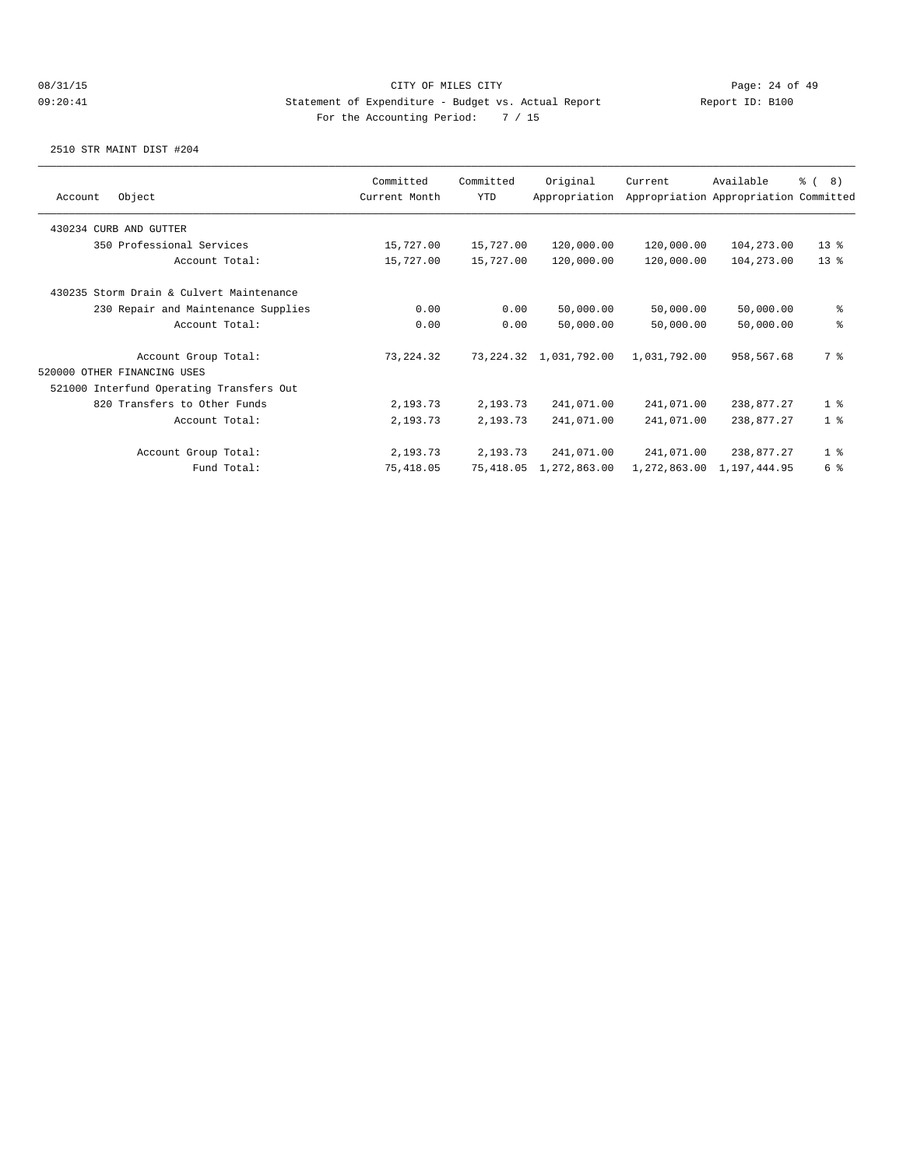| Object<br>Account                        | Committed<br>Current Month | Committed<br><b>YTD</b> | Original<br>Appropriation | Current      | Available<br>Appropriation Appropriation Committed | $\frac{6}{6}$ ( 8) |
|------------------------------------------|----------------------------|-------------------------|---------------------------|--------------|----------------------------------------------------|--------------------|
|                                          |                            |                         |                           |              |                                                    |                    |
| 430234 CURB AND GUTTER                   |                            |                         |                           |              |                                                    |                    |
| 350 Professional Services                | 15,727.00                  | 15,727.00               | 120,000.00                | 120,000.00   | 104,273.00                                         | $13*$              |
| Account Total:                           | 15,727.00                  | 15,727.00               | 120,000.00                | 120,000.00   | 104,273.00                                         | $13*$              |
| 430235 Storm Drain & Culvert Maintenance |                            |                         |                           |              |                                                    |                    |
| 230 Repair and Maintenance Supplies      | 0.00                       | 0.00                    | 50,000.00                 | 50,000.00    | 50,000.00                                          | နွ                 |
| Account Total:                           | 0.00                       | 0.00                    | 50,000.00                 | 50,000.00    | 50,000.00                                          | နွ                 |
| Account Group Total:                     | 73, 224.32                 |                         | 73, 224.32 1, 031, 792.00 | 1,031,792.00 | 958,567.68                                         | 7 %                |
| 520000 OTHER FINANCING USES              |                            |                         |                           |              |                                                    |                    |
| 521000 Interfund Operating Transfers Out |                            |                         |                           |              |                                                    |                    |
| 820 Transfers to Other Funds             | 2,193.73                   | 2,193.73                | 241,071.00                | 241,071.00   | 238,877.27                                         | 1 <sup>8</sup>     |
| Account Total:                           | 2,193.73                   | 2,193.73                | 241,071.00                | 241,071.00   | 238,877.27                                         | 1 <sup>°</sup>     |
| Account Group Total:                     | 2,193.73                   | 2,193.73                | 241,071.00                | 241,071.00   | 238,877.27                                         | 1 <sup>°</sup>     |
| Fund Total:                              | 75,418.05                  | 75,418.05               | 1,272,863.00              | 1,272,863.00 | 1,197,444.95                                       | 6 %                |
|                                          |                            |                         |                           |              |                                                    |                    |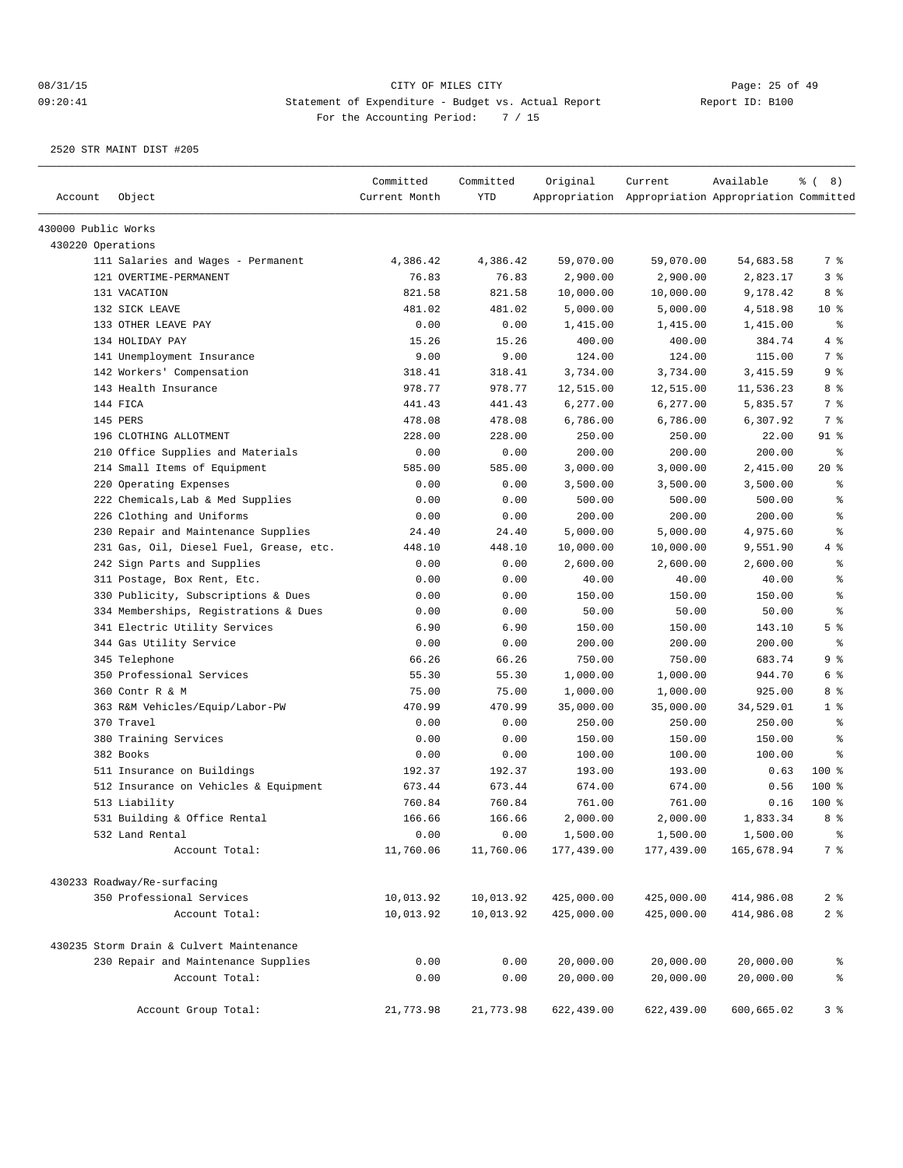|                     |                                                          | Committed     | Committed              | Original                 | Current                                             | Available                | $\frac{6}{6}$ ( 8)               |
|---------------------|----------------------------------------------------------|---------------|------------------------|--------------------------|-----------------------------------------------------|--------------------------|----------------------------------|
| Account             | Object                                                   | Current Month | YTD                    |                          | Appropriation Appropriation Appropriation Committed |                          |                                  |
| 430000 Public Works |                                                          |               |                        |                          |                                                     |                          |                                  |
| 430220 Operations   |                                                          |               |                        |                          |                                                     |                          |                                  |
|                     | 111 Salaries and Wages - Permanent                       | 4,386.42      | 4,386.42               | 59,070.00                | 59,070.00                                           | 54,683.58                | 7 %                              |
|                     | 121 OVERTIME-PERMANENT                                   | 76.83         | 76.83                  | 2,900.00                 | 2,900.00                                            | 2,823.17                 | 3%                               |
|                     | 131 VACATION                                             | 821.58        | 821.58                 | 10,000.00                | 10,000.00                                           | 9,178.42                 | 8 %                              |
|                     | 132 SICK LEAVE                                           | 481.02        | 481.02                 | 5,000.00                 | 5,000.00                                            | 4,518.98                 | $10*$                            |
|                     | 133 OTHER LEAVE PAY                                      | 0.00          | 0.00                   | 1,415.00                 | 1,415.00                                            | 1,415.00                 | နွ                               |
|                     | 134 HOLIDAY PAY                                          | 15.26         | 15.26                  | 400.00                   | 400.00                                              | 384.74                   | 4 %                              |
|                     | 141 Unemployment Insurance                               | 9.00          | 9.00                   | 124.00                   | 124.00                                              | 115.00                   | 7 %                              |
|                     | 142 Workers' Compensation                                | 318.41        | 318.41                 | 3,734.00                 | 3,734.00                                            | 3,415.59                 | 9%                               |
|                     | 143 Health Insurance                                     | 978.77        | 978.77                 | 12,515.00                | 12,515.00                                           | 11,536.23                | 8 %                              |
|                     | 144 FICA                                                 | 441.43        | 441.43                 | 6,277.00                 | 6,277.00                                            | 5,835.57                 | 7 %                              |
|                     | 145 PERS                                                 | 478.08        | 478.08                 | 6,786.00                 | 6,786.00                                            | 6,307.92                 | 7 %                              |
|                     | 196 CLOTHING ALLOTMENT                                   | 228.00        | 228.00                 | 250.00                   | 250.00                                              | 22.00                    | $91$ %                           |
|                     | 210 Office Supplies and Materials                        | 0.00          | 0.00                   | 200.00                   | 200.00                                              | 200.00                   | နွ                               |
|                     | 214 Small Items of Equipment                             | 585.00        | 585.00                 | 3,000.00                 | 3,000.00                                            | 2,415.00                 | 20%                              |
|                     | 220 Operating Expenses                                   | 0.00          | 0.00                   | 3,500.00                 | 3,500.00                                            | 3,500.00                 | နွ                               |
|                     | 222 Chemicals, Lab & Med Supplies                        | 0.00          | 0.00                   | 500.00                   | 500.00                                              | 500.00                   | ి                                |
|                     | 226 Clothing and Uniforms                                | 0.00          | 0.00                   | 200.00                   | 200.00                                              | 200.00                   | $\,$ %                           |
|                     | 230 Repair and Maintenance Supplies                      | 24.40         | 24.40                  | 5,000.00                 | 5,000.00                                            | 4,975.60                 | ి                                |
|                     | 231 Gas, Oil, Diesel Fuel, Grease, etc.                  | 448.10        | 448.10                 | 10,000.00                | 10,000.00                                           | 9,551.90                 | 4%                               |
|                     | 242 Sign Parts and Supplies                              | 0.00          | 0.00                   | 2,600.00                 | 2,600.00                                            | 2,600.00                 | နွ                               |
|                     | 311 Postage, Box Rent, Etc.                              | 0.00          | 0.00                   | 40.00                    | 40.00                                               | 40.00                    | နွ                               |
|                     | 330 Publicity, Subscriptions & Dues                      | 0.00          | 0.00                   | 150.00                   | 150.00                                              | 150.00                   | $\,$ %                           |
|                     | 334 Memberships, Registrations & Dues                    | 0.00          | 0.00                   | 50.00                    | 50.00                                               | 50.00                    | ి                                |
|                     | 341 Electric Utility Services                            | 6.90          | 6.90                   | 150.00                   | 150.00                                              | 143.10                   | 5 <sup>°</sup>                   |
|                     | 344 Gas Utility Service                                  | 0.00          | 0.00                   | 200.00                   | 200.00                                              | 200.00                   | နွ                               |
|                     | 345 Telephone                                            | 66.26         | 66.26                  | 750.00                   | 750.00                                              | 683.74                   | 9%                               |
|                     | 350 Professional Services                                | 55.30         | 55.30                  | 1,000.00                 | 1,000.00                                            | 944.70                   | 6 %                              |
|                     | 360 Contr R & M                                          | 75.00         | 75.00                  | 1,000.00                 | 1,000.00                                            | 925.00                   | 8 %                              |
|                     | 363 R&M Vehicles/Equip/Labor-PW                          | 470.99        | 470.99                 | 35,000.00                | 35,000.00                                           | 34,529.01                | 1 <sup>8</sup>                   |
|                     | 370 Travel                                               | 0.00          | 0.00                   | 250.00                   | 250.00                                              | 250.00                   | နွ                               |
|                     | 380 Training Services                                    | 0.00          | 0.00                   | 150.00                   | 150.00                                              | 150.00                   | ి                                |
|                     | 382 Books                                                | 0.00          | 0.00                   | 100.00                   | 100.00                                              | 100.00                   | ి                                |
|                     | 511 Insurance on Buildings                               | 192.37        | 192.37                 | 193.00                   | 193.00                                              | 0.63                     | 100 %                            |
|                     | 512 Insurance on Vehicles & Equipment                    | 673.44        | 673.44                 | 674.00                   | 674.00                                              | 0.56                     | 100 %                            |
|                     | 513 Liability                                            | 760.84        | 760.84                 | 761.00                   | 761.00                                              | 0.16                     | $100$ %                          |
|                     | 531 Building & Office Rental                             | 166.66        | 166.66                 | 2,000.00                 | 2,000.00                                            | 1,833.34                 | 8 %                              |
|                     | 532 Land Rental                                          | 0.00          | 0.00                   | 1,500.00                 | 1,500.00                                            | 1,500.00                 | $\frac{6}{9}$                    |
|                     | Account Total:                                           | 11,760.06     | 11,760.06              | 177,439.00               | 177,439.00                                          | 165,678.94               | 7 %                              |
|                     |                                                          |               |                        |                          |                                                     |                          |                                  |
|                     | 430233 Roadway/Re-surfacing<br>350 Professional Services | 10,013.92     |                        |                          |                                                     |                          |                                  |
|                     | Account Total:                                           | 10,013.92     | 10,013.92<br>10,013.92 | 425,000.00<br>425,000.00 | 425,000.00<br>425,000.00                            | 414,986.08<br>414,986.08 | 2 <sup>°</sup><br>2 <sup>°</sup> |
|                     |                                                          |               |                        |                          |                                                     |                          |                                  |
|                     | 430235 Storm Drain & Culvert Maintenance                 |               |                        |                          |                                                     |                          |                                  |
|                     | 230 Repair and Maintenance Supplies                      | 0.00          | 0.00                   | 20,000.00                | 20,000.00                                           | 20,000.00                | ್ಠಿ                              |
|                     | Account Total:                                           | 0.00          | 0.00                   | 20,000.00                | 20,000.00                                           | 20,000.00                | $\,{}^{\circ}\!\!\delta$         |
|                     | Account Group Total:                                     | 21,773.98     | 21,773.98              | 622,439.00               | 622,439.00                                          | 600,665.02               | 3 <sup>8</sup>                   |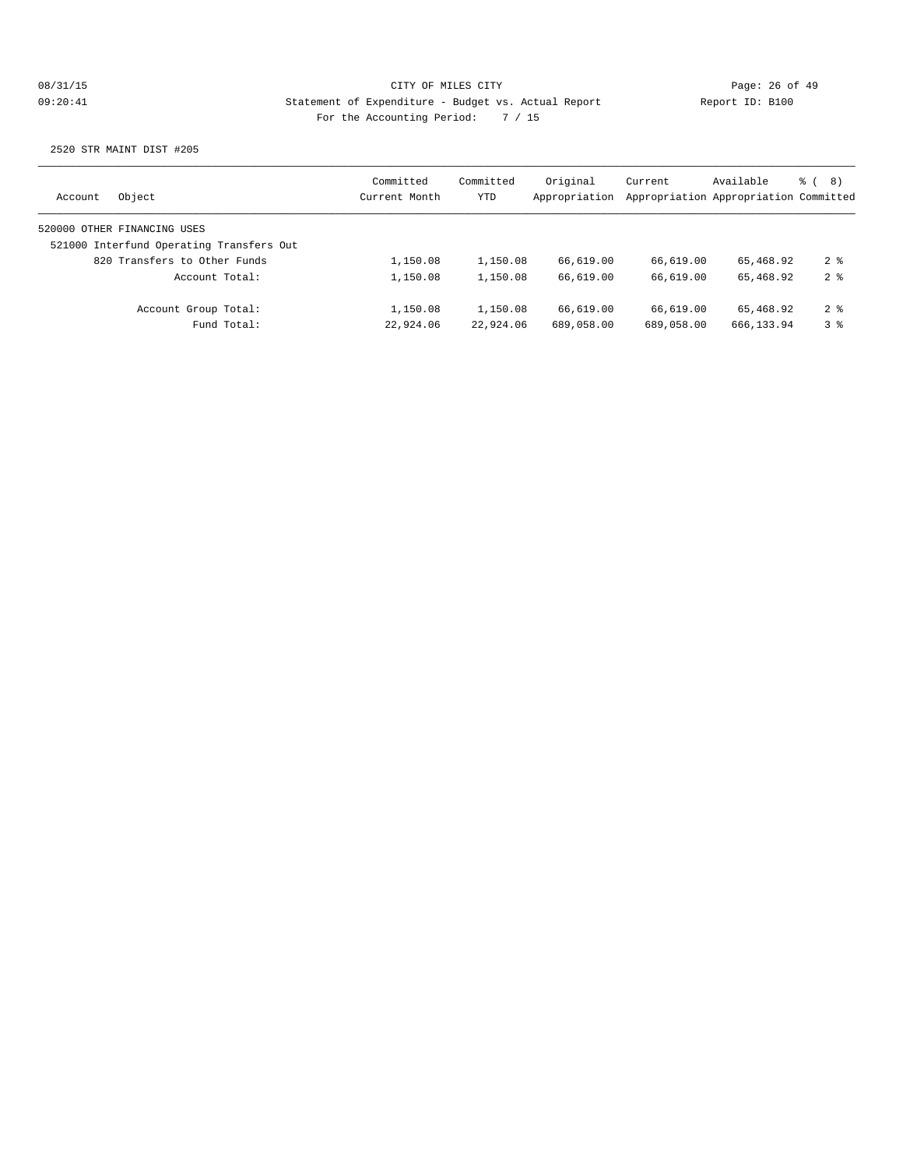| Object<br>Account                        | Committed<br>Current Month | Committed<br>YTD | Original<br>Appropriation | Current    | Available<br>Appropriation Appropriation Committed | දි (<br>8)      |
|------------------------------------------|----------------------------|------------------|---------------------------|------------|----------------------------------------------------|-----------------|
| 520000 OTHER FINANCING USES              |                            |                  |                           |            |                                                    |                 |
| 521000 Interfund Operating Transfers Out |                            |                  |                           |            |                                                    |                 |
| 820 Transfers to Other Funds             | 1,150.08                   | 1,150.08         | 66,619.00                 | 66,619.00  | 65,468.92                                          | $2 \frac{6}{9}$ |
| Account Total:                           | 1,150.08                   | 1,150.08         | 66,619.00                 | 66,619.00  | 65,468.92                                          | $2 \frac{6}{9}$ |
| Account Group Total:                     | 1,150.08                   | 1,150.08         | 66,619.00                 | 66,619.00  | 65,468.92                                          | $2 \frac{6}{9}$ |
| Fund Total:                              | 22,924.06                  | 22,924.06        | 689,058.00                | 689,058.00 | 666, 133.94                                        | 3 <sup>8</sup>  |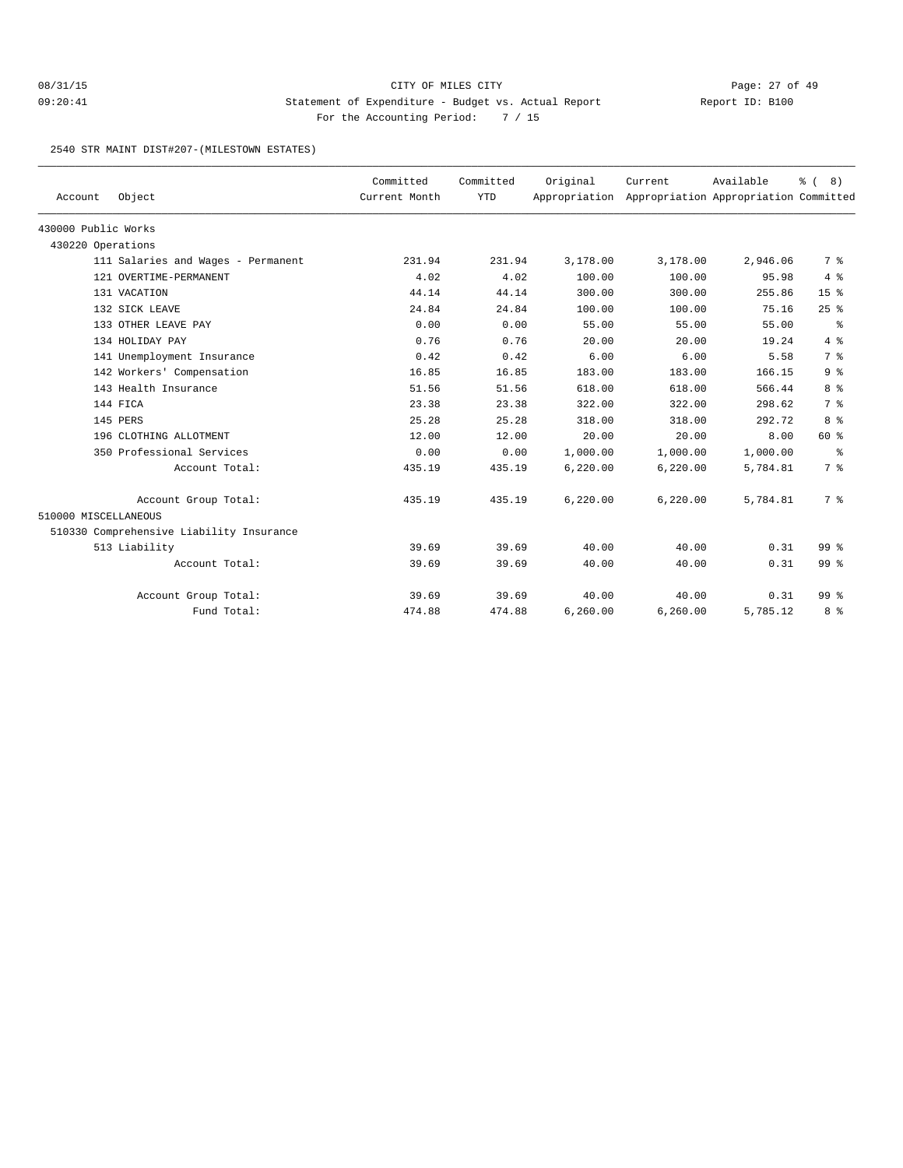2540 STR MAINT DIST#207-(MILESTOWN ESTATES)

| Account              | Object                                   | Committed<br>Current Month | Committed<br><b>YTD</b> | Original | Current<br>Appropriation Appropriation Appropriation Committed | Available | $\approx$ (<br>8) |
|----------------------|------------------------------------------|----------------------------|-------------------------|----------|----------------------------------------------------------------|-----------|-------------------|
| 430000 Public Works  |                                          |                            |                         |          |                                                                |           |                   |
| 430220 Operations    |                                          |                            |                         |          |                                                                |           |                   |
|                      | 111 Salaries and Wages - Permanent       | 231.94                     | 231.94                  | 3,178.00 | 3,178.00                                                       | 2,946.06  | 7 %               |
|                      | 121 OVERTIME-PERMANENT                   | 4.02                       | 4.02                    | 100.00   | 100.00                                                         | 95.98     | 4%                |
|                      | 131 VACATION                             | 44.14                      | 44.14                   | 300.00   | 300.00                                                         | 255.86    | 15 <sup>°</sup>   |
|                      | 132 SICK LEAVE                           | 24.84                      | 24.84                   | 100.00   | 100.00                                                         | 75.16     | 25%               |
|                      | 133 OTHER LEAVE PAY                      | 0.00                       | 0.00                    | 55.00    | 55.00                                                          | 55.00     | နွ                |
|                      | 134 HOLIDAY PAY                          | 0.76                       | 0.76                    | 20.00    | 20.00                                                          | 19.24     | 4%                |
|                      | 141 Unemployment Insurance               | 0.42                       | 0.42                    | 6.00     | 6.00                                                           | 5.58      | 7 <sup>°</sup>    |
|                      | 142 Workers' Compensation                | 16.85                      | 16.85                   | 183.00   | 183.00                                                         | 166.15    | 9 <sub>8</sub>    |
|                      | 143 Health Insurance                     | 51.56                      | 51.56                   | 618.00   | 618.00                                                         | 566.44    | 8 %               |
|                      | 144 FICA                                 | 23.38                      | 23.38                   | 322.00   | 322.00                                                         | 298.62    | 7 %               |
|                      | 145 PERS                                 | 25.28                      | 25.28                   | 318.00   | 318.00                                                         | 292.72    | 8 %               |
|                      | 196 CLOTHING ALLOTMENT                   | 12.00                      | 12.00                   | 20.00    | 20.00                                                          | 8.00      | 60 %              |
|                      | 350 Professional Services                | 0.00                       | 0.00                    | 1,000.00 | 1,000.00                                                       | 1,000.00  | နွ                |
|                      | Account Total:                           | 435.19                     | 435.19                  | 6.220.00 | 6.220.00                                                       | 5,784.81  | 7 %               |
|                      | Account Group Total:                     | 435.19                     | 435.19                  | 6,220.00 | 6,220.00                                                       | 5,784.81  | 7 %               |
| 510000 MISCELLANEOUS |                                          |                            |                         |          |                                                                |           |                   |
|                      | 510330 Comprehensive Liability Insurance |                            |                         |          |                                                                |           |                   |
|                      | 513 Liability                            | 39.69                      | 39.69                   | 40.00    | 40.00                                                          | 0.31      | 99 <sup>8</sup>   |
|                      | Account Total:                           | 39.69                      | 39.69                   | 40.00    | 40.00                                                          | 0.31      | 99 <sup>8</sup>   |
|                      | Account Group Total:                     | 39.69                      | 39.69                   | 40.00    | 40.00                                                          | 0.31      | 99 <sup>8</sup>   |
|                      | Fund Total:                              | 474.88                     | 474.88                  | 6,260.00 | 6,260.00                                                       | 5,785.12  | 8 %               |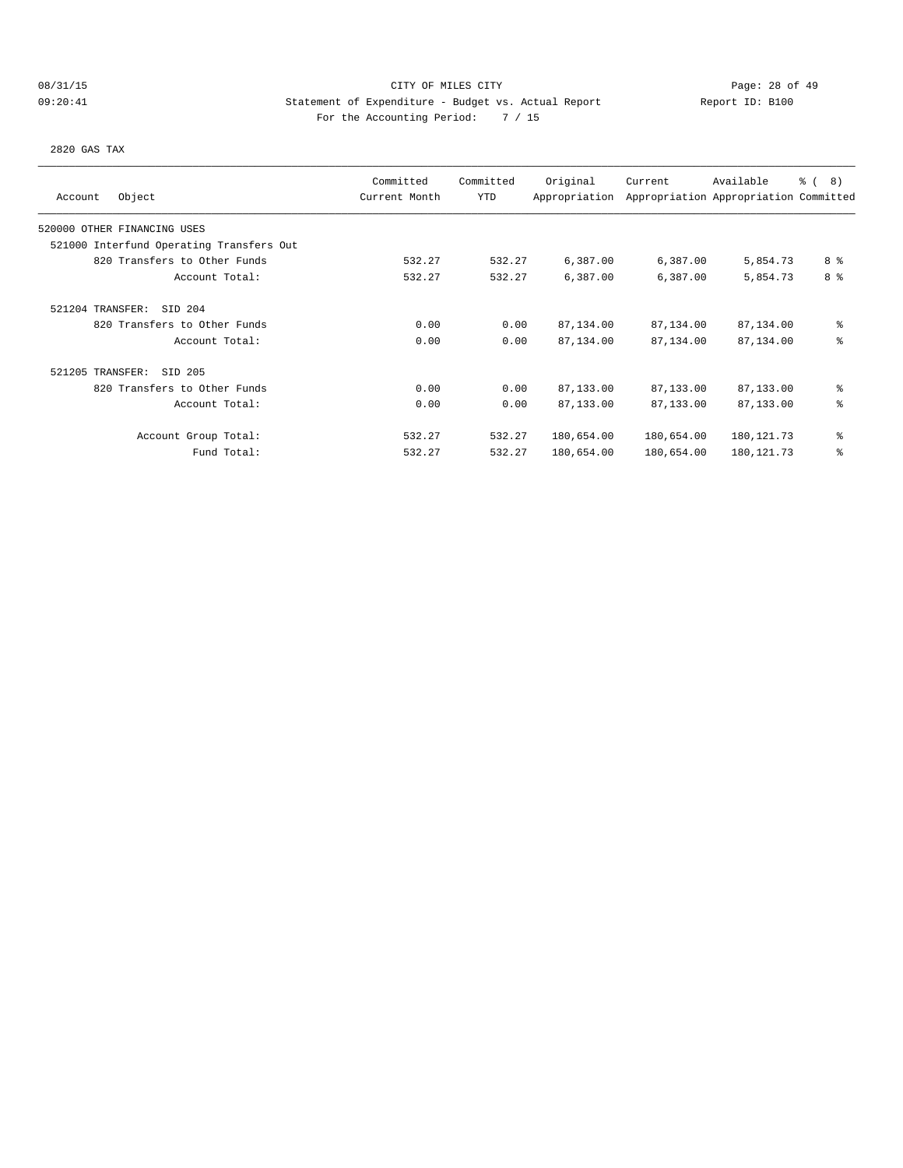# 08/31/15 CITY OF MILES CITY Page: 28 of 49 09:20:41 Statement of Expenditure - Budget vs. Actual Report Report ID: B100 For the Accounting Period: 7 / 15

2820 GAS TAX

|                                          | Committed     | Committed  | Original      | Current    | Available                             | $\frac{6}{6}$ ( 8) |
|------------------------------------------|---------------|------------|---------------|------------|---------------------------------------|--------------------|
| Object<br>Account                        | Current Month | <b>YTD</b> | Appropriation |            | Appropriation Appropriation Committed |                    |
| 520000 OTHER FINANCING USES              |               |            |               |            |                                       |                    |
| 521000 Interfund Operating Transfers Out |               |            |               |            |                                       |                    |
| 820 Transfers to Other Funds             | 532.27        | 532.27     | 6,387.00      | 6,387.00   | 5,854.73                              | 8 %                |
| Account Total:                           | 532.27        | 532.27     | 6,387.00      | 6,387.00   | 5,854.73                              | 8 <sup>8</sup>     |
| SID 204<br>521204 TRANSFER:              |               |            |               |            |                                       |                    |
| 820 Transfers to Other Funds             | 0.00          | 0.00       | 87,134.00     | 87,134.00  | 87,134.00                             | ి                  |
| Account Total:                           | 0.00          | 0.00       | 87,134.00     | 87,134.00  | 87,134.00                             | ి                  |
| 521205 TRANSFER:<br>SID 205              |               |            |               |            |                                       |                    |
| 820 Transfers to Other Funds             | 0.00          | 0.00       | 87,133.00     | 87,133.00  | 87,133.00                             | ៖                  |
| Account Total:                           | 0.00          | 0.00       | 87,133.00     | 87,133.00  | 87,133.00                             | ి                  |
| Account Group Total:                     | 532.27        | 532.27     | 180,654.00    | 180,654.00 | 180, 121. 73                          | ిక                 |
| Fund Total:                              | 532.27        | 532.27     | 180,654.00    | 180,654.00 | 180, 121.73                           | ి                  |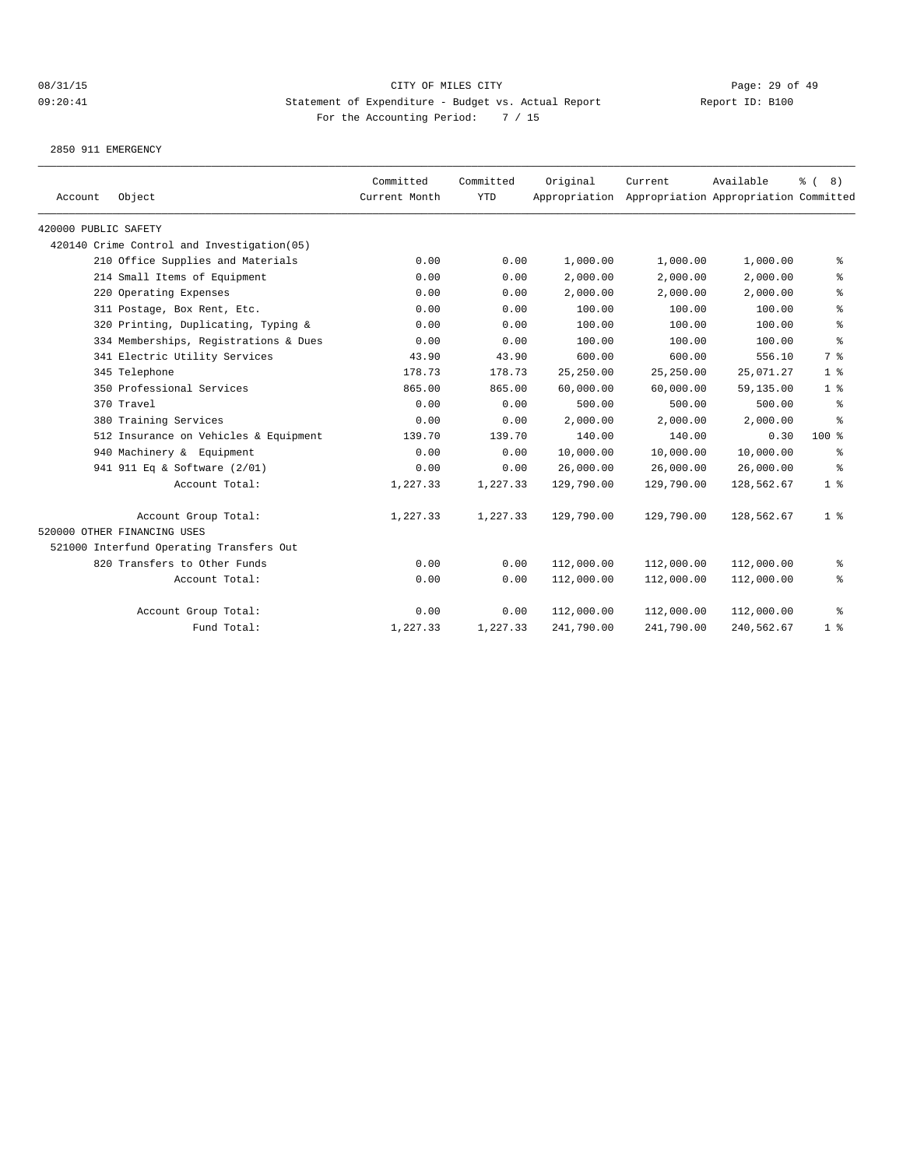2850 911 EMERGENCY

| Account              | Object                                     | Committed<br>Current Month | Committed<br><b>YTD</b> | Original   | Current<br>Appropriation Appropriation Appropriation Committed | Available  | $\frac{6}{6}$ (<br>8)                    |
|----------------------|--------------------------------------------|----------------------------|-------------------------|------------|----------------------------------------------------------------|------------|------------------------------------------|
| 420000 PUBLIC SAFETY |                                            |                            |                         |            |                                                                |            |                                          |
|                      | 420140 Crime Control and Investigation(05) |                            |                         |            |                                                                |            |                                          |
|                      | 210 Office Supplies and Materials          | 0.00                       | 0.00                    | 1,000.00   | 1,000.00                                                       | 1,000.00   | ွေ                                       |
|                      | 214 Small Items of Equipment               | 0.00                       | 0.00                    | 2,000.00   | 2,000.00                                                       | 2,000.00   | နွ                                       |
|                      | 220 Operating Expenses                     | 0.00                       | 0.00                    | 2,000.00   | 2,000.00                                                       | 2,000.00   | နွ                                       |
|                      | 311 Postage, Box Rent, Etc.                | 0.00                       | 0.00                    | 100.00     | 100.00                                                         | 100.00     | ి                                        |
|                      | 320 Printing, Duplicating, Typing &        | 0.00                       | 0.00                    | 100.00     | 100.00                                                         | 100.00     | $\, \raisebox{0.6ex}{\scriptsize{*}} \,$ |
|                      | 334 Memberships, Registrations & Dues      | 0.00                       | 0.00                    | 100.00     | 100.00                                                         | 100.00     | န္                                       |
|                      | 341 Electric Utility Services              | 43.90                      | 43.90                   | 600.00     | 600.00                                                         | 556.10     | 7 %                                      |
|                      | 345 Telephone                              | 178.73                     | 178.73                  | 25,250.00  | 25, 250.00                                                     | 25,071.27  | 1 <sup>°</sup>                           |
|                      | 350 Professional Services                  | 865.00                     | 865.00                  | 60,000.00  | 60,000.00                                                      | 59,135.00  | 1 <sup>°</sup>                           |
|                      | 370 Travel                                 | 0.00                       | 0.00                    | 500.00     | 500.00                                                         | 500.00     | ႜ                                        |
|                      | 380 Training Services                      | 0.00                       | 0.00                    | 2,000.00   | 2,000.00                                                       | 2,000.00   | ႜ                                        |
|                      | 512 Insurance on Vehicles & Equipment      | 139.70                     | 139.70                  | 140.00     | 140.00                                                         | 0.30       | $100$ %                                  |
|                      | 940 Machinery & Equipment                  | 0.00                       | 0.00                    | 10,000.00  | 10,000.00                                                      | 10,000.00  | နွ                                       |
|                      | 941 911 Eq & Software (2/01)               | 0.00                       | 0.00                    | 26,000.00  | 26,000.00                                                      | 26,000.00  | နွ                                       |
|                      | Account Total:                             | 1,227.33                   | 1,227.33                | 129,790.00 | 129,790.00                                                     | 128,562.67 | 1 <sup>8</sup>                           |
|                      | Account Group Total:                       | 1,227.33                   | 1,227.33                | 129,790.00 | 129,790.00                                                     | 128,562.67 | 1 <sup>8</sup>                           |
|                      | 520000 OTHER FINANCING USES                |                            |                         |            |                                                                |            |                                          |
|                      | 521000 Interfund Operating Transfers Out   |                            |                         |            |                                                                |            |                                          |
|                      | 820 Transfers to Other Funds               | 0.00                       | 0.00                    | 112,000.00 | 112,000.00                                                     | 112,000.00 | ႜ                                        |
|                      | Account Total:                             | 0.00                       | 0.00                    | 112,000.00 | 112,000.00                                                     | 112,000.00 | နွ                                       |
|                      | Account Group Total:                       | 0.00                       | 0.00                    | 112,000.00 | 112,000.00                                                     | 112,000.00 | ႜ                                        |
|                      | Fund Total:                                | 1,227.33                   | 1,227.33                | 241,790.00 | 241,790.00                                                     | 240,562.67 | 1 <sup>8</sup>                           |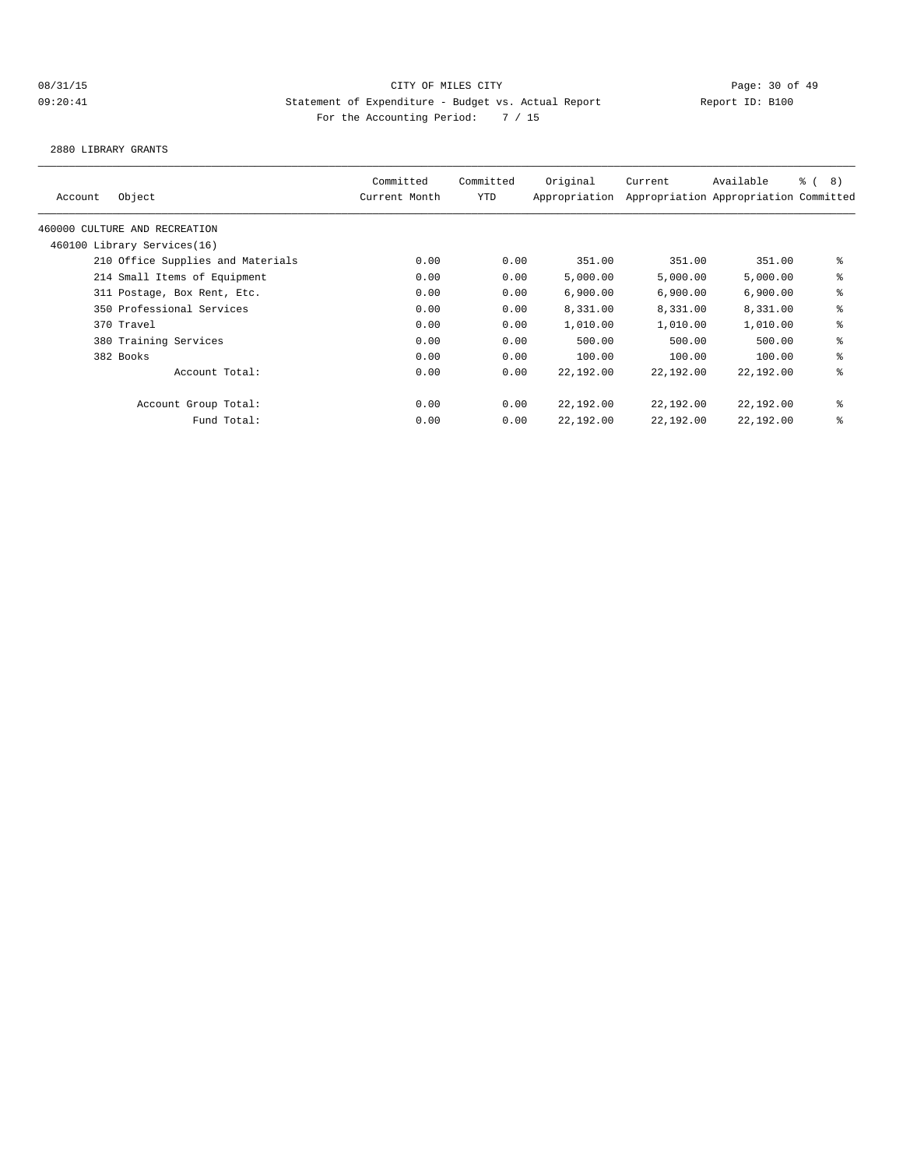2880 LIBRARY GRANTS

| Object<br>Account                 | Committed<br>Current Month | Committed<br>YTD | Original<br>Appropriation | Current   | Available<br>Appropriation Appropriation Committed | $\frac{6}{5}$ ( 8) |
|-----------------------------------|----------------------------|------------------|---------------------------|-----------|----------------------------------------------------|--------------------|
| 460000 CULTURE AND RECREATION     |                            |                  |                           |           |                                                    |                    |
| 460100 Library Services(16)       |                            |                  |                           |           |                                                    |                    |
| 210 Office Supplies and Materials | 0.00                       | 0.00             | 351.00                    | 351.00    | 351.00                                             | နွ                 |
| 214 Small Items of Equipment      | 0.00                       | 0.00             | 5,000.00                  | 5,000.00  | 5,000.00                                           | နွ                 |
| 311 Postage, Box Rent, Etc.       | 0.00                       | 0.00             | 6,900.00                  | 6,900.00  | 6,900.00                                           | နွ                 |
| 350 Professional Services         | 0.00                       | 0.00             | 8,331.00                  | 8,331.00  | 8,331.00                                           | နွ                 |
| 370 Travel                        | 0.00                       | 0.00             | 1,010.00                  | 1,010.00  | 1,010.00                                           | နွ                 |
| 380 Training Services             | 0.00                       | 0.00             | 500.00                    | 500.00    | 500.00                                             | နွ                 |
| 382 Books                         | 0.00                       | 0.00             | 100.00                    | 100.00    | 100.00                                             | နွ                 |
| Account Total:                    | 0.00                       | 0.00             | 22,192.00                 | 22,192.00 | 22,192.00                                          | နွ                 |
| Account Group Total:              | 0.00                       | 0.00             | 22,192.00                 | 22,192.00 | 22,192.00                                          | နွ                 |
| Fund Total:                       | 0.00                       | 0.00             | 22,192.00                 | 22,192.00 | 22,192.00                                          | နွ                 |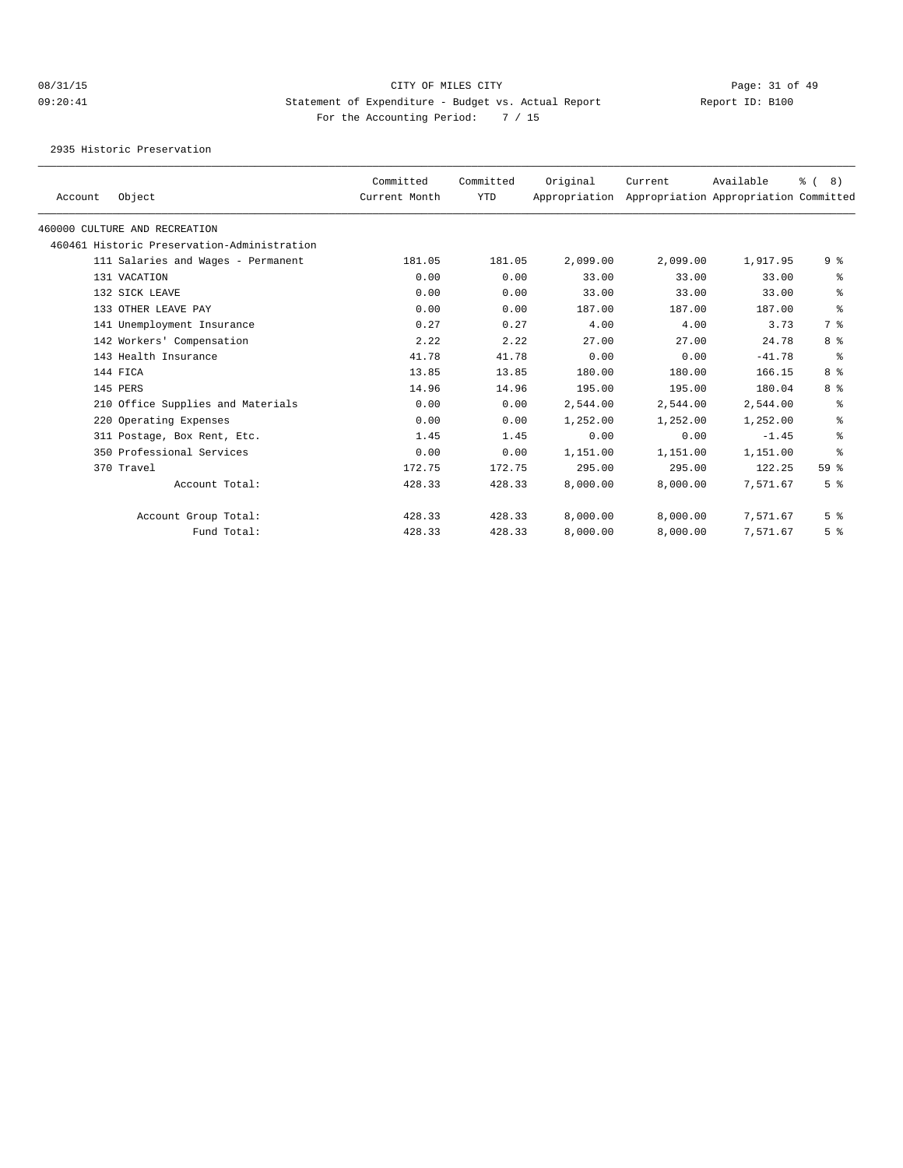2935 Historic Preservation

|         |                                             | Committed     | Committed  | Original      | Current  | Available                             | % (8)           |
|---------|---------------------------------------------|---------------|------------|---------------|----------|---------------------------------------|-----------------|
| Account | Object                                      | Current Month | <b>YTD</b> | Appropriation |          | Appropriation Appropriation Committed |                 |
|         | 460000 CULTURE AND RECREATION               |               |            |               |          |                                       |                 |
|         | 460461 Historic Preservation-Administration |               |            |               |          |                                       |                 |
|         | 111 Salaries and Wages - Permanent          | 181.05        | 181.05     | 2,099.00      | 2,099.00 | 1,917.95                              | 9%              |
|         | 131 VACATION                                | 0.00          | 0.00       | 33.00         | 33.00    | 33.00                                 | နွ              |
|         | 132 SICK LEAVE                              | 0.00          | 0.00       | 33.00         | 33.00    | 33.00                                 | နွ              |
|         | 133 OTHER LEAVE PAY                         | 0.00          | 0.00       | 187.00        | 187.00   | 187.00                                | ి               |
|         | 141 Unemployment Insurance                  | 0.27          | 0.27       | 4.00          | 4.00     | 3.73                                  | 7 %             |
|         | 142 Workers' Compensation                   | 2.22          | 2.22       | 27.00         | 27.00    | 24.78                                 | 8 %             |
|         | 143 Health Insurance                        | 41.78         | 41.78      | 0.00          | 0.00     | $-41.78$                              | ႜ               |
|         | 144 FICA                                    | 13.85         | 13.85      | 180.00        | 180.00   | 166.15                                | 8 %             |
|         | 145 PERS                                    | 14.96         | 14.96      | 195.00        | 195.00   | 180.04                                | 8 %             |
|         | 210 Office Supplies and Materials           | 0.00          | 0.00       | 2,544.00      | 2,544.00 | 2,544.00                              | နွ              |
|         | 220 Operating Expenses                      | 0.00          | 0.00       | 1,252.00      | 1,252.00 | 1,252.00                              | နွ              |
|         | 311 Postage, Box Rent, Etc.                 | 1.45          | 1.45       | 0.00          | 0.00     | $-1.45$                               | နွ              |
|         | 350 Professional Services                   | 0.00          | 0.00       | 1,151.00      | 1,151.00 | 1,151.00                              | ి               |
|         | 370 Travel                                  | 172.75        | 172.75     | 295.00        | 295.00   | 122.25                                | 59 <sup>°</sup> |
|         | Account Total:                              | 428.33        | 428.33     | 8,000.00      | 8,000.00 | 7,571.67                              | 5 <sup>8</sup>  |
|         | Account Group Total:                        | 428.33        | 428.33     | 8,000.00      | 8,000.00 | 7,571.67                              | 5 <sup>8</sup>  |
|         | Fund Total:                                 | 428.33        | 428.33     | 8,000.00      | 8,000.00 | 7,571.67                              | 5 <sup>8</sup>  |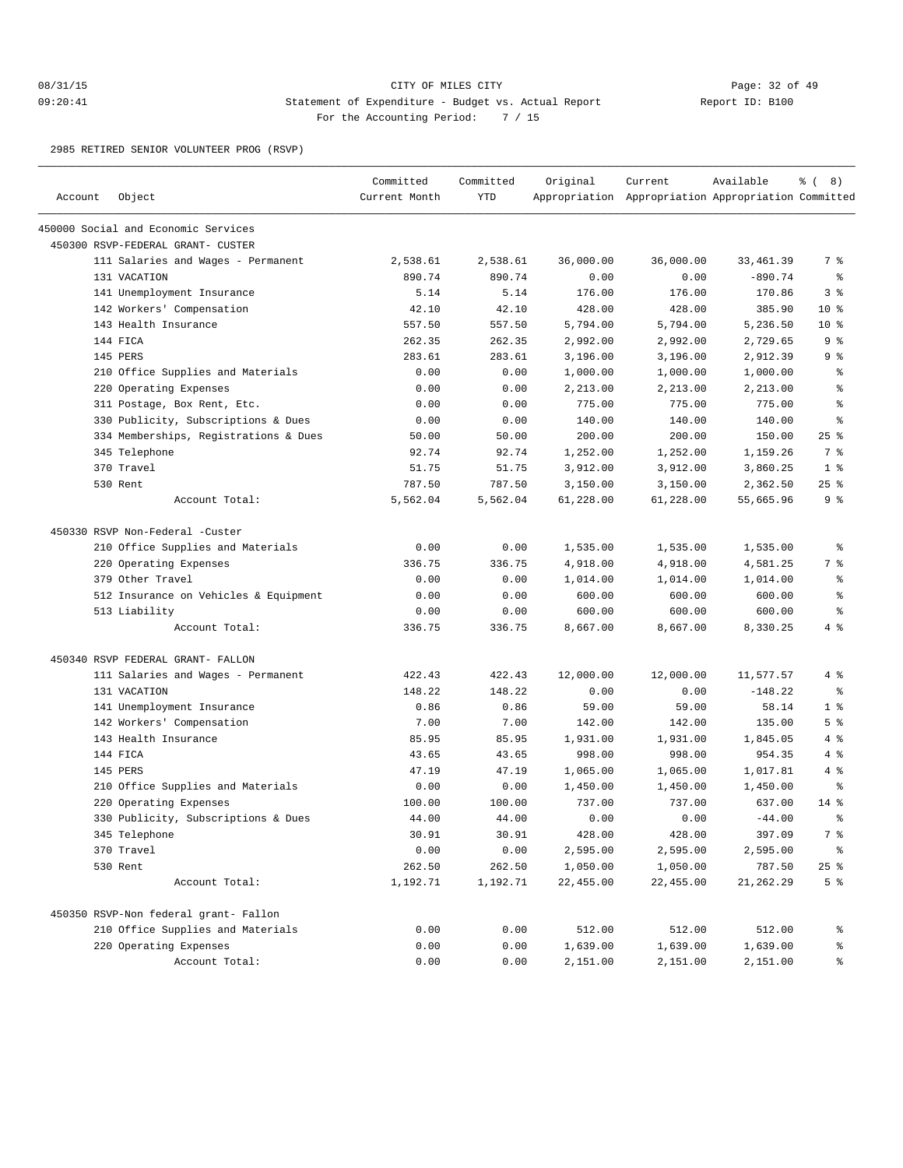## 08/31/15 **Page: 32 of 49** 09:20:41 Statement of Expenditure - Budget vs. Actual Report Report ID: B100 For the Accounting Period: 7 / 15

2985 RETIRED SENIOR VOLUNTEER PROG (RSVP)

| Account | Object                                | Committed<br>Current Month | Committed<br><b>YTD</b> | Original  | Current<br>Appropriation Appropriation Appropriation Committed | Available  | $\frac{6}{6}$ ( 8) |
|---------|---------------------------------------|----------------------------|-------------------------|-----------|----------------------------------------------------------------|------------|--------------------|
|         | 450000 Social and Economic Services   |                            |                         |           |                                                                |            |                    |
|         | 450300 RSVP-FEDERAL GRANT- CUSTER     |                            |                         |           |                                                                |            |                    |
|         | 111 Salaries and Wages - Permanent    | 2,538.61                   | 2,538.61                | 36,000.00 | 36,000.00                                                      | 33, 461.39 | 7 %                |
|         | 131 VACATION                          | 890.74                     | 890.74                  | 0.00      | 0.00                                                           | $-890.74$  | $\epsilon$         |
|         | 141 Unemployment Insurance            | 5.14                       | 5.14                    | 176.00    | 176.00                                                         | 170.86     | 3 <sup>8</sup>     |
|         | 142 Workers' Compensation             | 42.10                      | 42.10                   | 428.00    | 428.00                                                         | 385.90     | $10*$              |
|         | 143 Health Insurance                  | 557.50                     | 557.50                  | 5,794.00  | 5,794.00                                                       | 5,236.50   | $10*$              |
|         | 144 FICA                              | 262.35                     | 262.35                  | 2,992.00  | 2,992.00                                                       | 2,729.65   | 9 <sub>8</sub>     |
|         | 145 PERS                              | 283.61                     | 283.61                  | 3,196.00  | 3,196.00                                                       | 2,912.39   | 9 <sub>8</sub>     |
|         | 210 Office Supplies and Materials     | 0.00                       | 0.00                    | 1,000.00  | 1,000.00                                                       | 1,000.00   | $\epsilon$         |
|         | 220 Operating Expenses                | 0.00                       | 0.00                    | 2,213.00  | 2,213.00                                                       | 2,213.00   | န္                 |
|         | 311 Postage, Box Rent, Etc.           | 0.00                       | 0.00                    | 775.00    | 775.00                                                         | 775.00     | နွ                 |
|         | 330 Publicity, Subscriptions & Dues   | 0.00                       | 0.00                    | 140.00    | 140.00                                                         | 140.00     | ႜ                  |
|         | 334 Memberships, Registrations & Dues | 50.00                      | 50.00                   | 200.00    | 200.00                                                         | 150.00     | 25%                |
|         | 345 Telephone                         | 92.74                      | 92.74                   | 1,252.00  | 1,252.00                                                       | 1,159.26   | 7 %                |
|         | 370 Travel                            | 51.75                      | 51.75                   | 3,912.00  | 3,912.00                                                       | 3,860.25   | 1 <sup>°</sup>     |
|         | 530 Rent                              | 787.50                     | 787.50                  | 3,150.00  | 3,150.00                                                       | 2,362.50   | 25%                |
|         | Account Total:                        | 5,562.04                   | 5,562.04                | 61,228.00 | 61,228.00                                                      | 55,665.96  | 9 <sup>°</sup>     |
|         | 450330 RSVP Non-Federal -Custer       |                            |                         |           |                                                                |            |                    |
|         | 210 Office Supplies and Materials     | 0.00                       | 0.00                    | 1,535.00  | 1,535.00                                                       | 1,535.00   | ႜ                  |
|         | 220 Operating Expenses                | 336.75                     | 336.75                  | 4,918.00  | 4,918.00                                                       | 4,581.25   | 7 %                |
|         | 379 Other Travel                      | 0.00                       | 0.00                    | 1,014.00  | 1,014.00                                                       | 1,014.00   | နွ                 |
|         | 512 Insurance on Vehicles & Equipment | 0.00                       | 0.00                    | 600.00    | 600.00                                                         | 600.00     | $\epsilon$         |
|         | 513 Liability                         | 0.00                       | 0.00                    | 600.00    | 600.00                                                         | 600.00     | န္                 |
|         | Account Total:                        | 336.75                     | 336.75                  | 8,667.00  | 8,667.00                                                       | 8,330.25   | 4%                 |
|         | 450340 RSVP FEDERAL GRANT- FALLON     |                            |                         |           |                                                                |            |                    |
|         | 111 Salaries and Wages - Permanent    | 422.43                     | 422.43                  | 12,000.00 | 12,000.00                                                      | 11,577.57  | 4%                 |
|         | 131 VACATION                          | 148.22                     | 148.22                  | 0.00      | 0.00                                                           | $-148.22$  | $\epsilon$         |
|         | 141 Unemployment Insurance            | 0.86                       | 0.86                    | 59.00     | 59.00                                                          | 58.14      | 1 <sup>°</sup>     |
|         | 142 Workers' Compensation             | 7.00                       | 7.00                    | 142.00    | 142.00                                                         | 135.00     | 5 <sup>°</sup>     |
|         | 143 Health Insurance                  | 85.95                      | 85.95                   | 1,931.00  | 1,931.00                                                       | 1,845.05   | 4%                 |
|         | 144 FICA                              | 43.65                      | 43.65                   | 998.00    | 998.00                                                         | 954.35     | 4%                 |
|         | 145 PERS                              | 47.19                      | 47.19                   | 1,065.00  | 1,065.00                                                       | 1,017.81   | 4%                 |
|         | 210 Office Supplies and Materials     | 0.00                       | 0.00                    | 1,450.00  | 1,450.00                                                       | 1,450.00   | ႜ                  |
|         | 220 Operating Expenses                | 100.00                     | 100.00                  | 737.00    | 737.00                                                         | 637.00     | $14$ %             |
|         | 330 Publicity, Subscriptions & Dues   | 44.00                      | 44.00                   | 0.00      | 0.00                                                           | $-44.00$   | る                  |
|         | 345 Telephone                         | 30.91                      | 30.91                   | 428.00    | 428.00                                                         | 397.09     | 7 %                |
|         | 370 Travel                            | 0.00                       | 0.00                    | 2,595.00  | 2,595.00                                                       | 2,595.00   | ಿ                  |
|         | 530 Rent                              | 262.50                     | 262.50                  | 1,050.00  | 1,050.00                                                       | 787.50     | $25$ $%$           |
|         | Account Total:                        | 1,192.71                   | 1,192.71                | 22,455.00 | 22,455.00                                                      | 21,262.29  | 5 <sup>°</sup>     |
|         | 450350 RSVP-Non federal grant- Fallon |                            |                         |           |                                                                |            |                    |
|         | 210 Office Supplies and Materials     | 0.00                       | 0.00                    | 512.00    | 512.00                                                         | 512.00     | ್ಠಿ                |
|         | 220 Operating Expenses                | 0.00                       | 0.00                    | 1,639.00  | 1,639.00                                                       | 1,639.00   | ွေ                 |
|         | Account Total:                        | 0.00                       | 0.00                    | 2,151.00  | 2,151.00                                                       | 2,151.00   | နွ                 |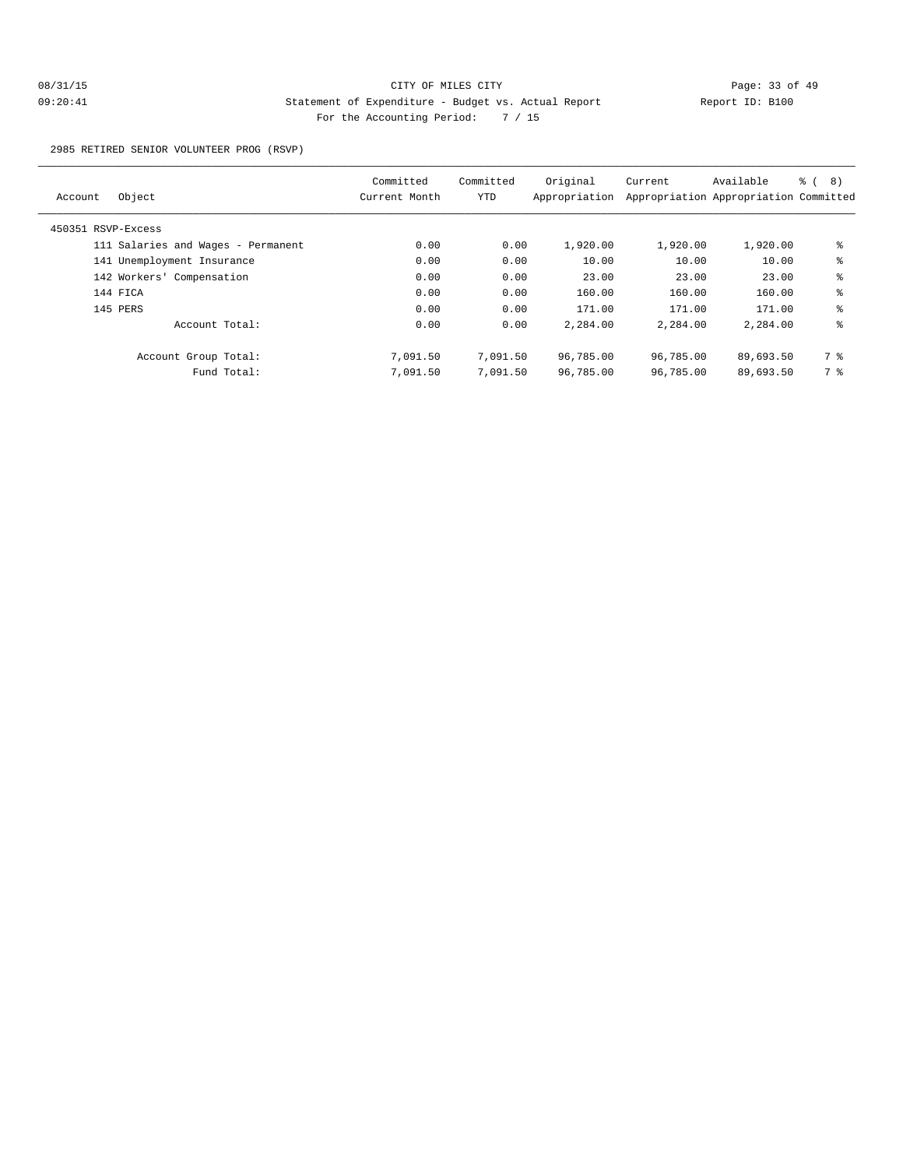2985 RETIRED SENIOR VOLUNTEER PROG (RSVP)

| Object<br>Account                  | Committed<br>Current Month | Committed<br>YTD | Original<br>Appropriation | Current   | Available<br>Appropriation Appropriation Committed | ී (<br>8) |
|------------------------------------|----------------------------|------------------|---------------------------|-----------|----------------------------------------------------|-----------|
| 450351 RSVP-Excess                 |                            |                  |                           |           |                                                    |           |
| 111 Salaries and Wages - Permanent | 0.00                       | 0.00             | 1,920.00                  | 1,920.00  | 1,920.00                                           | နွ        |
| 141 Unemployment Insurance         | 0.00                       | 0.00             | 10.00                     | 10.00     | 10.00                                              | နွ        |
| 142 Workers' Compensation          | 0.00                       | 0.00             | 23.00                     | 23.00     | 23.00                                              | နွ        |
| 144 FICA                           | 0.00                       | 0.00             | 160.00                    | 160.00    | 160.00                                             | ి         |
| 145 PERS                           | 0.00                       | 0.00             | 171.00                    | 171.00    | 171.00                                             | နွ        |
| Account Total:                     | 0.00                       | 0.00             | 2,284.00                  | 2,284.00  | 2,284.00                                           | နွ        |
| Account Group Total:               | 7,091.50                   | 7,091.50         | 96,785.00                 | 96,785.00 | 89,693.50                                          | 7 %       |
| Fund Total:                        | 7,091.50                   | 7,091.50         | 96,785.00                 | 96,785.00 | 89,693.50                                          | 7 %       |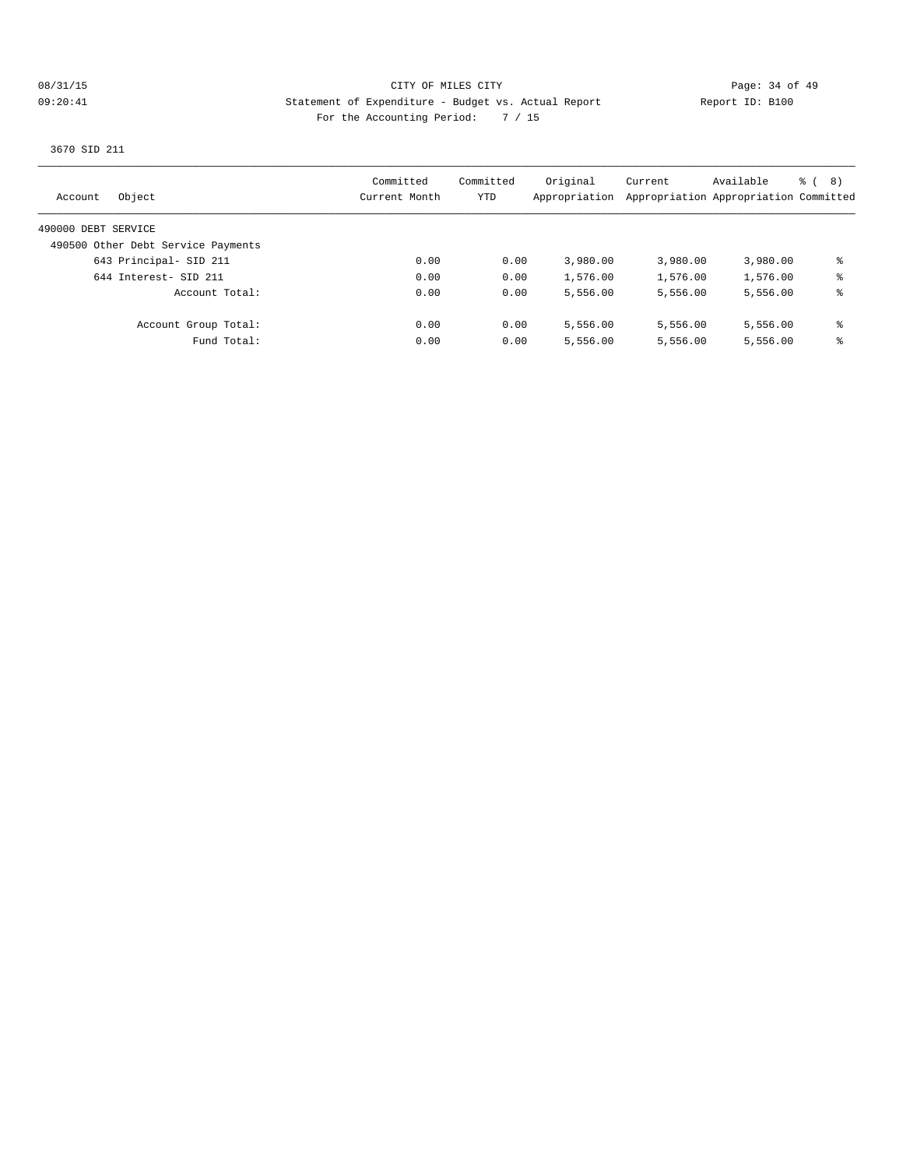3670 SID 211

| Object<br>Account                  | Committed<br>Current Month | Committed<br>YTD | Original<br>Appropriation | Current  | Available<br>Appropriation Appropriation Committed | る (<br>8) |
|------------------------------------|----------------------------|------------------|---------------------------|----------|----------------------------------------------------|-----------|
| 490000 DEBT SERVICE                |                            |                  |                           |          |                                                    |           |
| 490500 Other Debt Service Payments |                            |                  |                           |          |                                                    |           |
| 643 Principal- SID 211             | 0.00                       | 0.00             | 3,980.00                  | 3,980.00 | 3,980.00                                           | နွ        |
| 644 Interest- SID 211              | 0.00                       | 0.00             | 1,576.00                  | 1,576.00 | 1,576.00                                           | ႜ         |
| Account Total:                     | 0.00                       | 0.00             | 5,556.00                  | 5,556.00 | 5,556.00                                           | ႜ         |
| Account Group Total:               | 0.00                       | 0.00             | 5,556.00                  | 5,556.00 | 5,556.00                                           | နွ        |
| Fund Total:                        | 0.00                       | 0.00             | 5,556.00                  | 5,556.00 | 5,556.00                                           | ႜ         |
|                                    |                            |                  |                           |          |                                                    |           |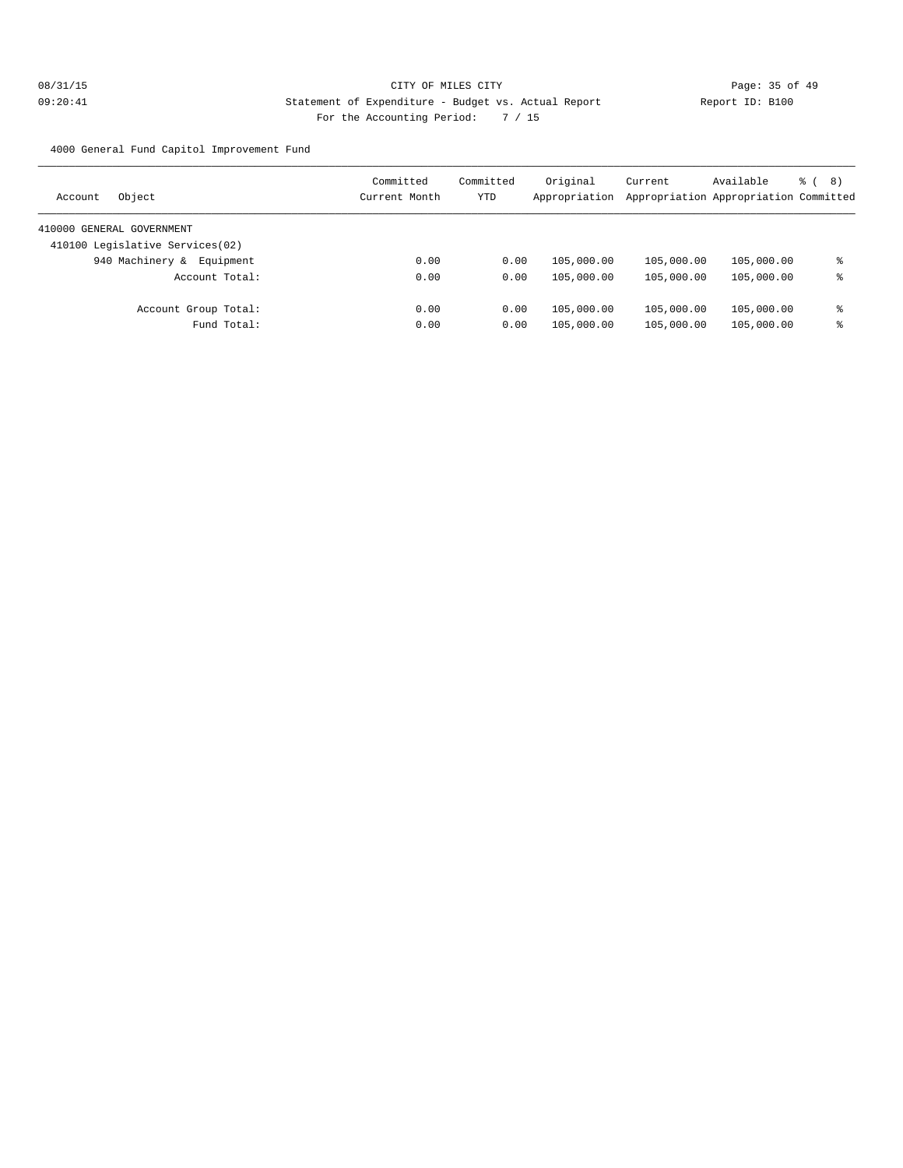4000 General Fund Capitol Improvement Fund

| Object<br>Account               | Committed<br>Current Month | Committed<br>YTD | Original<br>Appropriation | Current    | Available<br>Appropriation Appropriation Committed | る (<br>(8) |
|---------------------------------|----------------------------|------------------|---------------------------|------------|----------------------------------------------------|------------|
| 410000 GENERAL GOVERNMENT       |                            |                  |                           |            |                                                    |            |
| 410100 Legislative Services(02) |                            |                  |                           |            |                                                    |            |
| 940 Machinery &<br>Equipment    | 0.00                       | 0.00             | 105,000.00                | 105,000.00 | 105,000.00                                         | ႜ          |
| Account Total:                  | 0.00                       | 0.00             | 105,000.00                | 105,000.00 | 105,000.00                                         | ႜ          |
| Account Group Total:            | 0.00                       | 0.00             | 105,000.00                | 105,000.00 | 105,000.00                                         | နွ         |
| Fund Total:                     | 0.00                       | 0.00             | 105,000.00                | 105,000.00 | 105,000.00                                         | ႜ          |
|                                 |                            |                  |                           |            |                                                    |            |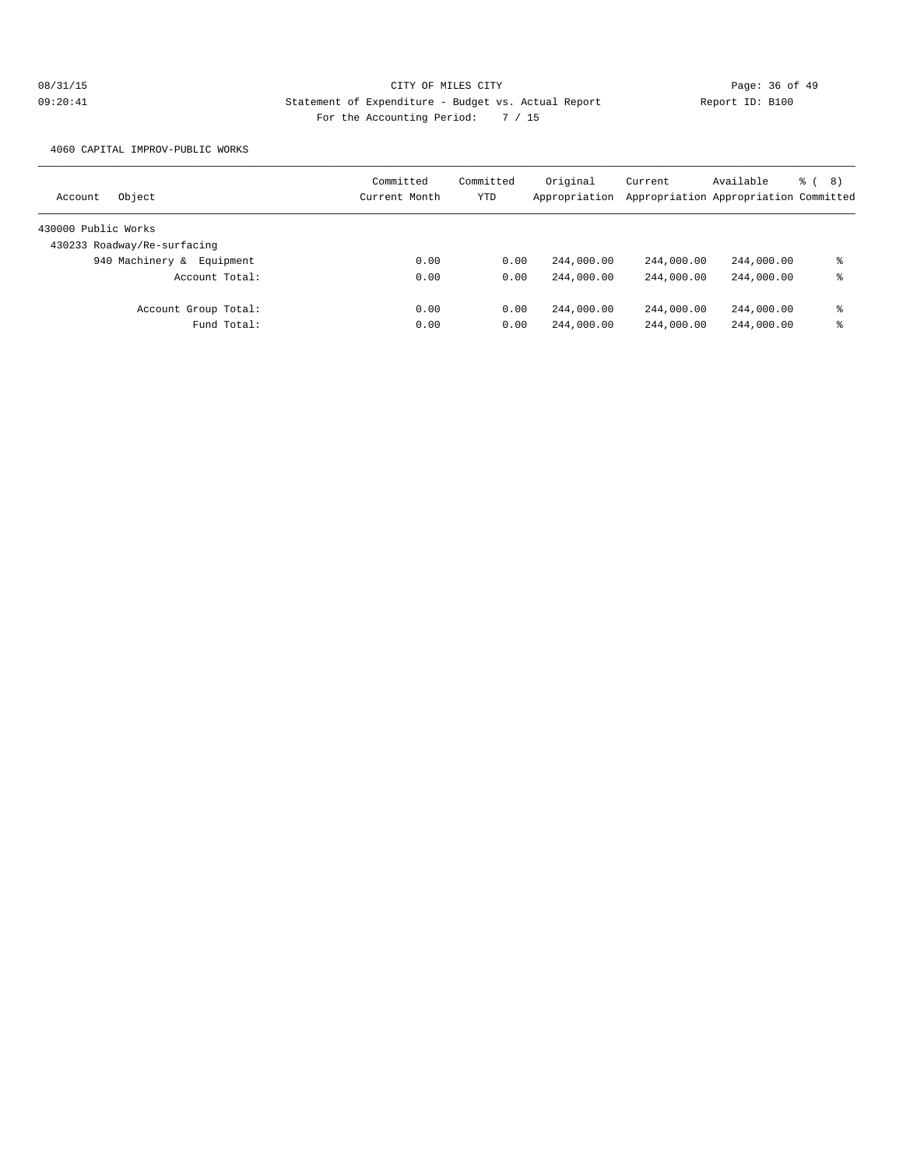4060 CAPITAL IMPROV-PUBLIC WORKS

| Object<br>Account            | Committed<br>Current Month | Committed<br>YTD | Original<br>Appropriation | Current    | Available<br>Appropriation Appropriation Committed | % (<br>8) |
|------------------------------|----------------------------|------------------|---------------------------|------------|----------------------------------------------------|-----------|
| 430000 Public Works          |                            |                  |                           |            |                                                    |           |
| 430233 Roadway/Re-surfacing  |                            |                  |                           |            |                                                    |           |
| 940 Machinery &<br>Equipment | 0.00                       | 0.00             | 244,000.00                | 244,000.00 | 244,000.00                                         | ႜ         |
| Account Total:               | 0.00                       | 0.00             | 244,000.00                | 244,000.00 | 244,000.00                                         | ႜ         |
| Account Group Total:         | 0.00                       | 0.00             | 244,000.00                | 244,000.00 | 244,000.00                                         | ႜ         |
| Fund Total:                  | 0.00                       | 0.00             | 244,000.00                | 244,000.00 | 244,000.00                                         | ႜ         |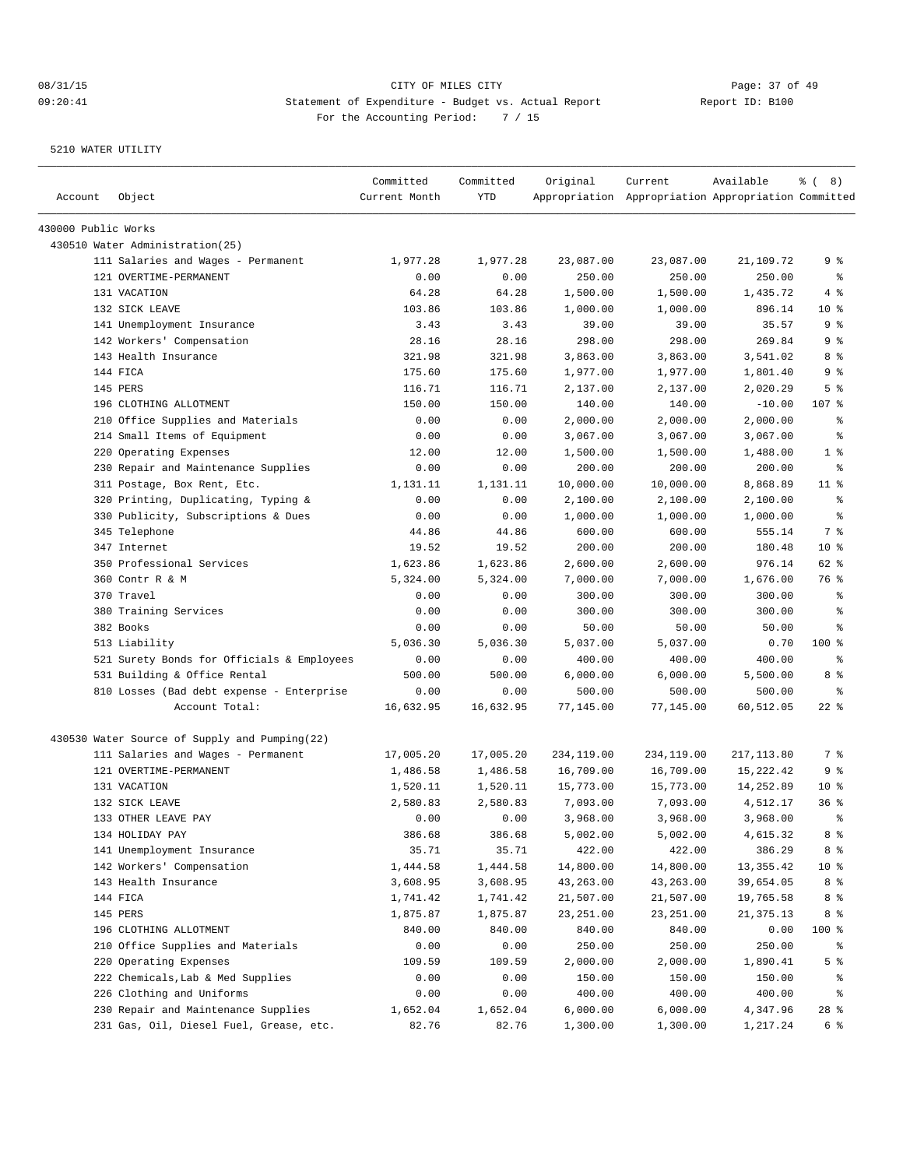| Account             | Object                                        | Committed<br>Current Month | Committed<br>YTD | Original   | Current<br>Appropriation Appropriation Appropriation Committed | Available   | $\frac{6}{6}$ ( 8) |
|---------------------|-----------------------------------------------|----------------------------|------------------|------------|----------------------------------------------------------------|-------------|--------------------|
| 430000 Public Works |                                               |                            |                  |            |                                                                |             |                    |
|                     | 430510 Water Administration(25)               |                            |                  |            |                                                                |             |                    |
|                     | 111 Salaries and Wages - Permanent            | 1,977.28                   | 1,977.28         | 23,087.00  | 23,087.00                                                      | 21,109.72   | ९ %                |
|                     | 121 OVERTIME-PERMANENT                        | 0.00                       | 0.00             | 250.00     | 250.00                                                         | 250.00      | ႜွ                 |
|                     | 131 VACATION                                  | 64.28                      | 64.28            | 1,500.00   | 1,500.00                                                       | 1,435.72    | 4 %                |
|                     | 132 SICK LEAVE                                | 103.86                     | 103.86           | 1,000.00   | 1,000.00                                                       | 896.14      | 10 <sup>8</sup>    |
|                     | 141 Unemployment Insurance                    | 3.43                       | 3.43             | 39.00      | 39.00                                                          | 35.57       | 9 %                |
|                     | 142 Workers' Compensation                     | 28.16                      | 28.16            | 298.00     | 298.00                                                         | 269.84      | 9 %                |
|                     | 143 Health Insurance                          | 321.98                     | 321.98           | 3,863.00   | 3,863.00                                                       | 3,541.02    | 8 %                |
|                     | 144 FICA                                      | 175.60                     | 175.60           | 1,977.00   | 1,977.00                                                       | 1,801.40    | 9 %                |
|                     | 145 PERS                                      | 116.71                     | 116.71           | 2,137.00   | 2,137.00                                                       | 2,020.29    | 5 <sup>°</sup>     |
|                     | 196 CLOTHING ALLOTMENT                        | 150.00                     | 150.00           | 140.00     | 140.00                                                         | $-10.00$    | 107 %              |
|                     | 210 Office Supplies and Materials             | 0.00                       | 0.00             | 2,000.00   | 2,000.00                                                       | 2,000.00    | ႜွ                 |
|                     | 214 Small Items of Equipment                  | 0.00                       | 0.00             | 3,067.00   | 3,067.00                                                       | 3,067.00    | နွ                 |
|                     | 220 Operating Expenses                        | 12.00                      | 12.00            | 1,500.00   | 1,500.00                                                       | 1,488.00    | 1 <sup>°</sup>     |
|                     | 230 Repair and Maintenance Supplies           | 0.00                       | 0.00             | 200.00     | 200.00                                                         | 200.00      | ႜွ                 |
|                     | 311 Postage, Box Rent, Etc.                   | 1,131.11                   | 1,131.11         | 10,000.00  | 10,000.00                                                      | 8,868.89    | $11$ %             |
|                     | 320 Printing, Duplicating, Typing &           | 0.00                       | 0.00             | 2,100.00   | 2,100.00                                                       | 2,100.00    | ႜ                  |
|                     | 330 Publicity, Subscriptions & Dues           | 0.00                       | 0.00             | 1,000.00   | 1,000.00                                                       | 1,000.00    | နွ                 |
|                     | 345 Telephone                                 | 44.86                      | 44.86            | 600.00     | 600.00                                                         | 555.14      | 7 %                |
|                     | 347 Internet                                  | 19.52                      | 19.52            | 200.00     | 200.00                                                         | 180.48      | 10 <sup>8</sup>    |
|                     | 350 Professional Services                     | 1,623.86                   | 1,623.86         | 2,600.00   | 2,600.00                                                       | 976.14      | 62 %               |
|                     | 360 Contr R & M                               | 5,324.00                   | 5,324.00         | 7,000.00   | 7,000.00                                                       | 1,676.00    | 76 %               |
|                     | 370 Travel                                    | 0.00                       | 0.00             | 300.00     | 300.00                                                         | 300.00      | န္                 |
|                     | 380 Training Services                         | 0.00                       | 0.00             | 300.00     | 300.00                                                         | 300.00      | ి                  |
|                     | 382 Books                                     | 0.00                       | 0.00             | 50.00      | 50.00                                                          | 50.00       | ႜ                  |
|                     | 513 Liability                                 | 5,036.30                   | 5,036.30         | 5,037.00   | 5,037.00                                                       | 0.70        | $100$ %            |
|                     | 521 Surety Bonds for Officials & Employees    | 0.00                       | 0.00             | 400.00     | 400.00                                                         | 400.00      | ႜွ                 |
|                     | 531 Building & Office Rental                  | 500.00                     | 500.00           | 6,000.00   | 6,000.00                                                       | 5,500.00    | 8 %                |
|                     | 810 Losses (Bad debt expense - Enterprise     | 0.00                       | 0.00             | 500.00     | 500.00                                                         | 500.00      | ႜ                  |
|                     | Account Total:                                | 16,632.95                  | 16,632.95        | 77,145.00  | 77,145.00                                                      | 60,512.05   | $22$ %             |
|                     | 430530 Water Source of Supply and Pumping(22) |                            |                  |            |                                                                |             |                    |
|                     | 111 Salaries and Wages - Permanent            | 17,005.20                  | 17,005.20        | 234,119.00 | 234,119.00                                                     | 217, 113.80 | 7 %                |
|                     | 121 OVERTIME-PERMANENT                        | 1,486.58                   | 1,486.58         | 16,709.00  | 16,709.00                                                      | 15,222.42   | 9 %                |
|                     | 131 VACATION                                  | 1,520.11                   | 1,520.11         | 15,773.00  | 15,773.00                                                      | 14,252.89   | $10*$              |
|                     | 132 SICK LEAVE                                | 2,580.83                   | 2,580.83         | 7,093.00   | 7,093.00                                                       | 4,512.17    | 36%                |
|                     | 133 OTHER LEAVE PAY                           | 0.00                       | 0.00             | 3,968.00   | 3,968.00                                                       | 3,968.00    | ÷                  |
|                     | 134 HOLIDAY PAY                               | 386.68                     | 386.68           | 5,002.00   | 5,002.00                                                       | 4,615.32    | 8 %                |
|                     | 141 Unemployment Insurance                    | 35.71                      | 35.71            | 422.00     | 422.00                                                         | 386.29      | 8 %                |
|                     | 142 Workers' Compensation                     | 1,444.58                   | 1,444.58         | 14,800.00  | 14,800.00                                                      | 13, 355. 42 | 10 <sup>°</sup>    |
|                     | 143 Health Insurance                          | 3,608.95                   | 3,608.95         | 43,263.00  | 43,263.00                                                      | 39,654.05   | 8 %                |
|                     | 144 FICA                                      | 1,741.42                   | 1,741.42         | 21,507.00  | 21,507.00                                                      | 19,765.58   | 8 %                |
|                     | 145 PERS                                      | 1,875.87                   | 1,875.87         | 23, 251.00 | 23, 251.00                                                     | 21, 375.13  | 8 %                |
|                     | 196 CLOTHING ALLOTMENT                        | 840.00                     | 840.00           | 840.00     | 840.00                                                         | 0.00        | 100 %              |
|                     | 210 Office Supplies and Materials             | 0.00                       | 0.00             | 250.00     | 250.00                                                         | 250.00      | ి                  |
|                     | 220 Operating Expenses                        | 109.59                     | 109.59           | 2,000.00   | 2,000.00                                                       | 1,890.41    | 5 <sup>8</sup>     |
|                     | 222 Chemicals, Lab & Med Supplies             | 0.00                       | 0.00             | 150.00     | 150.00                                                         | 150.00      | ႜ                  |
|                     | 226 Clothing and Uniforms                     | 0.00                       | 0.00             | 400.00     | 400.00                                                         | 400.00      | ိင                 |
|                     | 230 Repair and Maintenance Supplies           | 1,652.04                   | 1,652.04         | 6,000.00   | 6,000.00                                                       | 4,347.96    | $28$ %             |
|                     | 231 Gas, Oil, Diesel Fuel, Grease, etc.       | 82.76                      | 82.76            | 1,300.00   | 1,300.00                                                       | 1,217.24    | 6 %                |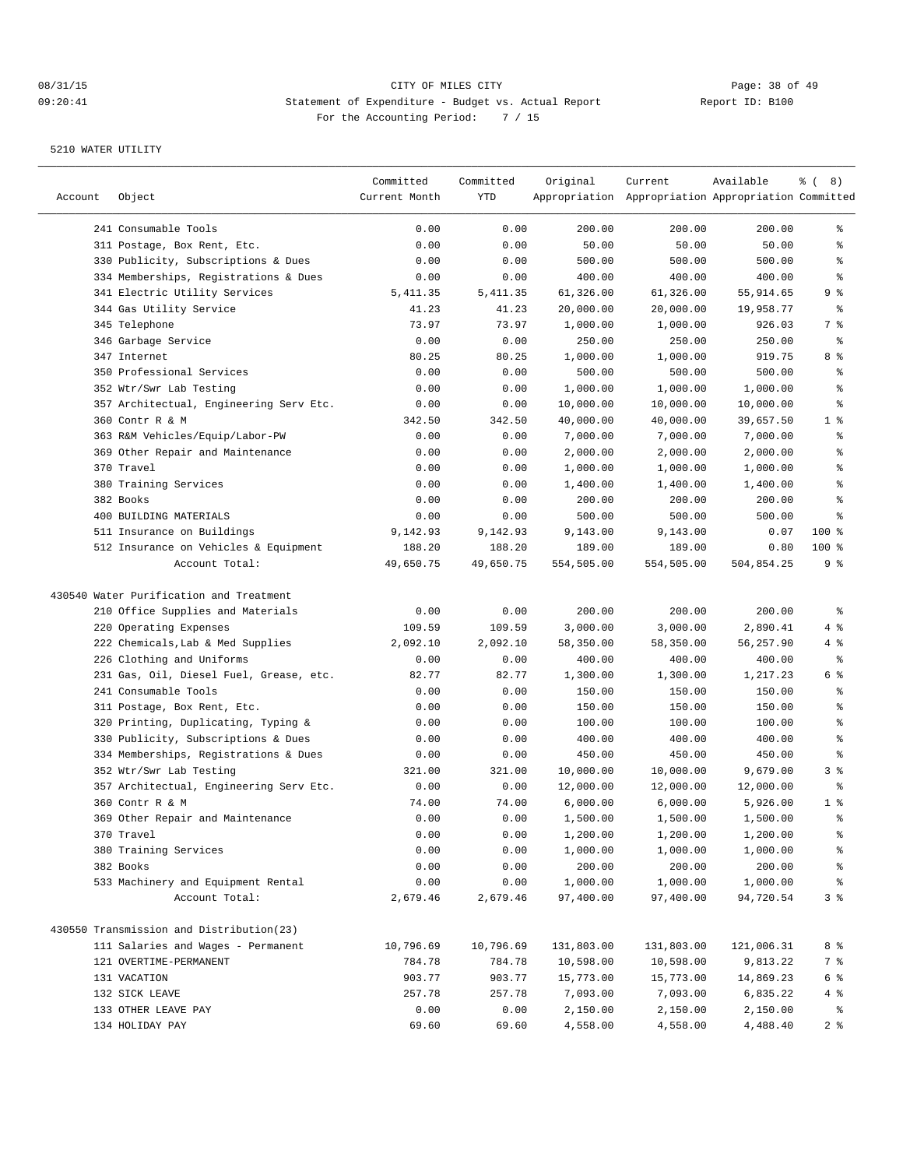| Account | Object                                   | Committed<br>Current Month | Committed<br>YTD | Original   | Current<br>Appropriation Appropriation Appropriation Committed | Available  | $\frac{6}{6}$ ( 8) |
|---------|------------------------------------------|----------------------------|------------------|------------|----------------------------------------------------------------|------------|--------------------|
|         |                                          |                            |                  |            |                                                                |            |                    |
|         | 241 Consumable Tools                     | 0.00                       | 0.00             | 200.00     | 200.00                                                         | 200.00     | ႜ                  |
|         | 311 Postage, Box Rent, Etc.              | 0.00                       | 0.00             | 50.00      | 50.00                                                          | 50.00      | န္                 |
|         | 330 Publicity, Subscriptions & Dues      | 0.00                       | 0.00             | 500.00     | 500.00                                                         | 500.00     | န္                 |
|         | 334 Memberships, Registrations & Dues    | 0.00                       | 0.00             | 400.00     | 400.00                                                         | 400.00     | န့                 |
|         | 341 Electric Utility Services            | 5, 411.35                  | 5, 411.35        | 61,326.00  | 61,326.00                                                      | 55,914.65  | 9 %                |
|         | 344 Gas Utility Service                  | 41.23                      | 41.23            | 20,000.00  | 20,000.00                                                      | 19,958.77  | ႜွ                 |
|         | 345 Telephone                            | 73.97                      | 73.97            | 1,000.00   | 1,000.00                                                       | 926.03     | 7 %                |
|         | 346 Garbage Service                      | 0.00                       | 0.00             | 250.00     | 250.00                                                         | 250.00     | နွ                 |
|         | 347 Internet                             | 80.25                      | 80.25            | 1,000.00   | 1,000.00                                                       | 919.75     | 8 %                |
|         | 350 Professional Services                | 0.00                       | 0.00             | 500.00     | 500.00                                                         | 500.00     | န့                 |
|         | 352 Wtr/Swr Lab Testing                  | 0.00                       | 0.00             | 1,000.00   | 1,000.00                                                       | 1,000.00   | နွ                 |
|         | 357 Architectual, Engineering Serv Etc.  | 0.00                       | 0.00             | 10,000.00  | 10,000.00                                                      | 10,000.00  | န့                 |
|         | 360 Contr R & M                          | 342.50                     | 342.50           | 40,000.00  | 40,000.00                                                      | 39,657.50  | 1 <sup>8</sup>     |
|         | 363 R&M Vehicles/Equip/Labor-PW          | 0.00                       | 0.00             | 7,000.00   | 7,000.00                                                       | 7,000.00   | န့                 |
|         | 369 Other Repair and Maintenance         | 0.00                       | 0.00             | 2,000.00   | 2,000.00                                                       | 2,000.00   | န့                 |
|         | 370 Travel                               | 0.00                       | 0.00             | 1,000.00   | 1,000.00                                                       | 1,000.00   | န္                 |
|         | 380 Training Services                    | 0.00                       | 0.00             | 1,400.00   | 1,400.00                                                       | 1,400.00   | န့                 |
|         | 382 Books                                | 0.00                       | 0.00             | 200.00     | 200.00                                                         | 200.00     | န္                 |
|         | 400 BUILDING MATERIALS                   | 0.00                       | 0.00             | 500.00     | 500.00                                                         | 500.00     | န့                 |
|         | 511 Insurance on Buildings               | 9,142.93                   | 9,142.93         | 9,143.00   | 9,143.00                                                       | 0.07       | 100 %              |
|         | 512 Insurance on Vehicles & Equipment    | 188.20                     | 188.20           | 189.00     | 189.00                                                         | 0.80       | $100$ %            |
|         | Account Total:                           | 49,650.75                  | 49,650.75        | 554,505.00 | 554,505.00                                                     | 504,854.25 | 9 %                |
|         | 430540 Water Purification and Treatment  |                            |                  |            |                                                                |            |                    |
|         | 210 Office Supplies and Materials        | 0.00                       | 0.00             | 200.00     | 200.00                                                         | 200.00     | $\epsilon$         |
|         | 220 Operating Expenses                   | 109.59                     | 109.59           | 3,000.00   | 3,000.00                                                       | 2,890.41   | 4 %                |
|         | 222 Chemicals, Lab & Med Supplies        | 2,092.10                   | 2,092.10         | 58,350.00  | 58,350.00                                                      | 56,257.90  | 4 %                |
|         | 226 Clothing and Uniforms                | 0.00                       | 0.00             | 400.00     | 400.00                                                         | 400.00     | ႜွ                 |
|         | 231 Gas, Oil, Diesel Fuel, Grease, etc.  | 82.77                      | 82.77            | 1,300.00   | 1,300.00                                                       | 1,217.23   | 6 %                |
|         | 241 Consumable Tools                     | 0.00                       | 0.00             | 150.00     | 150.00                                                         | 150.00     | န္                 |
|         | 311 Postage, Box Rent, Etc.              | 0.00                       | 0.00             | 150.00     | 150.00                                                         | 150.00     | ႜ                  |
|         | 320 Printing, Duplicating, Typing &      | 0.00                       | 0.00             | 100.00     | 100.00                                                         | 100.00     | န့                 |
|         | 330 Publicity, Subscriptions & Dues      | 0.00                       | 0.00             | 400.00     | 400.00                                                         | 400.00     | န္                 |
|         | 334 Memberships, Registrations & Dues    | 0.00                       | 0.00             | 450.00     | 450.00                                                         | 450.00     | န့                 |
|         | 352 Wtr/Swr Lab Testing                  | 321.00                     | 321.00           | 10,000.00  | 10,000.00                                                      | 9,679.00   | 3 <sup>°</sup>     |
|         | 357 Architectual, Engineering Serv Etc.  | 0.00                       | 0.00             | 12,000.00  | 12,000.00                                                      | 12,000.00  | ႜွ                 |
|         | 360 Contr R & M                          | 74.00                      | 74.00            | 6,000.00   | 6,000.00                                                       | 5,926.00   | 1 <sup>°</sup>     |
|         | 369 Other Repair and Maintenance         | 0.00                       | 0.00             | 1,500.00   | 1,500.00                                                       | 1,500.00   | ి                  |
|         | 370 Travel                               | 0.00                       | 0.00             | 1,200.00   | 1,200.00                                                       | 1,200.00   | ್ಠಿ                |
|         | 380 Training Services                    | 0.00                       | 0.00             | 1,000.00   | 1,000.00                                                       | 1,000.00   | နွ                 |
|         | 382 Books                                | 0.00                       | 0.00             | 200.00     | 200.00                                                         | 200.00     | ್ಠಿ                |
|         | 533 Machinery and Equipment Rental       | 0.00                       | 0.00             | 1,000.00   | 1,000.00                                                       | 1,000.00   | န္                 |
|         | Account Total:                           | 2,679.46                   | 2,679.46         | 97,400.00  | 97,400.00                                                      | 94,720.54  | 3 %                |
|         |                                          |                            |                  |            |                                                                |            |                    |
|         | 430550 Transmission and Distribution(23) |                            |                  |            |                                                                |            |                    |
|         | 111 Salaries and Wages - Permanent       | 10,796.69                  | 10,796.69        | 131,803.00 | 131,803.00                                                     | 121,006.31 | 8 %                |
|         | 121 OVERTIME-PERMANENT                   | 784.78                     | 784.78           | 10,598.00  | 10,598.00                                                      | 9,813.22   | 7 %                |
|         | 131 VACATION                             | 903.77                     | 903.77           | 15,773.00  | 15,773.00                                                      | 14,869.23  | 6 %                |
|         | 132 SICK LEAVE                           | 257.78                     | 257.78           | 7,093.00   | 7,093.00                                                       | 6,835.22   | 4%                 |
|         | 133 OTHER LEAVE PAY                      | 0.00                       | 0.00             | 2,150.00   | 2,150.00                                                       | 2,150.00   | $\frac{9}{6}$      |
|         | 134 HOLIDAY PAY                          | 69.60                      | 69.60            | 4,558.00   | 4,558.00                                                       | 4,488.40   | 2 <sup>°</sup>     |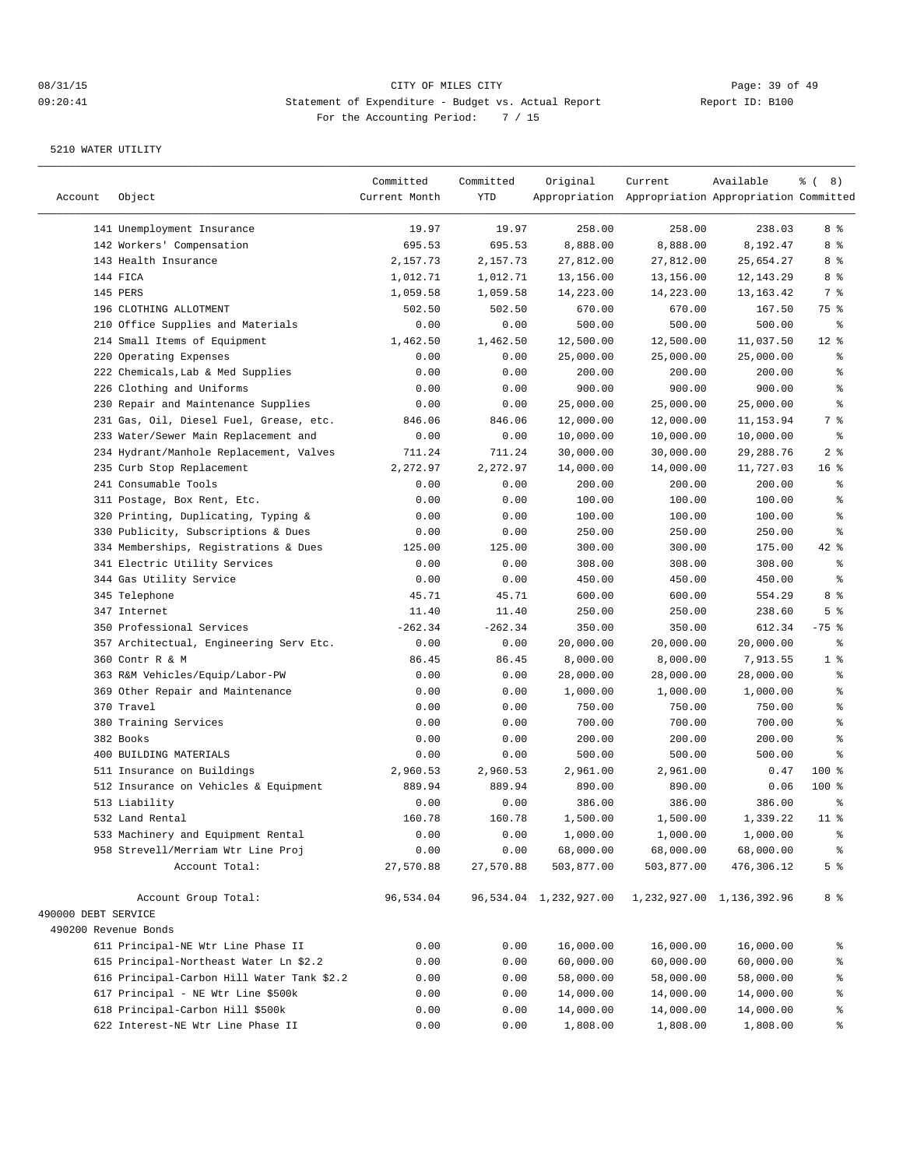| Account              | Object                                                   | Committed<br>Current Month | Committed<br>YTD | Original               | Current<br>Appropriation Appropriation Appropriation Committed | Available                 | <sub>රි</sub> ( 8 ) |
|----------------------|----------------------------------------------------------|----------------------------|------------------|------------------------|----------------------------------------------------------------|---------------------------|---------------------|
|                      | 141 Unemployment Insurance                               | 19.97                      | 19.97            | 258.00                 | 258.00                                                         | 238.03                    | 8 %                 |
|                      | 142 Workers' Compensation                                | 695.53                     | 695.53           | 8,888.00               | 8,888.00                                                       | 8,192.47                  | 8 %                 |
|                      | 143 Health Insurance                                     | 2,157.73                   | 2,157.73         | 27,812.00              | 27,812.00                                                      | 25,654.27                 | 8 %                 |
|                      | 144 FICA                                                 | 1,012.71                   | 1,012.71         | 13,156.00              | 13,156.00                                                      | 12, 143. 29               | 8 %                 |
|                      | 145 PERS                                                 | 1,059.58                   | 1,059.58         | 14,223.00              | 14,223.00                                                      | 13, 163. 42               | 7 %                 |
|                      | 196 CLOTHING ALLOTMENT                                   | 502.50                     | 502.50           | 670.00                 | 670.00                                                         | 167.50                    | 75 %                |
|                      | 210 Office Supplies and Materials                        | 0.00                       | 0.00             | 500.00                 | 500.00                                                         | 500.00                    | န္                  |
|                      | 214 Small Items of Equipment                             | 1,462.50                   | 1,462.50         | 12,500.00              | 12,500.00                                                      | 11,037.50                 | $12*$               |
|                      | 220 Operating Expenses                                   | 0.00                       | 0.00             | 25,000.00              | 25,000.00                                                      | 25,000.00                 | န္                  |
|                      | 222 Chemicals, Lab & Med Supplies                        | 0.00                       | 0.00             | 200.00                 | 200.00                                                         | 200.00                    | န့                  |
|                      | 226 Clothing and Uniforms                                | 0.00                       | 0.00             | 900.00                 | 900.00                                                         | 900.00                    | န့                  |
|                      | 230 Repair and Maintenance Supplies                      | 0.00                       | 0.00             | 25,000.00              | 25,000.00                                                      | 25,000.00                 | န့                  |
|                      | 231 Gas, Oil, Diesel Fuel, Grease, etc.                  | 846.06                     | 846.06           | 12,000.00              | 12,000.00                                                      | 11, 153.94                | 7 %                 |
|                      | 233 Water/Sewer Main Replacement and                     | 0.00                       | 0.00             | 10,000.00              | 10,000.00                                                      | 10,000.00                 | $\epsilon$          |
|                      | 234 Hydrant/Manhole Replacement, Valves                  | 711.24                     | 711.24           | 30,000.00              | 30,000.00                                                      | 29, 288. 76               | 2 <sup>°</sup>      |
|                      | 235 Curb Stop Replacement                                | 2,272.97                   | 2,272.97         | 14,000.00              | 14,000.00                                                      | 11,727.03                 | 16 <sup>8</sup>     |
|                      | 241 Consumable Tools                                     | 0.00                       | 0.00             | 200.00                 | 200.00                                                         | 200.00                    | န္                  |
|                      | 311 Postage, Box Rent, Etc.                              | 0.00                       | 0.00             | 100.00                 | 100.00                                                         | 100.00                    | န္                  |
|                      | 320 Printing, Duplicating, Typing &                      | 0.00                       | 0.00             | 100.00                 | 100.00                                                         | 100.00                    | န့                  |
|                      | 330 Publicity, Subscriptions & Dues                      | 0.00                       | 0.00             | 250.00                 | 250.00                                                         | 250.00                    | န့                  |
|                      | 334 Memberships, Registrations & Dues                    | 125.00                     | 125.00           | 300.00                 | 300.00                                                         | 175.00                    | $42$ %              |
|                      |                                                          | 0.00                       | 0.00             |                        |                                                                |                           | န့                  |
|                      | 341 Electric Utility Services<br>344 Gas Utility Service | 0.00                       | 0.00             | 308.00<br>450.00       | 308.00<br>450.00                                               | 308.00<br>450.00          | န္                  |
|                      |                                                          |                            |                  |                        |                                                                |                           | 8%                  |
|                      | 345 Telephone<br>347 Internet                            | 45.71<br>11.40             | 45.71<br>11.40   | 600.00                 | 600.00                                                         | 554.29                    | 5 <sup>°</sup>      |
|                      |                                                          |                            |                  | 250.00                 | 250.00                                                         | 238.60                    |                     |
|                      | 350 Professional Services                                | $-262.34$                  | $-262.34$        | 350.00                 | 350.00                                                         | 612.34                    | $-75$ %             |
|                      | 357 Architectual, Engineering Serv Etc.                  | 0.00                       | 0.00             | 20,000.00              | 20,000.00                                                      | 20,000.00                 | နွ                  |
|                      | 360 Contr R & M                                          | 86.45                      | 86.45            | 8,000.00               | 8,000.00                                                       | 7,913.55                  | 1 <sup>°</sup>      |
|                      | 363 R&M Vehicles/Equip/Labor-PW                          | 0.00                       | 0.00             | 28,000.00              | 28,000.00                                                      | 28,000.00                 | န္                  |
|                      | 369 Other Repair and Maintenance                         | 0.00                       | 0.00             | 1,000.00               | 1,000.00                                                       | 1,000.00                  | န့                  |
|                      | 370 Travel                                               | 0.00                       | 0.00             | 750.00                 | 750.00                                                         | 750.00                    | ႜ                   |
|                      | 380 Training Services                                    | 0.00                       | 0.00             | 700.00                 | 700.00                                                         | 700.00                    | န့                  |
|                      | 382 Books                                                | 0.00                       | 0.00             | 200.00                 | 200.00                                                         | 200.00                    | န္                  |
|                      | 400 BUILDING MATERIALS                                   | 0.00                       | 0.00             | 500.00                 | 500.00                                                         | 500.00                    | နွ                  |
|                      | 511 Insurance on Buildings                               | 2,960.53                   | 2,960.53         | 2,961.00               | 2,961.00                                                       | 0.47                      | $100$ %             |
|                      | 512 Insurance on Vehicles & Equipment                    | 889.94                     | 889.94           | 890.00                 | 890.00                                                         | 0.06                      | $100$ %             |
|                      | 513 Liability                                            | 0.00                       | 0.00             | 386.00                 | 386.00                                                         | 386.00                    | န္                  |
|                      | 532 Land Rental                                          | 160.78                     | 160.78           | 1,500.00               | 1,500.00                                                       | 1,339.22                  | 11 <sup>8</sup>     |
|                      | 533 Machinery and Equipment Rental                       | 0.00                       | 0.00             | 1,000.00               | 1,000.00                                                       | 1,000.00                  | ್ಠಿ                 |
|                      | 958 Strevell/Merriam Wtr Line Proj                       | 0.00                       | 0.00             | 68,000.00              | 68,000.00                                                      | 68,000.00                 | $\frac{6}{3}$       |
|                      | Account Total:                                           | 27,570.88                  | 27,570.88        | 503,877.00             | 503,877.00                                                     | 476,306.12                | 5 %                 |
|                      | Account Group Total:                                     | 96,534.04                  |                  | 96,534.04 1,232,927.00 |                                                                | 1,232,927.00 1,136,392.96 | 8 %                 |
| 490000 DEBT SERVICE  |                                                          |                            |                  |                        |                                                                |                           |                     |
| 490200 Revenue Bonds |                                                          |                            |                  |                        |                                                                |                           |                     |
|                      | 611 Principal-NE Wtr Line Phase II                       | 0.00                       | 0.00             | 16,000.00              | 16,000.00                                                      | 16,000.00                 | ್ಠಿ                 |
|                      | 615 Principal-Northeast Water Ln \$2.2                   | 0.00                       | 0.00             | 60,000.00              | 60,000.00                                                      | 60,000.00                 | နွ                  |
|                      | 616 Principal-Carbon Hill Water Tank \$2.2               | 0.00                       | 0.00             | 58,000.00              | 58,000.00                                                      | 58,000.00                 | နွ                  |
|                      | 617 Principal - NE Wtr Line \$500k                       | 0.00                       | 0.00             | 14,000.00              | 14,000.00                                                      | 14,000.00                 | ి                   |
|                      | 618 Principal-Carbon Hill \$500k                         | 0.00                       | 0.00             | 14,000.00              | 14,000.00                                                      | 14,000.00                 | ್ಠಿ                 |
|                      | 622 Interest-NE Wtr Line Phase II                        | 0.00                       | 0.00             | 1,808.00               | 1,808.00                                                       | 1,808.00                  | န္စ                 |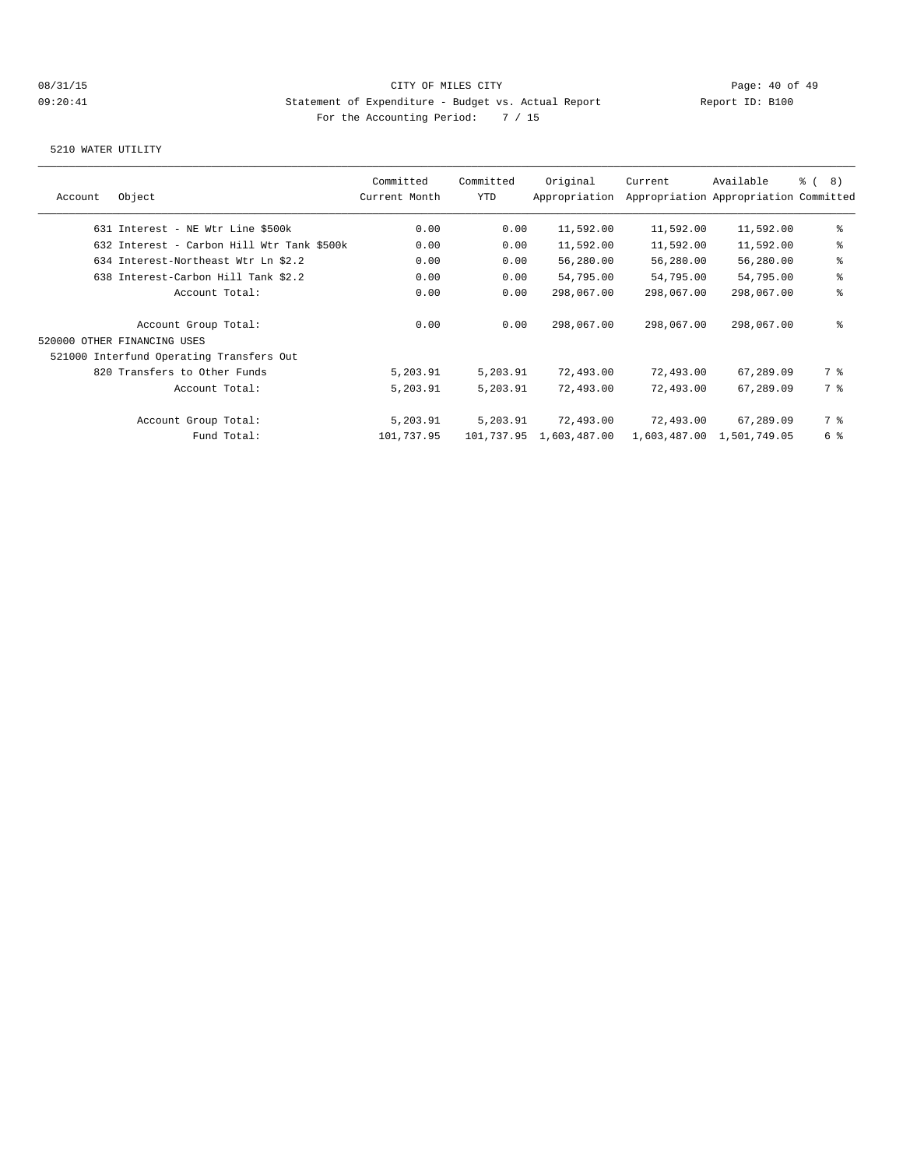| Account | Object                                     | Committed<br>Current Month | Committed<br>YTD | Original<br>Appropriation | Current                   | Available<br>Appropriation Appropriation Committed | $\frac{6}{3}$ ( 8) |
|---------|--------------------------------------------|----------------------------|------------------|---------------------------|---------------------------|----------------------------------------------------|--------------------|
|         |                                            |                            |                  |                           |                           |                                                    |                    |
|         | 631 Interest - NE Wtr Line \$500k          | 0.00                       | 0.00             | 11,592.00                 | 11,592.00                 | 11,592.00                                          | ిక                 |
|         | 632 Interest - Carbon Hill Wtr Tank \$500k | 0.00                       | 0.00             | 11,592.00                 | 11,592.00                 | 11,592.00                                          | ್ಠಿ                |
|         | 634 Interest-Northeast Wtr Ln \$2.2        | 0.00                       | 0.00             | 56,280.00                 | 56,280.00                 | 56,280.00                                          | ి                  |
|         | 638 Interest-Carbon Hill Tank \$2.2        | 0.00                       | 0.00             | 54,795.00                 | 54,795.00                 | 54,795.00                                          | ి                  |
|         | Account Total:                             | 0.00                       | 0.00             | 298,067.00                | 298,067.00                | 298,067.00                                         | ి                  |
|         | Account Group Total:                       | 0.00                       | 0.00             | 298,067.00                | 298,067.00                | 298,067.00                                         | ៖                  |
|         | 520000 OTHER FINANCING USES                |                            |                  |                           |                           |                                                    |                    |
|         | 521000 Interfund Operating Transfers Out   |                            |                  |                           |                           |                                                    |                    |
|         | 820 Transfers to Other Funds               | 5,203.91                   | 5,203.91         | 72,493.00                 | 72,493.00                 | 67,289.09                                          | 7 %                |
|         | Account Total:                             | 5,203.91                   | 5,203.91         | 72,493.00                 | 72,493.00                 | 67,289.09                                          | 7 %                |
|         | Account Group Total:                       | 5,203.91                   | 5,203.91         | 72,493.00                 | 72,493.00                 | 67,289.09                                          | 7 %                |
|         | Fund Total:                                | 101,737.95                 |                  | 101,737.95 1,603,487.00   | 1,603,487.00 1,501,749.05 |                                                    | 6 %                |
|         |                                            |                            |                  |                           |                           |                                                    |                    |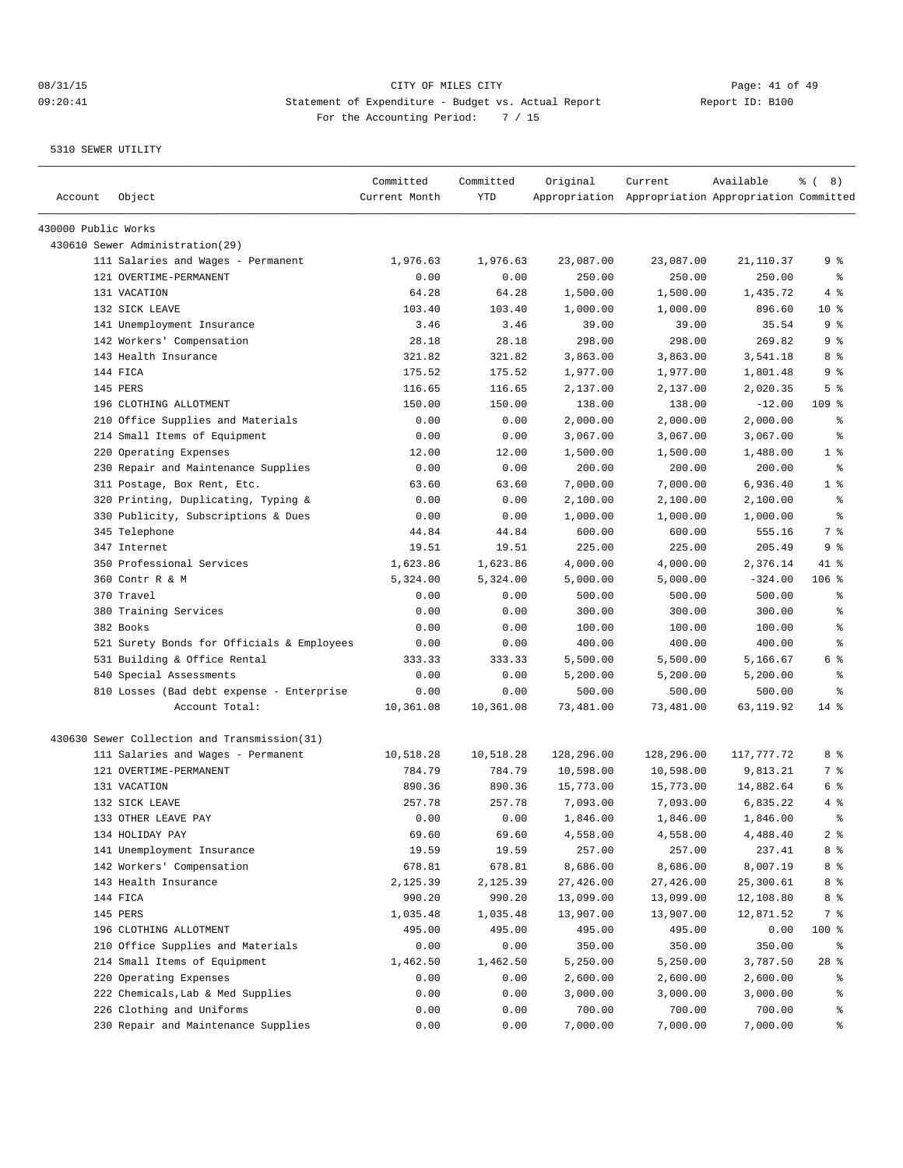| Account             | Object                                       | Committed<br>Current Month | Committed<br><b>YTD</b> | Original   | Current<br>Appropriation Appropriation Appropriation Committed | Available  | $\frac{6}{6}$ ( 8) |
|---------------------|----------------------------------------------|----------------------------|-------------------------|------------|----------------------------------------------------------------|------------|--------------------|
| 430000 Public Works |                                              |                            |                         |            |                                                                |            |                    |
|                     | 430610 Sewer Administration(29)              |                            |                         |            |                                                                |            |                    |
|                     | 111 Salaries and Wages - Permanent           | 1,976.63                   | 1,976.63                | 23,087.00  | 23,087.00                                                      | 21,110.37  | 9 %                |
|                     | 121 OVERTIME-PERMANENT                       | 0.00                       | 0.00                    | 250.00     | 250.00                                                         | 250.00     | $\epsilon$         |
|                     | 131 VACATION                                 | 64.28                      | 64.28                   | 1,500.00   | 1,500.00                                                       | 1,435.72   | 4 %                |
|                     | 132 SICK LEAVE                               | 103.40                     | 103.40                  | 1,000.00   | 1,000.00                                                       | 896.60     | 10 <sup>8</sup>    |
|                     | 141 Unemployment Insurance                   | 3.46                       | 3.46                    | 39.00      | 39.00                                                          | 35.54      | 9 %                |
|                     | 142 Workers' Compensation                    | 28.18                      | 28.18                   | 298.00     | 298.00                                                         | 269.82     | 9 %                |
|                     | 143 Health Insurance                         | 321.82                     | 321.82                  | 3,863.00   | 3,863.00                                                       | 3,541.18   | 8 %                |
|                     | 144 FICA                                     | 175.52                     | 175.52                  | 1,977.00   | 1,977.00                                                       | 1,801.48   | 9%                 |
|                     | 145 PERS                                     | 116.65                     | 116.65                  | 2,137.00   | 2,137.00                                                       | 2,020.35   | 5 <sup>°</sup>     |
|                     | 196 CLOTHING ALLOTMENT                       | 150.00                     | 150.00                  | 138.00     | 138.00                                                         | $-12.00$   | $109$ %            |
|                     | 210 Office Supplies and Materials            | 0.00                       | 0.00                    | 2,000.00   | 2,000.00                                                       | 2,000.00   | ႜ                  |
|                     | 214 Small Items of Equipment                 | 0.00                       | 0.00                    | 3,067.00   | 3,067.00                                                       | 3,067.00   | $\epsilon$         |
|                     | 220 Operating Expenses                       | 12.00                      | 12.00                   | 1,500.00   | 1,500.00                                                       | 1,488.00   | 1 <sup>°</sup>     |
|                     | 230 Repair and Maintenance Supplies          | 0.00                       | 0.00                    | 200.00     | 200.00                                                         | 200.00     | $\epsilon$         |
|                     | 311 Postage, Box Rent, Etc.                  | 63.60                      | 63.60                   | 7,000.00   | 7,000.00                                                       | 6,936.40   | 1 <sup>°</sup>     |
|                     | 320 Printing, Duplicating, Typing &          | 0.00                       | 0.00                    | 2,100.00   | 2,100.00                                                       | 2,100.00   | ႜ                  |
|                     | 330 Publicity, Subscriptions & Dues          | 0.00                       | 0.00                    | 1,000.00   | 1,000.00                                                       | 1,000.00   | $\epsilon$         |
|                     | 345 Telephone                                | 44.84                      | 44.84                   | 600.00     | 600.00                                                         | 555.16     | 7 %                |
|                     | 347 Internet                                 | 19.51                      | 19.51                   | 225.00     | 225.00                                                         | 205.49     | 9 %                |
|                     | 350 Professional Services                    | 1,623.86                   | 1,623.86                | 4,000.00   | 4,000.00                                                       | 2,376.14   | 41 %               |
|                     | 360 Contr R & M                              | 5,324.00                   | 5,324.00                | 5,000.00   | 5,000.00                                                       | $-324.00$  | $106$ %            |
|                     | 370 Travel                                   | 0.00                       | 0.00                    | 500.00     | 500.00                                                         | 500.00     | န္                 |
|                     | 380 Training Services                        | 0.00                       | 0.00                    | 300.00     | 300.00                                                         | 300.00     | ి                  |
|                     | 382 Books                                    | 0.00                       | 0.00                    | 100.00     | 100.00                                                         | 100.00     | ి                  |
|                     | 521 Surety Bonds for Officials & Employees   | 0.00                       | 0.00                    | 400.00     | 400.00                                                         | 400.00     | ి                  |
|                     | 531 Building & Office Rental                 | 333.33                     | 333.33                  | 5,500.00   | 5,500.00                                                       | 5,166.67   | 6 %                |
|                     | 540 Special Assessments                      | 0.00                       | 0.00                    | 5,200.00   | 5,200.00                                                       | 5,200.00   | န္                 |
|                     | 810 Losses (Bad debt expense - Enterprise    | 0.00                       | 0.00                    | 500.00     | 500.00                                                         | 500.00     | ి                  |
|                     | Account Total:                               | 10,361.08                  | 10,361.08               | 73,481.00  | 73,481.00                                                      | 63,119.92  | $14*$              |
|                     | 430630 Sewer Collection and Transmission(31) |                            |                         |            |                                                                |            |                    |
|                     | 111 Salaries and Wages - Permanent           | 10,518.28                  | 10,518.28               | 128,296.00 | 128,296.00                                                     | 117,777.72 | 8 %                |
|                     | 121 OVERTIME-PERMANENT                       | 784.79                     | 784.79                  | 10,598.00  | 10,598.00                                                      | 9,813.21   | 7 %                |
|                     | 131 VACATION                                 | 890.36                     | 890.36                  | 15,773.00  | 15,773.00                                                      | 14,882.64  | 6 %                |
|                     | 132 SICK LEAVE                               | 257.78                     | 257.78                  | 7,093.00   | 7,093.00                                                       | 6,835.22   | 4 %                |
|                     | 133 OTHER LEAVE PAY                          | 0.00                       | 0.00                    | 1,846.00   | 1,846.00                                                       | 1,846.00   | ៖                  |
|                     | 134 HOLIDAY PAY                              | 69.60                      | 69.60                   | 4,558.00   | 4,558.00                                                       | 4,488.40   | 2 <sub>8</sub>     |
|                     | 141 Unemployment Insurance                   | 19.59                      | 19.59                   | 257.00     | 257.00                                                         | 237.41     | 8 %                |
|                     | 142 Workers' Compensation                    | 678.81                     | 678.81                  | 8,686.00   | 8,686.00                                                       | 8,007.19   | 8 %                |
|                     | 143 Health Insurance                         | 2,125.39                   | 2,125.39                | 27,426.00  | 27,426.00                                                      | 25,300.61  | 8 %                |
|                     | 144 FICA                                     | 990.20                     | 990.20                  | 13,099.00  | 13,099.00                                                      | 12,108.80  | 8 %                |
|                     | 145 PERS                                     | 1,035.48                   | 1,035.48                | 13,907.00  | 13,907.00                                                      | 12,871.52  | 7 %                |
|                     | 196 CLOTHING ALLOTMENT                       | 495.00                     | 495.00                  | 495.00     | 495.00                                                         | 0.00       | 100 %              |
|                     | 210 Office Supplies and Materials            | 0.00                       | 0.00                    | 350.00     | 350.00                                                         | 350.00     | ៖                  |
|                     | 214 Small Items of Equipment                 | 1,462.50                   | 1,462.50                | 5,250.00   | 5,250.00                                                       | 3,787.50   | $28$ %             |
|                     | 220 Operating Expenses                       | 0.00                       | 0.00                    | 2,600.00   | 2,600.00                                                       | 2,600.00   | ႜ                  |
|                     | 222 Chemicals, Lab & Med Supplies            | 0.00                       | 0.00                    | 3,000.00   | 3,000.00                                                       | 3,000.00   | ွေ                 |
|                     | 226 Clothing and Uniforms                    | 0.00                       | 0.00                    | 700.00     | 700.00                                                         | 700.00     | ွေ                 |
|                     | 230 Repair and Maintenance Supplies          | 0.00                       | 0.00                    | 7,000.00   | 7,000.00                                                       | 7,000.00   | ွေ                 |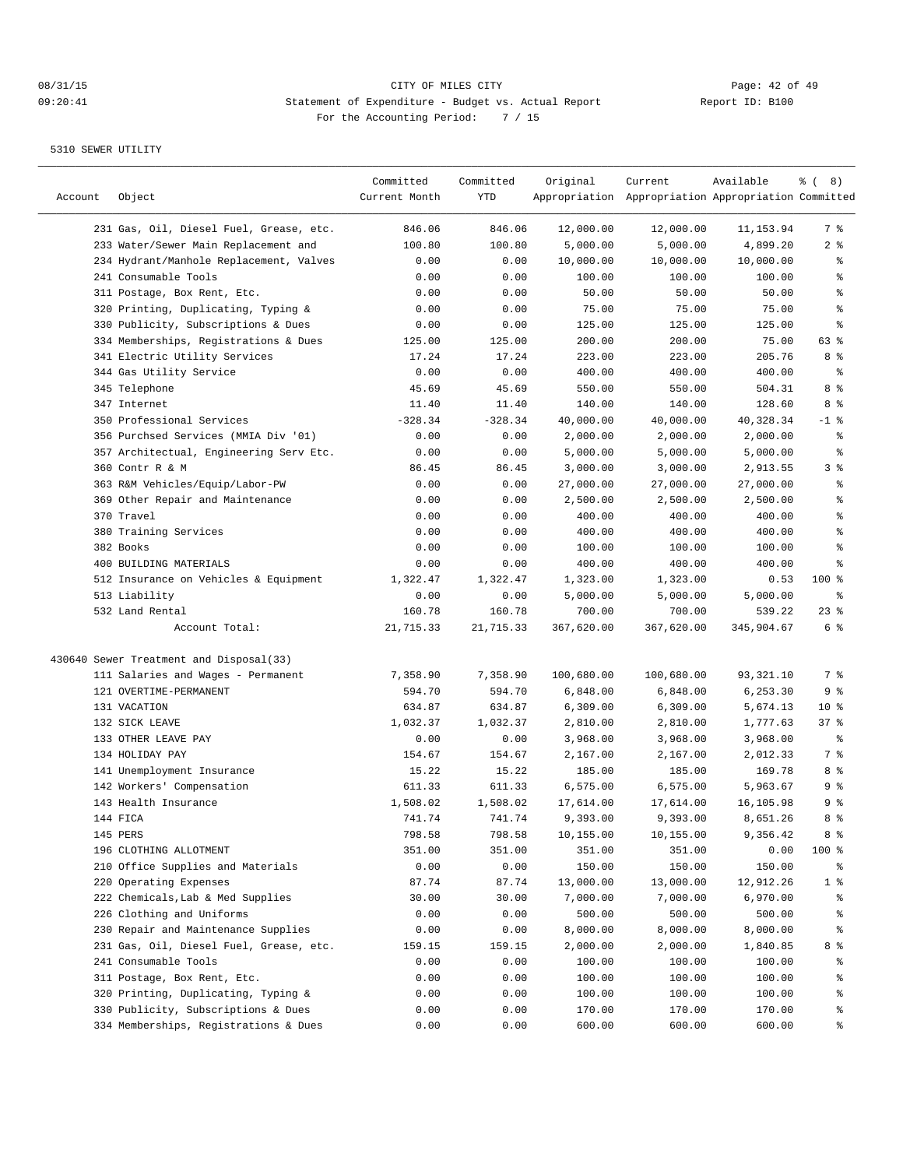| Account | Object                                  | Committed<br>Current Month | Committed<br>YTD | Original   | Current<br>Appropriation Appropriation Appropriation Committed | Available  | $\frac{6}{6}$ ( 8) |
|---------|-----------------------------------------|----------------------------|------------------|------------|----------------------------------------------------------------|------------|--------------------|
|         | 231 Gas, Oil, Diesel Fuel, Grease, etc. | 846.06                     | 846.06           | 12,000.00  | 12,000.00                                                      | 11,153.94  | 7 %                |
|         | 233 Water/Sewer Main Replacement and    | 100.80                     | 100.80           | 5,000.00   | 5,000.00                                                       | 4,899.20   | 2 <sup>°</sup>     |
|         | 234 Hydrant/Manhole Replacement, Valves | 0.00                       | 0.00             | 10,000.00  | 10,000.00                                                      | 10,000.00  | ွေ                 |
|         | 241 Consumable Tools                    | 0.00                       | 0.00             | 100.00     | 100.00                                                         | 100.00     | န္                 |
|         | 311 Postage, Box Rent, Etc.             | 0.00                       | 0.00             | 50.00      | 50.00                                                          | 50.00      | န္                 |
|         | 320 Printing, Duplicating, Typing &     | 0.00                       | 0.00             | 75.00      | 75.00                                                          | 75.00      | န္                 |
|         | 330 Publicity, Subscriptions & Dues     | 0.00                       | 0.00             | 125.00     | 125.00                                                         | 125.00     | $\,$ $\,$ $\,$     |
|         | 334 Memberships, Registrations & Dues   | 125.00                     | 125.00           | 200.00     | 200.00                                                         | 75.00      | 63 %               |
|         | 341 Electric Utility Services           | 17.24                      | 17.24            | 223.00     | 223.00                                                         | 205.76     | 8 %                |
|         | 344 Gas Utility Service                 | 0.00                       | 0.00             | 400.00     | 400.00                                                         | 400.00     | နွ                 |
|         | 345 Telephone                           | 45.69                      | 45.69            | 550.00     | 550.00                                                         | 504.31     | 8 %                |
|         | 347 Internet                            | 11.40                      | 11.40            | 140.00     | 140.00                                                         | 128.60     | 8 %                |
|         | 350 Professional Services               | $-328.34$                  | $-328.34$        | 40,000.00  | 40,000.00                                                      | 40,328.34  | $-1$ %             |
|         | 356 Purchsed Services (MMIA Div '01)    | 0.00                       | 0.00             | 2,000.00   | 2,000.00                                                       | 2,000.00   | နွ                 |
|         | 357 Architectual, Engineering Serv Etc. | 0.00                       | 0.00             | 5,000.00   | 5,000.00                                                       | 5,000.00   | နွ                 |
|         | 360 Contr R & M                         | 86.45                      | 86.45            | 3,000.00   | 3,000.00                                                       | 2,913.55   | 3%                 |
|         | 363 R&M Vehicles/Equip/Labor-PW         | 0.00                       | 0.00             | 27,000.00  | 27,000.00                                                      | 27,000.00  | ి                  |
|         | 369 Other Repair and Maintenance        | 0.00                       | 0.00             | 2,500.00   | 2,500.00                                                       | 2,500.00   | န္                 |
|         | 370 Travel                              | 0.00                       | 0.00             | 400.00     | 400.00                                                         | 400.00     | န္                 |
|         | 380 Training Services                   | 0.00                       | 0.00             | 400.00     | 400.00                                                         | 400.00     | န္                 |
|         | 382 Books                               | 0.00                       | 0.00             | 100.00     | 100.00                                                         | 100.00     | ి                  |
|         | 400 BUILDING MATERIALS                  | 0.00                       | 0.00             | 400.00     | 400.00                                                         | 400.00     | ి                  |
|         | 512 Insurance on Vehicles & Equipment   | 1,322.47                   | 1,322.47         | 1,323.00   | 1,323.00                                                       | 0.53       | 100 %              |
|         | 513 Liability                           | 0.00                       | 0.00             | 5,000.00   | 5,000.00                                                       | 5,000.00   | ి                  |
|         | 532 Land Rental                         | 160.78                     | 160.78           | 700.00     | 700.00                                                         | 539.22     | $23$ $%$           |
|         | Account Total:                          | 21,715.33                  | 21,715.33        | 367,620.00 | 367,620.00                                                     | 345,904.67 | 6 %                |
|         | 430640 Sewer Treatment and Disposal(33) |                            |                  |            |                                                                |            |                    |
|         | 111 Salaries and Wages - Permanent      | 7,358.90                   | 7,358.90         | 100,680.00 | 100,680.00                                                     | 93,321.10  | 7 %                |
|         | 121 OVERTIME-PERMANENT                  | 594.70                     | 594.70           | 6,848.00   | 6,848.00                                                       | 6,253.30   | 9%                 |
|         | 131 VACATION                            | 634.87                     | 634.87           | 6,309.00   | 6,309.00                                                       | 5,674.13   | $10*$              |
|         | 132 SICK LEAVE                          | 1,032.37                   | 1,032.37         | 2,810.00   | 2,810.00                                                       | 1,777.63   | 37%                |
|         | 133 OTHER LEAVE PAY                     | 0.00                       | 0.00             | 3,968.00   | 3,968.00                                                       | 3,968.00   | ႜ                  |
|         | 134 HOLIDAY PAY                         | 154.67                     | 154.67           | 2,167.00   | 2,167.00                                                       | 2,012.33   | 7 %                |
|         | 141 Unemployment Insurance              | 15.22                      | 15.22            | 185.00     | 185.00                                                         | 169.78     | 8%                 |
|         | 142 Workers' Compensation               | 611.33                     | 611.33           | 6,575.00   | 6,575.00                                                       | 5,963.67   | 9 %                |
|         | 143 Health Insurance                    | 1,508.02                   | 1,508.02         | 17,614.00  | 17,614.00                                                      | 16,105.98  | 9 <sup>8</sup>     |
|         | 144 FICA                                | 741.74                     | 741.74           | 9,393.00   | 9,393.00                                                       | 8,651.26   | 8 %                |
|         | 145 PERS                                | 798.58                     | 798.58           | 10,155.00  | 10,155.00                                                      | 9,356.42   | 8 %                |
|         | 196 CLOTHING ALLOTMENT                  | 351.00                     | 351.00           | 351.00     | 351.00                                                         | 0.00       | 100 %              |
|         | 210 Office Supplies and Materials       | 0.00                       | 0.00             | 150.00     | 150.00                                                         | 150.00     | ွေ                 |
|         | 220 Operating Expenses                  | 87.74                      | 87.74            | 13,000.00  | 13,000.00                                                      | 12,912.26  | 1 <sup>8</sup>     |
|         | 222 Chemicals, Lab & Med Supplies       | 30.00                      | 30.00            | 7,000.00   | 7,000.00                                                       | 6,970.00   | ိင                 |
|         | 226 Clothing and Uniforms               | 0.00                       | 0.00             | 500.00     | 500.00                                                         | 500.00     | ိင                 |
|         | 230 Repair and Maintenance Supplies     | 0.00                       | 0.00             | 8,000.00   | 8,000.00                                                       | 8,000.00   | ိင                 |
|         | 231 Gas, Oil, Diesel Fuel, Grease, etc. | 159.15                     | 159.15           | 2,000.00   | 2,000.00                                                       | 1,840.85   | 8 %                |
|         | 241 Consumable Tools                    | 0.00                       | 0.00             | 100.00     | 100.00                                                         | 100.00     | ွေ                 |
|         | 311 Postage, Box Rent, Etc.             | 0.00                       | 0.00             | 100.00     | 100.00                                                         | 100.00     | ွေ                 |
|         | 320 Printing, Duplicating, Typing &     | 0.00                       | 0.00             | 100.00     | 100.00                                                         | 100.00     | ွေ                 |
|         | 330 Publicity, Subscriptions & Dues     | 0.00                       | 0.00             | 170.00     | 170.00                                                         | 170.00     | ွေ                 |
|         | 334 Memberships, Registrations & Dues   | 0.00                       | 0.00             | 600.00     | 600.00                                                         | 600.00     | ွေ                 |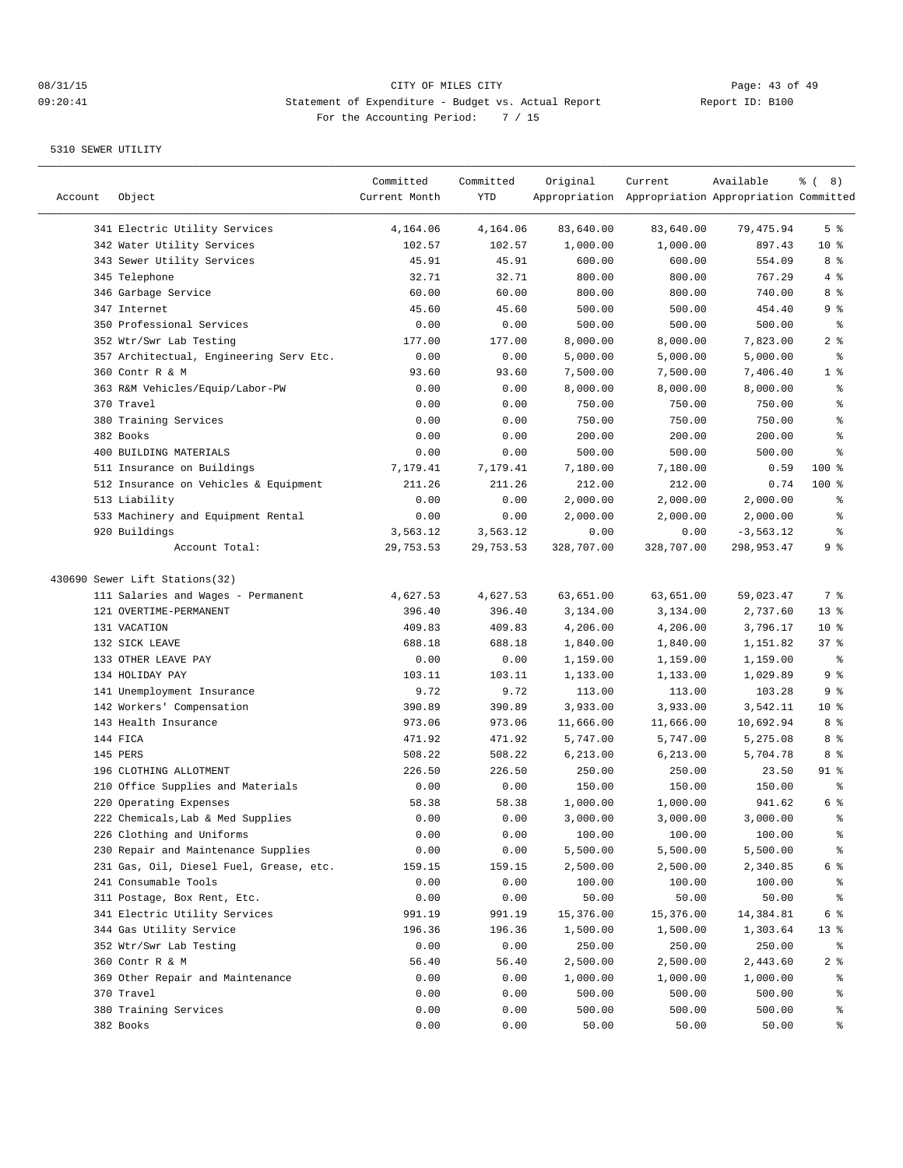| Account | Object                                  | Committed<br>Current Month | Committed<br>YTD | Original   | Current<br>Appropriation Appropriation Appropriation Committed | Available   | $\frac{6}{6}$ ( 8) |
|---------|-----------------------------------------|----------------------------|------------------|------------|----------------------------------------------------------------|-------------|--------------------|
|         | 341 Electric Utility Services           | 4,164.06                   | 4,164.06         | 83,640.00  | 83,640.00                                                      | 79,475.94   | 5 <sup>°</sup>     |
|         | 342 Water Utility Services              | 102.57                     | 102.57           | 1,000.00   | 1,000.00                                                       | 897.43      | $10*$              |
|         | 343 Sewer Utility Services              | 45.91                      | 45.91            | 600.00     | 600.00                                                         | 554.09      | 8 %                |
|         | 345 Telephone                           | 32.71                      | 32.71            | 800.00     | 800.00                                                         | 767.29      | 4 %                |
|         | 346 Garbage Service                     | 60.00                      | 60.00            | 800.00     | 800.00                                                         | 740.00      | 8 %                |
|         | 347 Internet                            | 45.60                      | 45.60            | 500.00     | 500.00                                                         | 454.40      | 9 %                |
|         | 350 Professional Services               | 0.00                       | 0.00             | 500.00     | 500.00                                                         | 500.00      | နွ                 |
|         | 352 Wtr/Swr Lab Testing                 | 177.00                     | 177.00           | 8,000.00   | 8,000.00                                                       | 7,823.00    | 2 <sub>8</sub>     |
|         | 357 Architectual, Engineering Serv Etc. | 0.00                       | 0.00             | 5,000.00   | 5,000.00                                                       | 5,000.00    | နွ                 |
|         | 360 Contr R & M                         | 93.60                      | 93.60            | 7,500.00   | 7,500.00                                                       | 7,406.40    | 1 <sup>°</sup>     |
|         | 363 R&M Vehicles/Equip/Labor-PW         | 0.00                       | 0.00             | 8,000.00   | 8,000.00                                                       | 8,000.00    | နွ                 |
|         | 370 Travel                              | 0.00                       | 0.00             | 750.00     | 750.00                                                         | 750.00      | ి                  |
|         | 380 Training Services                   | 0.00                       | 0.00             | 750.00     | 750.00                                                         | 750.00      | ి                  |
|         | 382 Books                               | 0.00                       | 0.00             | 200.00     | 200.00                                                         | 200.00      | $\rm _{o}^{\circ}$ |
|         | 400 BUILDING MATERIALS                  | 0.00                       | 0.00             | 500.00     | 500.00                                                         | 500.00      | ి                  |
|         | 511 Insurance on Buildings              | 7,179.41                   | 7,179.41         | 7,180.00   | 7,180.00                                                       | 0.59        | 100 %              |
|         | 512 Insurance on Vehicles & Equipment   | 211.26                     | 211.26           | 212.00     | 212.00                                                         | 0.74        | $100$ %            |
|         | 513 Liability                           | 0.00                       | 0.00             | 2,000.00   | 2,000.00                                                       | 2,000.00    | ႜ                  |
|         | 533 Machinery and Equipment Rental      | 0.00                       | 0.00             | 2,000.00   | 2,000.00                                                       | 2,000.00    | $\,{}^{\circ}\!$   |
|         | 920 Buildings                           | 3,563.12                   | 3,563.12         | 0.00       | 0.00                                                           | $-3,563.12$ | န္                 |
|         | Account Total:                          | 29,753.53                  | 29,753.53        | 328,707.00 | 328,707.00                                                     | 298,953.47  | 9 %                |
|         | 430690 Sewer Lift Stations(32)          |                            |                  |            |                                                                |             |                    |
|         | 111 Salaries and Wages - Permanent      | 4,627.53                   | 4,627.53         | 63,651.00  | 63,651.00                                                      | 59,023.47   | 7 %                |
|         | 121 OVERTIME-PERMANENT                  | 396.40                     | 396.40           | 3,134.00   | 3,134.00                                                       | 2,737.60    | $13*$              |
|         | 131 VACATION                            | 409.83                     | 409.83           | 4,206.00   | 4,206.00                                                       | 3,796.17    | $10*$              |
|         | 132 SICK LEAVE                          | 688.18                     | 688.18           | 1,840.00   | 1,840.00                                                       | 1,151.82    | 37%                |
|         | 133 OTHER LEAVE PAY                     | 0.00                       | 0.00             | 1,159.00   | 1,159.00                                                       | 1,159.00    | ႜ                  |
|         | 134 HOLIDAY PAY                         | 103.11                     | 103.11           | 1,133.00   | 1,133.00                                                       | 1,029.89    | 9%                 |
|         | 141 Unemployment Insurance              | 9.72                       | 9.72             | 113.00     | 113.00                                                         | 103.28      | 9%                 |
|         | 142 Workers' Compensation               | 390.89                     | 390.89           | 3,933.00   | 3,933.00                                                       | 3,542.11    | $10*$              |
|         | 143 Health Insurance                    | 973.06                     | 973.06           | 11,666.00  | 11,666.00                                                      | 10,692.94   | 8 %                |
|         | 144 FICA                                | 471.92                     | 471.92           | 5,747.00   | 5,747.00                                                       | 5,275.08    | 8 %                |
|         | 145 PERS                                | 508.22                     | 508.22           | 6,213.00   | 6,213.00                                                       | 5,704.78    | 8 %                |
|         | 196 CLOTHING ALLOTMENT                  | 226.50                     | 226.50           | 250.00     | 250.00                                                         | 23.50       | $91$ %             |
|         | 210 Office Supplies and Materials       | 0.00                       | 0.00             | 150.00     | 150.00                                                         | 150.00      | ್ಠಿ                |
|         | 220 Operating Expenses                  | 58.38                      | 58.38            | 1,000.00   | 1,000.00                                                       | 941.62      | 6 %                |
|         | 222 Chemicals, Lab & Med Supplies       | 0.00                       | 0.00             | 3,000.00   | 3,000.00                                                       | 3,000.00    | ៖                  |
|         | 226 Clothing and Uniforms               | 0.00                       | 0.00             | 100.00     | 100.00                                                         | 100.00      | ိင                 |
|         | 230 Repair and Maintenance Supplies     | 0.00                       | 0.00             | 5,500.00   | 5,500.00                                                       | 5,500.00    | န္                 |
|         | 231 Gas, Oil, Diesel Fuel, Grease, etc. | 159.15                     | 159.15           | 2,500.00   | 2,500.00                                                       | 2,340.85    | 6 %                |
|         | 241 Consumable Tools                    | 0.00                       | 0.00             | 100.00     | 100.00                                                         | 100.00      | ႜૢ                 |
|         | 311 Postage, Box Rent, Etc.             | 0.00                       | 0.00             | 50.00      | 50.00                                                          | 50.00       | ွေ                 |
|         | 341 Electric Utility Services           | 991.19                     | 991.19           | 15,376.00  | 15,376.00                                                      | 14,384.81   | $6\degree$         |
|         | 344 Gas Utility Service                 | 196.36                     | 196.36           | 1,500.00   | 1,500.00                                                       | 1,303.64    | $13*$              |
|         | 352 Wtr/Swr Lab Testing                 | 0.00                       | 0.00             | 250.00     | 250.00                                                         | 250.00      | ి                  |
|         | 360 Contr R & M                         | 56.40                      | 56.40            | 2,500.00   | 2,500.00                                                       | 2,443.60    | 2 <sup>8</sup>     |
|         | 369 Other Repair and Maintenance        | 0.00                       | 0.00             | 1,000.00   | 1,000.00                                                       | 1,000.00    | ွေ                 |
|         | 370 Travel                              | 0.00                       | 0.00             | 500.00     | 500.00                                                         | 500.00      | ွေ                 |
|         | 380 Training Services                   | 0.00                       | 0.00             | 500.00     | 500.00                                                         | 500.00      | ွေ                 |
|         | 382 Books                               | 0.00                       | 0.00             | 50.00      | 50.00                                                          | 50.00       | ွေ                 |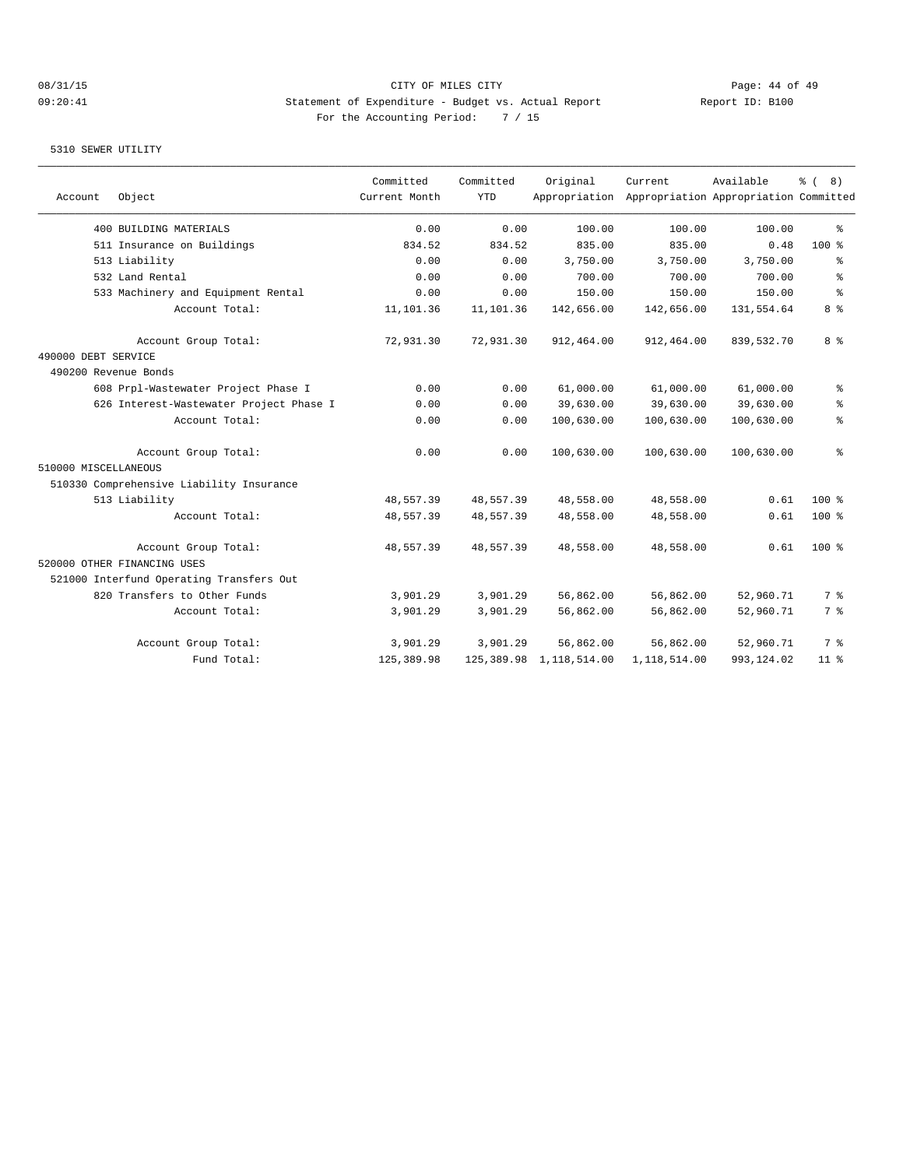## 08/31/15 CITY OF MILES CITY Page: 44 of 49 09:20:41 Statement of Expenditure - Budget vs. Actual Report Changer Report ID: B100 For the Accounting Period: 7 / 15

| Account              | Object                                   | Committed<br>Current Month | Committed<br><b>YTD</b> | Original                   | Current<br>Appropriation Appropriation Appropriation Committed | Available  | ී (<br>8)       |
|----------------------|------------------------------------------|----------------------------|-------------------------|----------------------------|----------------------------------------------------------------|------------|-----------------|
|                      |                                          |                            |                         |                            |                                                                |            |                 |
|                      | 400 BUILDING MATERIALS                   | 0.00                       | 0.00                    | 100.00                     | 100.00                                                         | 100.00     | ి               |
|                      | 511 Insurance on Buildings               | 834.52                     | 834.52                  | 835.00                     | 835.00                                                         | 0.48       | $100$ %         |
|                      | 513 Liability                            | 0.00                       | 0.00                    | 3,750.00                   | 3,750.00                                                       | 3,750.00   | နွ              |
|                      | 532 Land Rental                          | 0.00                       | 0.00                    | 700.00                     | 700.00                                                         | 700.00     | ి               |
|                      | 533 Machinery and Equipment Rental       | 0.00                       | 0.00                    | 150.00                     | 150.00                                                         | 150.00     | $\approx$       |
|                      | Account Total:                           | 11,101.36                  | 11,101.36               | 142,656.00                 | 142,656.00                                                     | 131,554.64 | 8 %             |
|                      | Account Group Total:                     | 72,931.30                  | 72,931.30               | 912,464.00                 | 912,464.00                                                     | 839,532.70 | 8 %             |
| 490000 DEBT SERVICE  |                                          |                            |                         |                            |                                                                |            |                 |
|                      | 490200 Revenue Bonds                     |                            |                         |                            |                                                                |            |                 |
|                      | 608 Prpl-Wastewater Project Phase I      | 0.00                       | 0.00                    | 61,000.00                  | 61,000.00                                                      | 61,000.00  | နွ              |
|                      | 626 Interest-Wastewater Project Phase I  | 0.00                       | 0.00                    | 39,630.00                  | 39,630.00                                                      | 39,630.00  | နွ              |
|                      | Account Total:                           | 0.00                       | 0.00                    | 100,630.00                 | 100,630.00                                                     | 100,630.00 | ి               |
|                      | Account Group Total:                     | 0.00                       | 0.00                    | 100,630.00                 | 100,630.00                                                     | 100,630.00 | ి               |
| 510000 MISCELLANEOUS |                                          |                            |                         |                            |                                                                |            |                 |
|                      | 510330 Comprehensive Liability Insurance |                            |                         |                            |                                                                |            |                 |
|                      | 513 Liability                            | 48,557.39                  | 48,557.39               | 48,558.00                  | 48,558.00                                                      | 0.61       | $100*$          |
|                      | Account Total:                           | 48,557.39                  | 48,557.39               | 48,558.00                  | 48,558.00                                                      | 0.61       | $100$ %         |
|                      | Account Group Total:                     | 48,557.39                  | 48,557.39               | 48,558.00                  | 48,558.00                                                      | 0.61       | $100*$          |
|                      | 520000 OTHER FINANCING USES              |                            |                         |                            |                                                                |            |                 |
|                      | 521000 Interfund Operating Transfers Out |                            |                         |                            |                                                                |            |                 |
|                      | 820 Transfers to Other Funds             | 3,901.29                   | 3,901.29                | 56,862.00                  | 56,862.00                                                      | 52,960.71  | 7 <sup>°</sup>  |
|                      | Account Total:                           | 3,901.29                   | 3,901.29                | 56,862.00                  | 56,862.00                                                      | 52,960.71  | 7 %             |
|                      | Account Group Total:                     | 3,901.29                   | 3,901.29                | 56,862.00                  | 56,862.00                                                      | 52,960.71  | 7 <sup>°</sup>  |
|                      | Fund Total:                              | 125,389.98                 |                         | 125, 389.98 1, 118, 514.00 | 1,118,514.00                                                   | 993,124.02 | 11 <sup>8</sup> |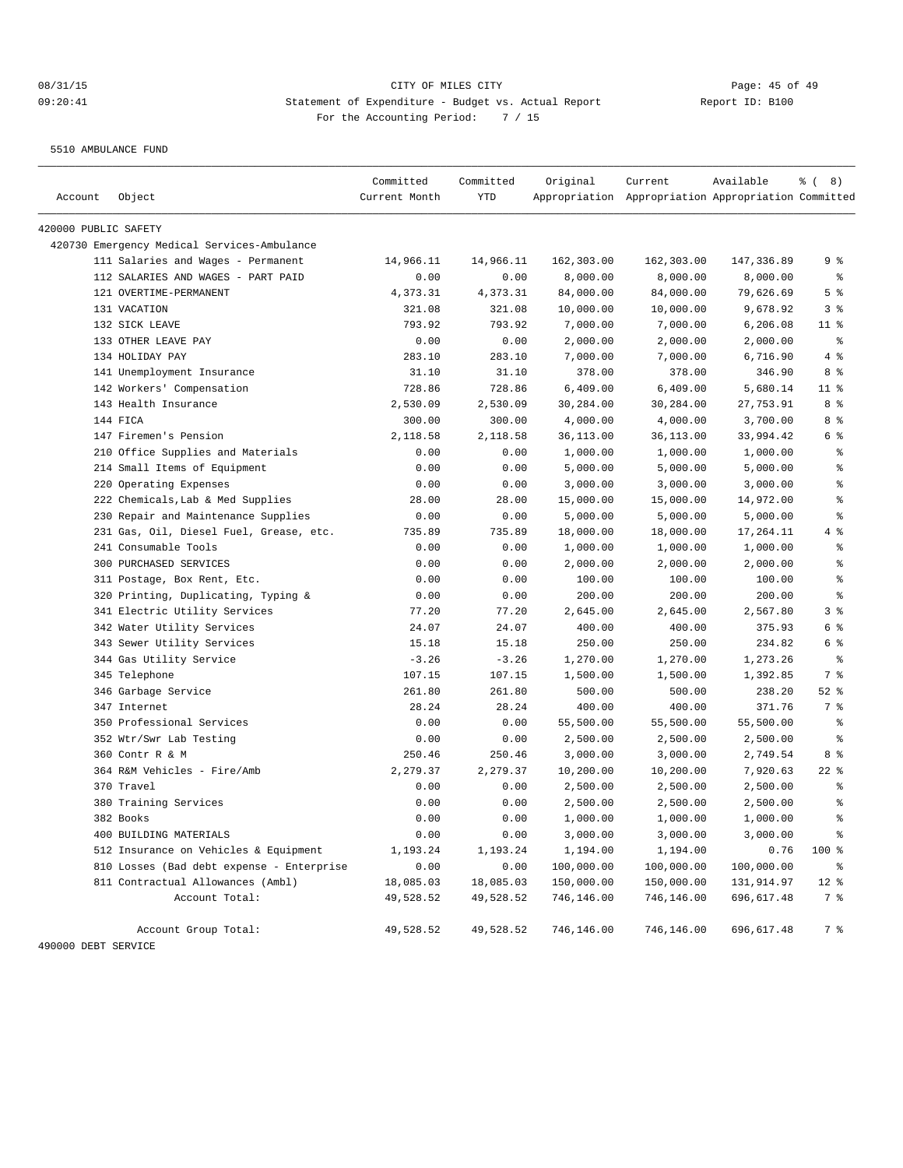5510 AMBULANCE FUND

| 420000 PUBLIC SAFETY | 420730 Emergency Medical Services-Ambulance<br>111 Salaries and Wages - Permanent<br>112 SALARIES AND WAGES - PART PAID<br>121 OVERTIME-PERMANENT | 14,966.11<br>0.00 |           |            |            |            |                                          |
|----------------------|---------------------------------------------------------------------------------------------------------------------------------------------------|-------------------|-----------|------------|------------|------------|------------------------------------------|
|                      |                                                                                                                                                   |                   |           |            |            |            |                                          |
|                      |                                                                                                                                                   |                   |           |            |            |            |                                          |
|                      |                                                                                                                                                   |                   | 14,966.11 | 162,303.00 | 162,303.00 | 147,336.89 | 9 %                                      |
|                      |                                                                                                                                                   |                   | 0.00      | 8,000.00   | 8,000.00   | 8,000.00   | $\epsilon$                               |
|                      |                                                                                                                                                   | 4,373.31          | 4,373.31  | 84,000.00  | 84,000.00  | 79,626.69  | 5 <sup>8</sup>                           |
|                      | 131 VACATION                                                                                                                                      | 321.08            | 321.08    | 10,000.00  | 10,000.00  | 9,678.92   | 3%                                       |
|                      | 132 SICK LEAVE                                                                                                                                    | 793.92            | 793.92    | 7,000.00   | 7,000.00   | 6, 206.08  | $11$ %                                   |
|                      | 133 OTHER LEAVE PAY                                                                                                                               | 0.00              | 0.00      | 2,000.00   | 2,000.00   | 2,000.00   | နွ                                       |
|                      | 134 HOLIDAY PAY                                                                                                                                   | 283.10            | 283.10    | 7,000.00   | 7,000.00   | 6,716.90   | 4%                                       |
|                      | 141 Unemployment Insurance                                                                                                                        | 31.10             | 31.10     | 378.00     | 378.00     | 346.90     | 8 %                                      |
|                      | 142 Workers' Compensation                                                                                                                         | 728.86            | 728.86    | 6,409.00   | 6,409.00   | 5,680.14   | $11$ %                                   |
|                      | 143 Health Insurance                                                                                                                              | 2,530.09          | 2,530.09  | 30,284.00  | 30,284.00  | 27,753.91  | 8%                                       |
| 144 FICA             |                                                                                                                                                   | 300.00            | 300.00    | 4,000.00   | 4,000.00   | 3,700.00   | 8 %                                      |
|                      | 147 Firemen's Pension                                                                                                                             | 2,118.58          | 2,118.58  | 36,113.00  | 36,113.00  | 33,994.42  | 6 %                                      |
|                      | 210 Office Supplies and Materials                                                                                                                 | 0.00              | 0.00      | 1,000.00   | 1,000.00   | 1,000.00   | နွ                                       |
|                      | 214 Small Items of Equipment                                                                                                                      | 0.00              | 0.00      | 5,000.00   | 5,000.00   | 5,000.00   | ి                                        |
|                      | 220 Operating Expenses                                                                                                                            | 0.00              | 0.00      | 3,000.00   | 3,000.00   | 3,000.00   | န္                                       |
|                      | 222 Chemicals, Lab & Med Supplies                                                                                                                 | 28.00             | 28.00     | 15,000.00  | 15,000.00  | 14,972.00  | န္                                       |
|                      | 230 Repair and Maintenance Supplies                                                                                                               | 0.00              | 0.00      | 5,000.00   | 5,000.00   | 5,000.00   | $\, \raisebox{0.6ex}{\scriptsize{*}} \,$ |
|                      | 231 Gas, Oil, Diesel Fuel, Grease, etc.                                                                                                           | 735.89            | 735.89    | 18,000.00  | 18,000.00  | 17,264.11  | 4 %                                      |
|                      | 241 Consumable Tools                                                                                                                              | 0.00              | 0.00      | 1,000.00   | 1,000.00   | 1,000.00   | နွ                                       |
|                      | 300 PURCHASED SERVICES                                                                                                                            | 0.00              | 0.00      | 2,000.00   | 2,000.00   | 2,000.00   | ి                                        |
|                      | 311 Postage, Box Rent, Etc.                                                                                                                       | 0.00              | 0.00      | 100.00     | 100.00     | 100.00     | န္                                       |
|                      | 320 Printing, Duplicating, Typing &                                                                                                               | 0.00              | 0.00      | 200.00     | 200.00     | 200.00     | $\epsilon$                               |
|                      | 341 Electric Utility Services                                                                                                                     | 77.20             | 77.20     | 2,645.00   | 2,645.00   | 2,567.80   | 3%                                       |
|                      | 342 Water Utility Services                                                                                                                        | 24.07             | 24.07     | 400.00     | 400.00     | 375.93     | 6 %                                      |
|                      | 343 Sewer Utility Services                                                                                                                        | 15.18             | 15.18     | 250.00     | 250.00     | 234.82     | 6 %                                      |
|                      | 344 Gas Utility Service                                                                                                                           | $-3.26$           | $-3.26$   | 1,270.00   | 1,270.00   | 1,273.26   | $\epsilon$                               |
|                      | 345 Telephone                                                                                                                                     | 107.15            | 107.15    | 1,500.00   | 1,500.00   | 1,392.85   | 7 %                                      |
|                      | 346 Garbage Service                                                                                                                               | 261.80            | 261.80    | 500.00     | 500.00     | 238.20     | $52$ $%$                                 |
|                      | 347 Internet                                                                                                                                      | 28.24             | 28.24     | 400.00     | 400.00     | 371.76     | 7 %                                      |
|                      | 350 Professional Services                                                                                                                         | 0.00              | 0.00      | 55,500.00  | 55,500.00  | 55,500.00  | နွ                                       |
|                      | 352 Wtr/Swr Lab Testing                                                                                                                           | 0.00              | 0.00      | 2,500.00   | 2,500.00   | 2,500.00   | $\epsilon$                               |
|                      | 360 Contr R & M                                                                                                                                   | 250.46            | 250.46    | 3,000.00   | 3,000.00   | 2,749.54   | 8 %                                      |
|                      | 364 R&M Vehicles - Fire/Amb                                                                                                                       | 2,279.37          | 2,279.37  | 10,200.00  | 10,200.00  | 7,920.63   | $22$ %                                   |
| 370 Travel           |                                                                                                                                                   | 0.00              | 0.00      | 2,500.00   | 2,500.00   | 2,500.00   | နွ                                       |
|                      | 380 Training Services                                                                                                                             | 0.00              | 0.00      | 2,500.00   | 2,500.00   | 2,500.00   | န္                                       |
| 382 Books            |                                                                                                                                                   | 0.00              | 0.00      | 1,000.00   | 1,000.00   | 1,000.00   | ٥R                                       |
|                      | 400 BUILDING MATERIALS                                                                                                                            | 0.00              | 0.00      | 3,000.00   | 3,000.00   | 3,000.00   | $\frac{6}{3}$                            |
|                      | 512 Insurance on Vehicles & Equipment                                                                                                             | 1,193.24          | 1,193.24  | 1,194.00   | 1,194.00   | 0.76       | 100 %                                    |
|                      | 810 Losses (Bad debt expense - Enterprise                                                                                                         | 0.00              | 0.00      | 100,000.00 | 100,000.00 | 100,000.00 | ៖                                        |
|                      | 811 Contractual Allowances (Ambl)                                                                                                                 | 18,085.03         | 18,085.03 | 150,000.00 | 150,000.00 | 131,914.97 | $12$ %                                   |
|                      | Account Total:                                                                                                                                    | 49,528.52         | 49,528.52 | 746,146.00 | 746,146.00 | 696,617.48 | 7 %                                      |
| 490000 DEBT SERVICE  | Account Group Total:                                                                                                                              | 49,528.52         | 49,528.52 | 746,146.00 | 746,146.00 | 696,617.48 | 7 %                                      |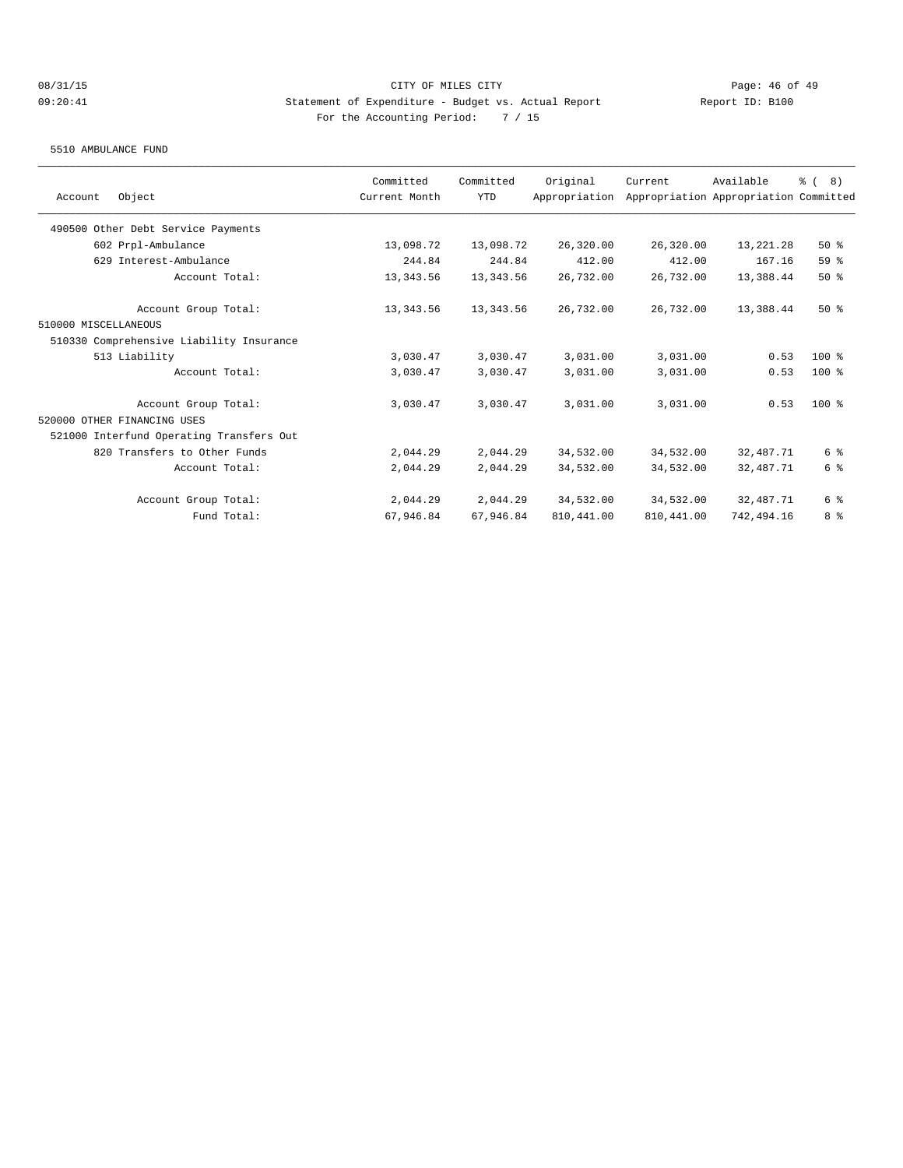5510 AMBULANCE FUND

| Object<br>Account                        | Committed<br>Current Month | Committed<br><b>YTD</b> | Original<br>Appropriation | Current     | Available<br>Appropriation Appropriation Committed | $\frac{6}{6}$ ( 8) |
|------------------------------------------|----------------------------|-------------------------|---------------------------|-------------|----------------------------------------------------|--------------------|
|                                          |                            |                         |                           |             |                                                    |                    |
| 490500 Other Debt Service Payments       |                            |                         |                           |             |                                                    |                    |
| 602 Prpl-Ambulance                       | 13,098.72                  | 13,098.72               | 26,320.00                 | 26,320.00   | 13, 221. 28                                        | 50%                |
| 629 Interest-Ambulance                   | 244.84                     | 244.84                  | 412.00                    | 412.00      | 167.16                                             | 59 %               |
| Account Total:                           | 13,343.56                  | 13,343.56               | 26,732.00                 | 26,732.00   | 13,388.44                                          | 50%                |
| Account Group Total:                     | 13,343.56                  | 13,343.56               | 26,732.00                 | 26,732.00   | 13,388.44                                          | $50*$              |
| 510000 MISCELLANEOUS                     |                            |                         |                           |             |                                                    |                    |
| 510330 Comprehensive Liability Insurance |                            |                         |                           |             |                                                    |                    |
| 513 Liability                            | 3,030.47                   | 3,030.47                | 3,031.00                  | 3,031.00    | 0.53                                               | $100*$             |
| Account Total:                           | 3,030.47                   | 3,030.47                | 3,031.00                  | 3,031.00    | 0.53                                               | $100$ %            |
| Account Group Total:                     | 3,030.47                   | 3,030.47                | 3,031.00                  | 3,031.00    | 0.53                                               | $100$ %            |
| 520000 OTHER FINANCING USES              |                            |                         |                           |             |                                                    |                    |
| 521000 Interfund Operating Transfers Out |                            |                         |                           |             |                                                    |                    |
| 820 Transfers to Other Funds             | 2,044.29                   | 2,044.29                | 34,532.00                 | 34,532.00   | 32,487.71                                          | 6 %                |
| Account Total:                           | 2,044.29                   | 2,044.29                | 34,532.00                 | 34,532.00   | 32,487.71                                          | 6 %                |
| Account Group Total:                     | 2,044.29                   | 2,044.29                | 34,532.00                 | 34,532.00   | 32,487.71                                          | 6 %                |
| Fund Total:                              | 67,946.84                  | 67,946.84               | 810, 441.00               | 810, 441.00 | 742,494.16                                         | 8 %                |
|                                          |                            |                         |                           |             |                                                    |                    |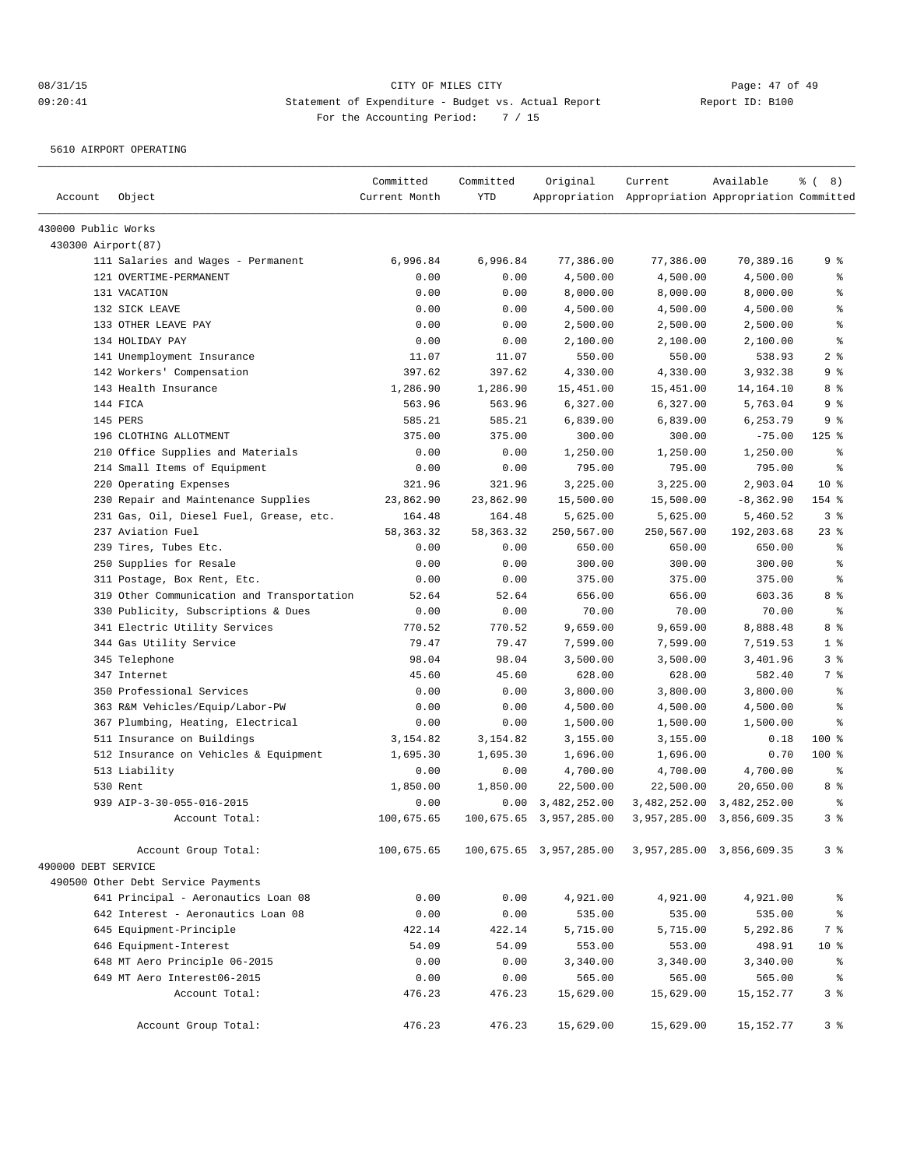5610 AIRPORT OPERATING

| Account             | Object                                     | Committed<br>Current Month | Committed<br><b>YTD</b> | Original                | Current<br>Appropriation Appropriation Appropriation Committed | Available    | $\frac{6}{6}$ ( 8) |
|---------------------|--------------------------------------------|----------------------------|-------------------------|-------------------------|----------------------------------------------------------------|--------------|--------------------|
| 430000 Public Works |                                            |                            |                         |                         |                                                                |              |                    |
| 430300 Airport(87)  |                                            |                            |                         |                         |                                                                |              |                    |
|                     | 111 Salaries and Wages - Permanent         | 6,996.84                   | 6,996.84                | 77,386.00               | 77,386.00                                                      | 70,389.16    | 9 %                |
|                     | 121 OVERTIME-PERMANENT                     | 0.00                       | 0.00                    | 4,500.00                | 4,500.00                                                       | 4,500.00     | နွ                 |
|                     | 131 VACATION                               | 0.00                       | 0.00                    | 8,000.00                | 8,000.00                                                       | 8,000.00     | ి                  |
|                     | 132 SICK LEAVE                             | 0.00                       | 0.00                    | 4,500.00                | 4,500.00                                                       | 4,500.00     | ి                  |
|                     | 133 OTHER LEAVE PAY                        | 0.00                       | 0.00                    | 2,500.00                | 2,500.00                                                       | 2,500.00     | န္                 |
|                     | 134 HOLIDAY PAY                            | 0.00                       | 0.00                    | 2,100.00                | 2,100.00                                                       | 2,100.00     | ి                  |
|                     | 141 Unemployment Insurance                 | 11.07                      | 11.07                   | 550.00                  | 550.00                                                         | 538.93       | 2 <sup>8</sup>     |
|                     | 142 Workers' Compensation                  | 397.62                     | 397.62                  | 4,330.00                | 4,330.00                                                       | 3,932.38     | 9 %                |
|                     | 143 Health Insurance                       | 1,286.90                   | 1,286.90                | 15,451.00               | 15,451.00                                                      | 14,164.10    | 8 %                |
|                     | 144 FICA                                   | 563.96                     | 563.96                  | 6,327.00                | 6,327.00                                                       | 5,763.04     | 9 %                |
|                     | 145 PERS                                   | 585.21                     | 585.21                  | 6,839.00                | 6,839.00                                                       | 6,253.79     | 9 %                |
|                     | 196 CLOTHING ALLOTMENT                     | 375.00                     | 375.00                  | 300.00                  | 300.00                                                         | $-75.00$     | $125$ %            |
|                     | 210 Office Supplies and Materials          | 0.00                       | 0.00                    | 1,250.00                | 1,250.00                                                       | 1,250.00     | နွ                 |
|                     | 214 Small Items of Equipment               | 0.00                       | 0.00                    | 795.00                  | 795.00                                                         | 795.00       | ి                  |
|                     | 220 Operating Expenses                     | 321.96                     | 321.96                  | 3,225.00                | 3,225.00                                                       | 2,903.04     | $10*$              |
|                     | 230 Repair and Maintenance Supplies        | 23,862.90                  | 23,862.90               | 15,500.00               | 15,500.00                                                      | $-8, 362.90$ | 154 %              |
|                     | 231 Gas, Oil, Diesel Fuel, Grease, etc.    | 164.48                     | 164.48                  | 5,625.00                | 5,625.00                                                       | 5,460.52     | 3%                 |
|                     | 237 Aviation Fuel                          | 58, 363. 32                | 58,363.32               | 250,567.00              | 250,567.00                                                     | 192,203.68   | 23%                |
|                     | 239 Tires, Tubes Etc.                      | 0.00                       | 0.00                    | 650.00                  | 650.00                                                         | 650.00       | နွ                 |
|                     | 250 Supplies for Resale                    | 0.00                       | 0.00                    | 300.00                  | 300.00                                                         | 300.00       | ి                  |
|                     | 311 Postage, Box Rent, Etc.                | 0.00                       | 0.00                    | 375.00                  | 375.00                                                         | 375.00       | ి                  |
|                     | 319 Other Communication and Transportation | 52.64                      | 52.64                   | 656.00                  | 656.00                                                         | 603.36       | 8 %                |
|                     | 330 Publicity, Subscriptions & Dues        | 0.00                       | 0.00                    | 70.00                   | 70.00                                                          | 70.00        | ి                  |
|                     | 341 Electric Utility Services              | 770.52                     | 770.52                  | 9,659.00                | 9,659.00                                                       | 8,888.48     | 8 %                |
|                     | 344 Gas Utility Service                    | 79.47                      | 79.47                   | 7,599.00                | 7,599.00                                                       | 7,519.53     | 1 <sup>°</sup>     |
|                     | 345 Telephone                              | 98.04                      | 98.04                   | 3,500.00                | 3,500.00                                                       | 3,401.96     | 3%                 |
|                     | 347 Internet                               | 45.60                      | 45.60                   | 628.00                  | 628.00                                                         | 582.40       | 7 %                |
|                     | 350 Professional Services                  | 0.00                       | 0.00                    | 3,800.00                | 3,800.00                                                       | 3,800.00     | နွ                 |
|                     | 363 R&M Vehicles/Equip/Labor-PW            | 0.00                       | 0.00                    | 4,500.00                | 4,500.00                                                       | 4,500.00     | ి                  |
|                     | 367 Plumbing, Heating, Electrical          | 0.00                       | 0.00                    | 1,500.00                | 1,500.00                                                       | 1,500.00     | ి                  |
|                     | 511 Insurance on Buildings                 | 3,154.82                   | 3,154.82                | 3,155.00                | 3,155.00                                                       | 0.18         | 100 %              |
|                     | 512 Insurance on Vehicles & Equipment      | 1,695.30                   | 1,695.30                | 1,696.00                | 1,696.00                                                       | 0.70         | $100$ %            |
|                     | 513 Liability                              | 0.00                       | 0.00                    | 4,700.00                | 4,700.00                                                       | 4,700.00     | နွ                 |
|                     | 530 Rent                                   | 1,850.00                   | 1,850.00                | 22,500.00               | 22,500.00                                                      | 20,650.00    | 8 %                |
|                     | 939 AIP-3-30-055-016-2015                  | 0.00                       | 0.00                    | 3,482,252.00            | 3,482,252.00                                                   | 3,482,252.00 | $\epsilon$         |
|                     | Account Total:                             | 100,675.65                 | 100,675.65              | 3,957,285.00            | 3,957,285.00                                                   | 3,856,609.35 | 38                 |
|                     | Account Group Total:                       | 100,675.65                 |                         | 100,675.65 3,957,285.00 | 3,957,285.00 3,856,609.35                                      |              | 3 <sup>8</sup>     |
| 490000 DEBT SERVICE |                                            |                            |                         |                         |                                                                |              |                    |
|                     | 490500 Other Debt Service Payments         |                            |                         |                         |                                                                |              |                    |
|                     | 641 Principal - Aeronautics Loan 08        | 0.00                       | 0.00                    | 4,921.00                | 4,921.00                                                       | 4,921.00     | ိင                 |
|                     | 642 Interest - Aeronautics Loan 08         | 0.00                       | 0.00                    | 535.00                  | 535.00                                                         | 535.00       | $\epsilon$         |
|                     | 645 Equipment-Principle                    | 422.14                     | 422.14                  | 5,715.00                | 5,715.00                                                       | 5,292.86     | 7 %                |
|                     | 646 Equipment-Interest                     | 54.09                      | 54.09                   | 553.00                  | 553.00                                                         | 498.91       | $10*$              |
|                     | 648 MT Aero Principle 06-2015              | 0.00                       | 0.00                    | 3,340.00                | 3,340.00                                                       | 3,340.00     | $\epsilon$         |
|                     | 649 MT Aero Interest06-2015                | 0.00                       | 0.00                    | 565.00                  | 565.00                                                         | 565.00       | နွ                 |
|                     | Account Total:                             | 476.23                     | 476.23                  | 15,629.00               | 15,629.00                                                      | 15,152.77    | 3%                 |
|                     | Account Group Total:                       | 476.23                     | 476.23                  | 15,629.00               | 15,629.00                                                      | 15, 152. 77  | 3%                 |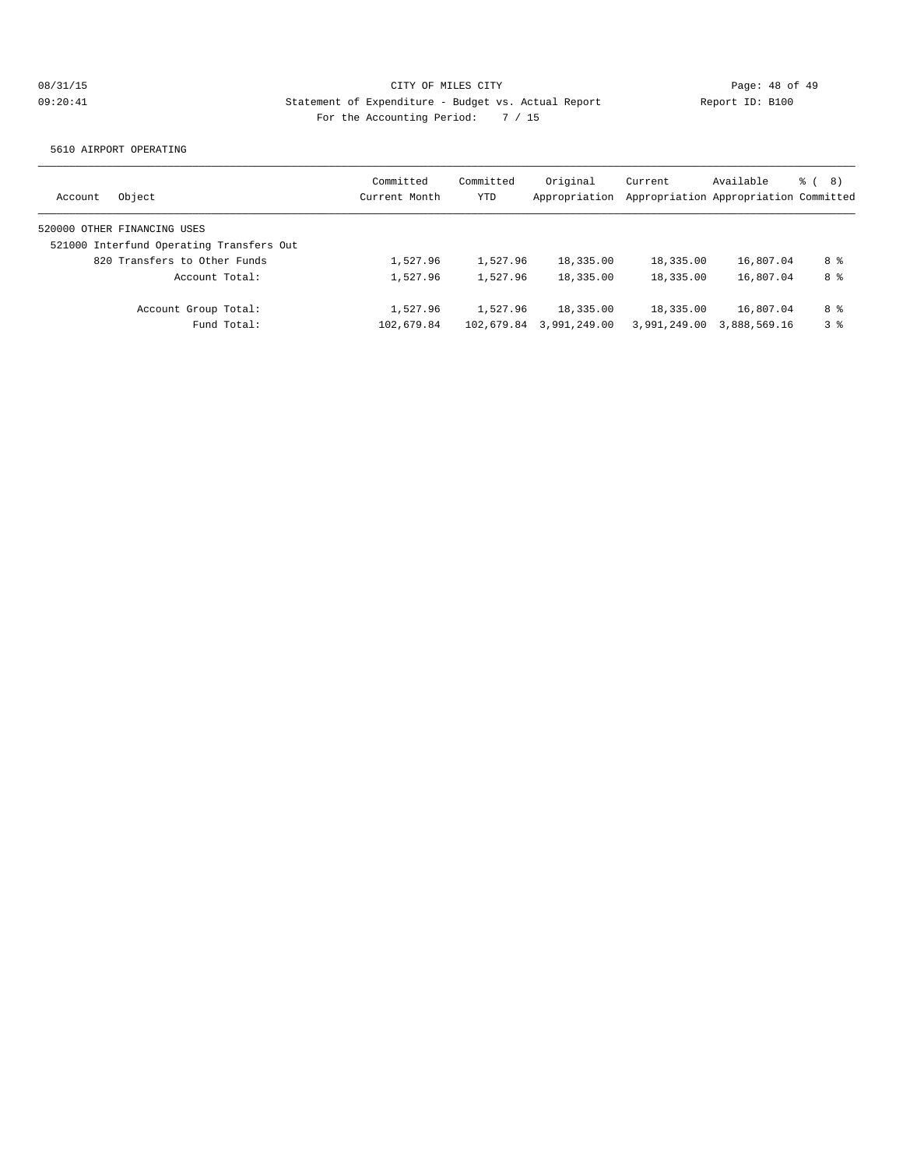5610 AIRPORT OPERATING

|                                          | Committed     | Committed  | Original      | Current                               | Available    | る (<br>8) |
|------------------------------------------|---------------|------------|---------------|---------------------------------------|--------------|-----------|
| Object<br>Account                        | Current Month | <b>YTD</b> | Appropriation | Appropriation Appropriation Committed |              |           |
| 520000 OTHER FINANCING USES              |               |            |               |                                       |              |           |
| 521000 Interfund Operating Transfers Out |               |            |               |                                       |              |           |
| 820 Transfers to Other Funds             | 1,527.96      | 1,527.96   | 18,335.00     | 18,335.00                             | 16,807.04    | 8 %       |
| Account Total:                           | 1,527.96      | 1,527.96   | 18,335.00     | 18,335.00                             | 16,807.04    | 8 %       |
| Account Group Total:                     | 1,527.96      | 1,527.96   | 18,335.00     | 18,335.00                             | 16,807.04    | 8 %       |
| Fund Total:                              | 102,679.84    | 102,679.84 | 3,991,249.00  | 3,991,249.00                          | 3,888,569.16 | 38        |